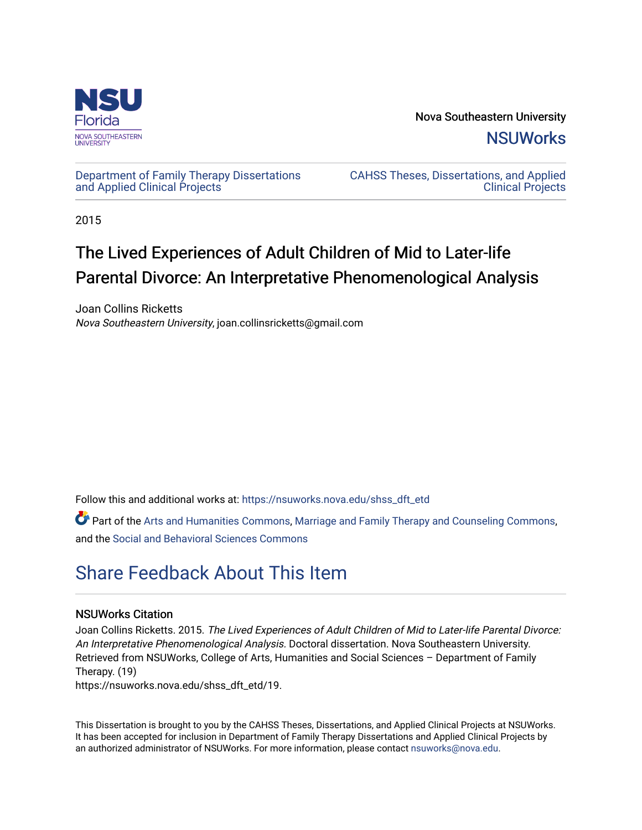

Nova Southeastern University **NSUWorks** 

## [Department of Family Therapy Dissertations](https://nsuworks.nova.edu/shss_dft_etd) [and Applied Clinical Projects](https://nsuworks.nova.edu/shss_dft_etd)

[CAHSS Theses, Dissertations, and Applied](https://nsuworks.nova.edu/cahss_etd)  [Clinical Projects](https://nsuworks.nova.edu/cahss_etd) 

2015

# The Lived Experiences of Adult Children of Mid to Later-life Parental Divorce: An Interpretative Phenomenological Analysis

Joan Collins Ricketts Nova Southeastern University, joan.collinsricketts@gmail.com

Follow this and additional works at: [https://nsuworks.nova.edu/shss\\_dft\\_etd](https://nsuworks.nova.edu/shss_dft_etd?utm_source=nsuworks.nova.edu%2Fshss_dft_etd%2F19&utm_medium=PDF&utm_campaign=PDFCoverPages) 

Part of the [Arts and Humanities Commons,](http://network.bepress.com/hgg/discipline/438?utm_source=nsuworks.nova.edu%2Fshss_dft_etd%2F19&utm_medium=PDF&utm_campaign=PDFCoverPages) [Marriage and Family Therapy and Counseling Commons,](http://network.bepress.com/hgg/discipline/715?utm_source=nsuworks.nova.edu%2Fshss_dft_etd%2F19&utm_medium=PDF&utm_campaign=PDFCoverPages) and the [Social and Behavioral Sciences Commons](http://network.bepress.com/hgg/discipline/316?utm_source=nsuworks.nova.edu%2Fshss_dft_etd%2F19&utm_medium=PDF&utm_campaign=PDFCoverPages) 

# [Share Feedback About This Item](http://nsuworks.nova.edu/user_survey.html)

## NSUWorks Citation

Joan Collins Ricketts. 2015. The Lived Experiences of Adult Children of Mid to Later-life Parental Divorce: An Interpretative Phenomenological Analysis. Doctoral dissertation. Nova Southeastern University. Retrieved from NSUWorks, College of Arts, Humanities and Social Sciences – Department of Family Therapy. (19)

https://nsuworks.nova.edu/shss\_dft\_etd/19.

This Dissertation is brought to you by the CAHSS Theses, Dissertations, and Applied Clinical Projects at NSUWorks. It has been accepted for inclusion in Department of Family Therapy Dissertations and Applied Clinical Projects by an authorized administrator of NSUWorks. For more information, please contact [nsuworks@nova.edu](mailto:nsuworks@nova.edu).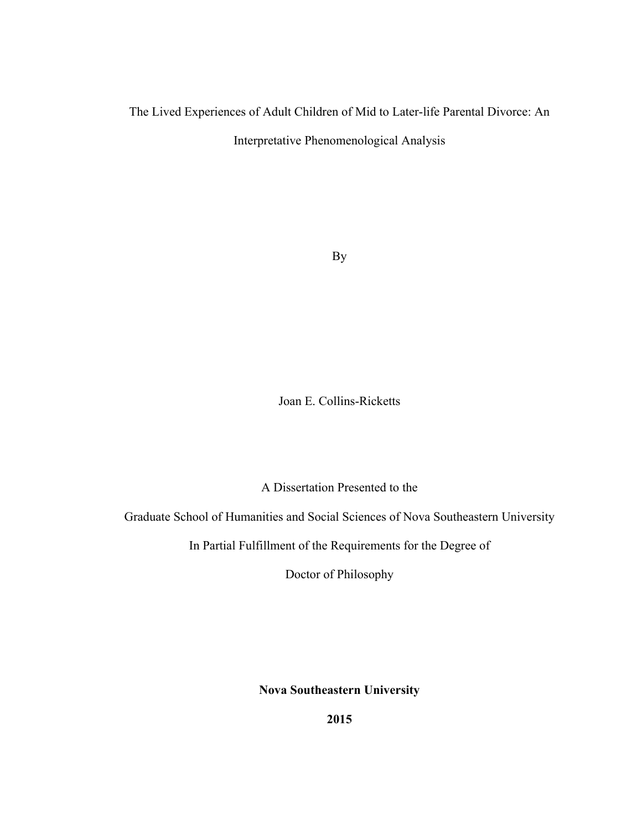# The Lived Experiences of Adult Children of Mid to Later-life Parental Divorce: An

Interpretative Phenomenological Analysis

By

Joan E. Collins-Ricketts

A Dissertation Presented to the

Graduate School of Humanities and Social Sciences of Nova Southeastern University

In Partial Fulfillment of the Requirements for the Degree of

Doctor of Philosophy

**Nova Southeastern University**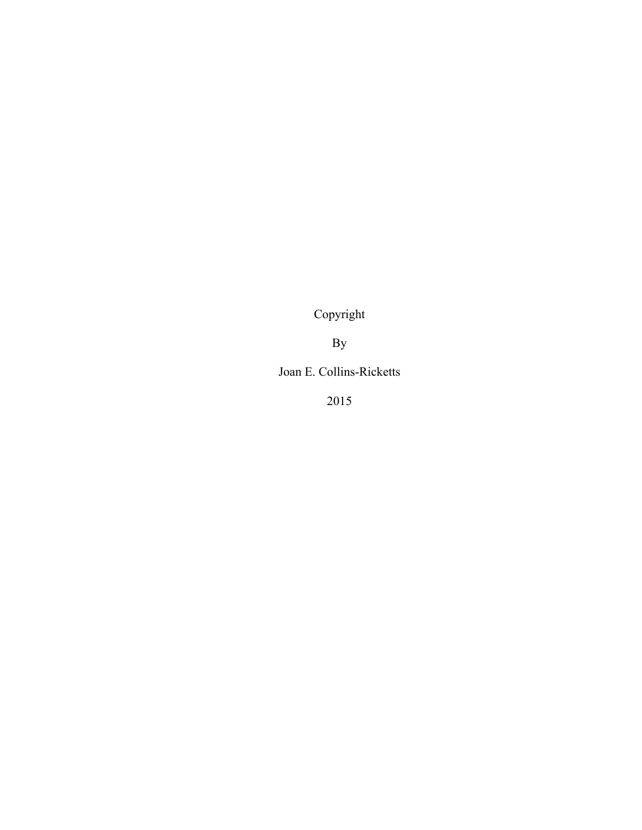Copyright

By

Joan E. Collins-Ricketts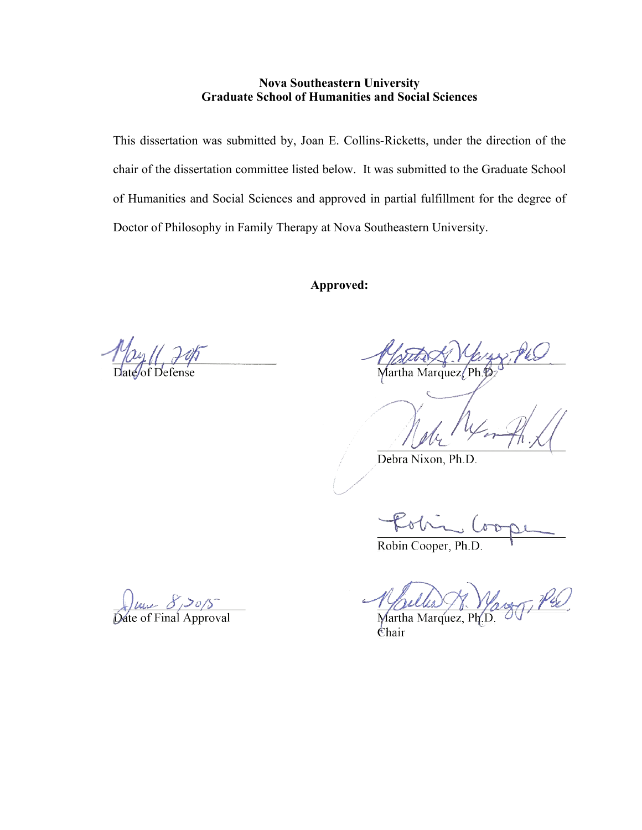# **Nova Southeastern University Graduate School of Humanities and Social Sciences**

This dissertation was submitted by, Joan E. Collins-Ricketts, under the direction of the chair of the dissertation committee listed below. It was submitted to the Graduate School of Humanities and Social Sciences and approved in partial fulfillment for the degree of Doctor of Philosophy in Family Therapy at Nova Southeastern University.

**Approved:** 

Martha Marquez/Ph.

Debra Nixon, Ph.D.

Robin Cooper, Ph.D.

Martha Marquez, Ph. Chair

Date of Final Approval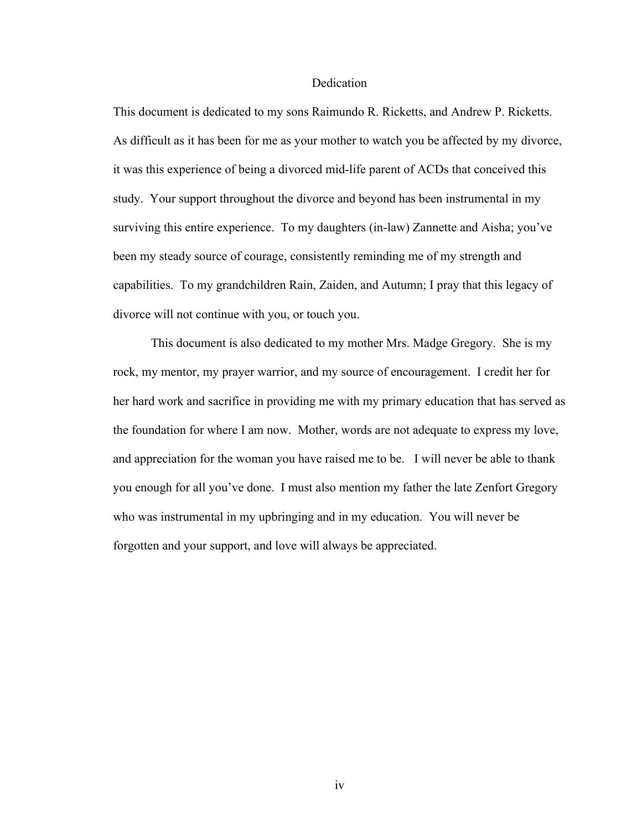## **Dedication**

This document is dedicated to my sons Raimundo R. Ricketts, and Andrew P. Ricketts. As difficult as it has been for me as your mother to watch you be affected by my divorce, it was this experience of being a divorced mid-life parent of ACDs that conceived this study. Your support throughout the divorce and beyond has been instrumental in my surviving this entire experience. To my daughters (in-law) Zannette and Aisha; you've been my steady source of courage, consistently reminding me of my strength and capabilities. To my grandchildren Rain, Zaiden, and Autumn; I pray that this legacy of divorce will not continue with you, or touch you.

This document is also dedicated to my mother Mrs. Madge Gregory. She is my rock, my mentor, my prayer warrior, and my source of encouragement. I credit her for her hard work and sacrifice in providing me with my primary education that has served as the foundation for where I am now. Mother, words are not adequate to express my love, and appreciation for the woman you have raised me to be. I will never be able to thank you enough for all you've done. I must also mention my father the late Zenfort Gregory who was instrumental in my upbringing and in my education. You will never be forgotten and your support, and love will always be appreciated.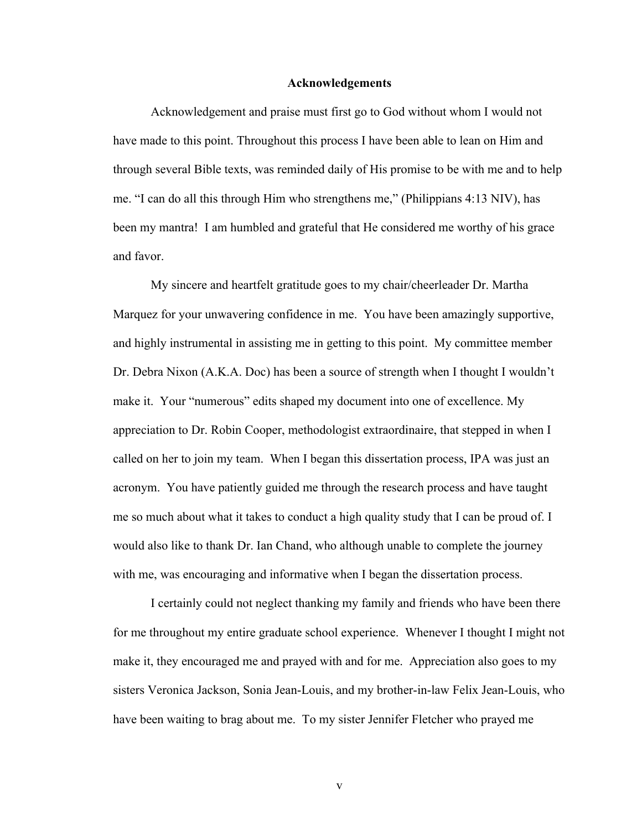#### **Acknowledgements**

Acknowledgement and praise must first go to God without whom I would not have made to this point. Throughout this process I have been able to lean on Him and through several Bible texts, was reminded daily of His promise to be with me and to help me. "I can do all this through Him who strengthens me," (Philippians 4:13 NIV), has been my mantra! I am humbled and grateful that He considered me worthy of his grace and favor.

My sincere and heartfelt gratitude goes to my chair/cheerleader Dr. Martha Marquez for your unwavering confidence in me. You have been amazingly supportive, and highly instrumental in assisting me in getting to this point. My committee member Dr. Debra Nixon (A.K.A. Doc) has been a source of strength when I thought I wouldn't make it. Your "numerous" edits shaped my document into one of excellence. My appreciation to Dr. Robin Cooper, methodologist extraordinaire, that stepped in when I called on her to join my team. When I began this dissertation process, IPA was just an acronym. You have patiently guided me through the research process and have taught me so much about what it takes to conduct a high quality study that I can be proud of. I would also like to thank Dr. Ian Chand, who although unable to complete the journey with me, was encouraging and informative when I began the dissertation process.

I certainly could not neglect thanking my family and friends who have been there for me throughout my entire graduate school experience. Whenever I thought I might not make it, they encouraged me and prayed with and for me. Appreciation also goes to my sisters Veronica Jackson, Sonia Jean-Louis, and my brother-in-law Felix Jean-Louis, who have been waiting to brag about me. To my sister Jennifer Fletcher who prayed me

v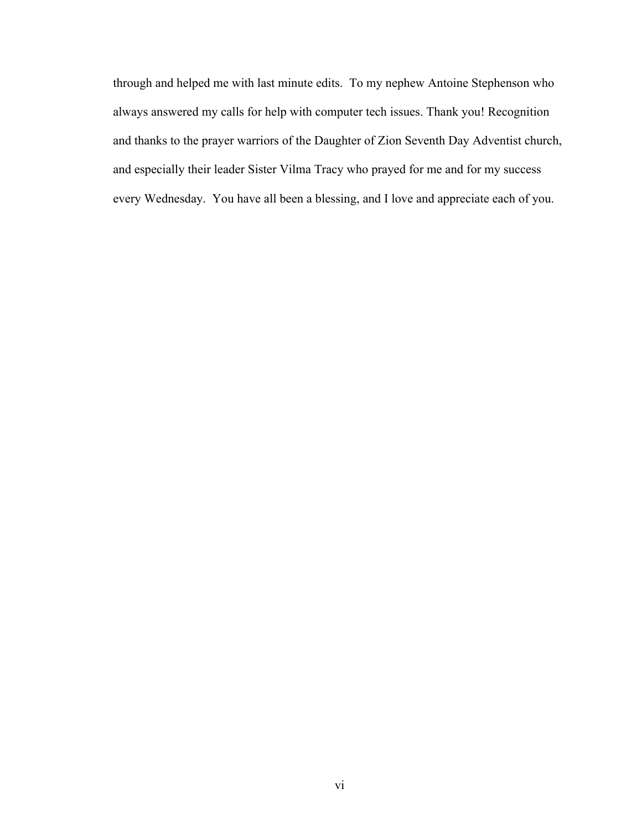through and helped me with last minute edits. To my nephew Antoine Stephenson who always answered my calls for help with computer tech issues. Thank you! Recognition and thanks to the prayer warriors of the Daughter of Zion Seventh Day Adventist church, and especially their leader Sister Vilma Tracy who prayed for me and for my success every Wednesday. You have all been a blessing, and I love and appreciate each of you.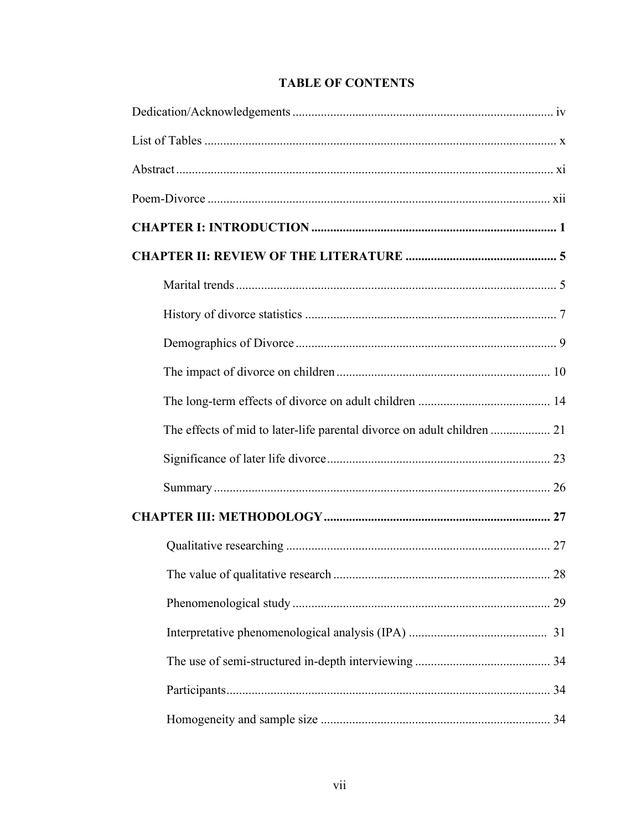| The effects of mid to later-life parental divorce on adult children  21 |  |
|-------------------------------------------------------------------------|--|
|                                                                         |  |
|                                                                         |  |
|                                                                         |  |
|                                                                         |  |
|                                                                         |  |
|                                                                         |  |
|                                                                         |  |
|                                                                         |  |
|                                                                         |  |
|                                                                         |  |

# **TABLE OF CONTENTS**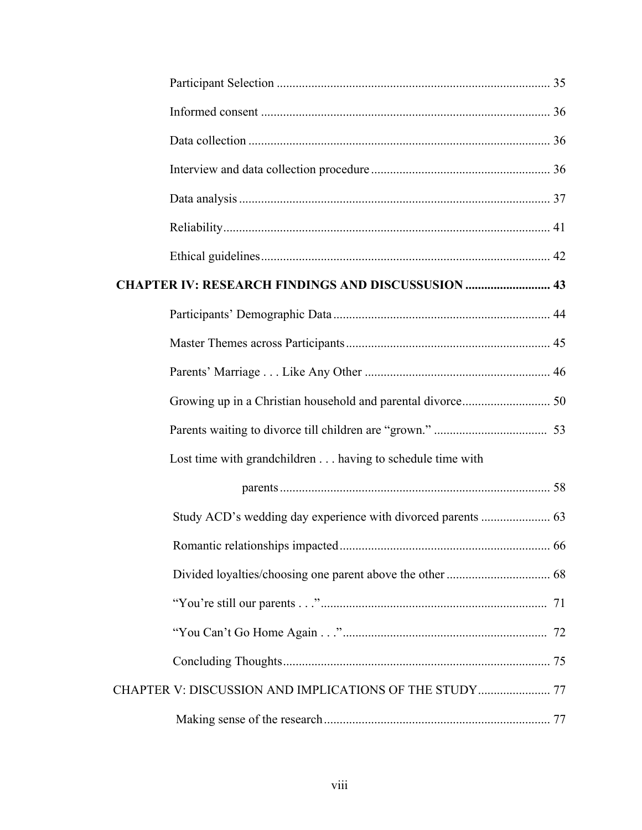| <b>CHAPTER IV: RESEARCH FINDINGS AND DISCUSSUSION  43</b> |  |
|-----------------------------------------------------------|--|
|                                                           |  |
|                                                           |  |
|                                                           |  |
|                                                           |  |
|                                                           |  |
| Lost time with grandchildren having to schedule time with |  |
|                                                           |  |
|                                                           |  |
|                                                           |  |
|                                                           |  |
|                                                           |  |
|                                                           |  |
|                                                           |  |
|                                                           |  |
|                                                           |  |
|                                                           |  |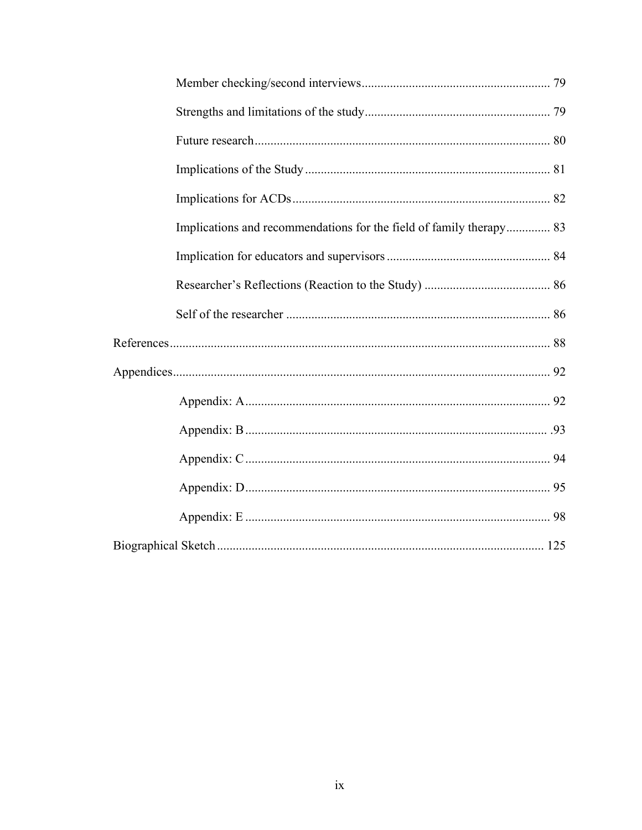| Implications and recommendations for the field of family therapy 83 |  |
|---------------------------------------------------------------------|--|
|                                                                     |  |
|                                                                     |  |
|                                                                     |  |
|                                                                     |  |
|                                                                     |  |
|                                                                     |  |
|                                                                     |  |
|                                                                     |  |
|                                                                     |  |
|                                                                     |  |
|                                                                     |  |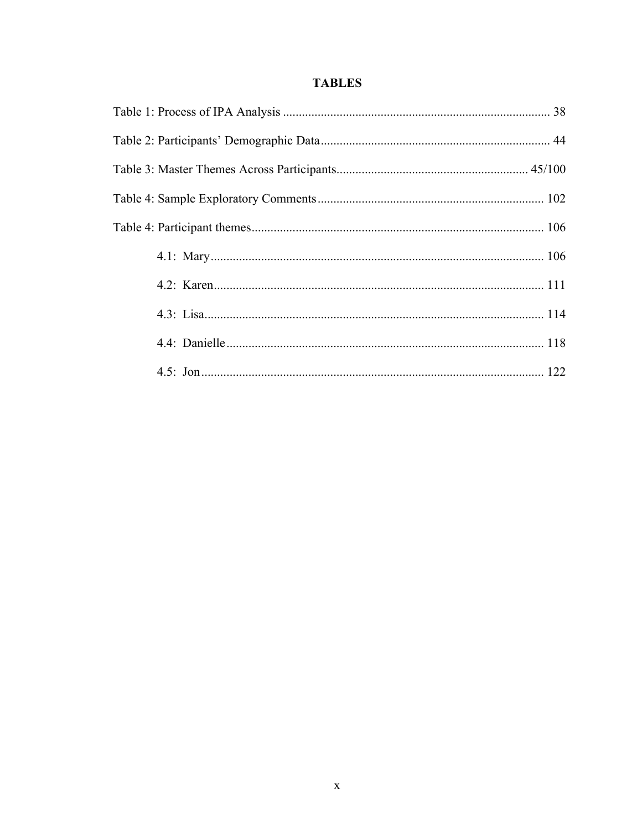# **TABLES**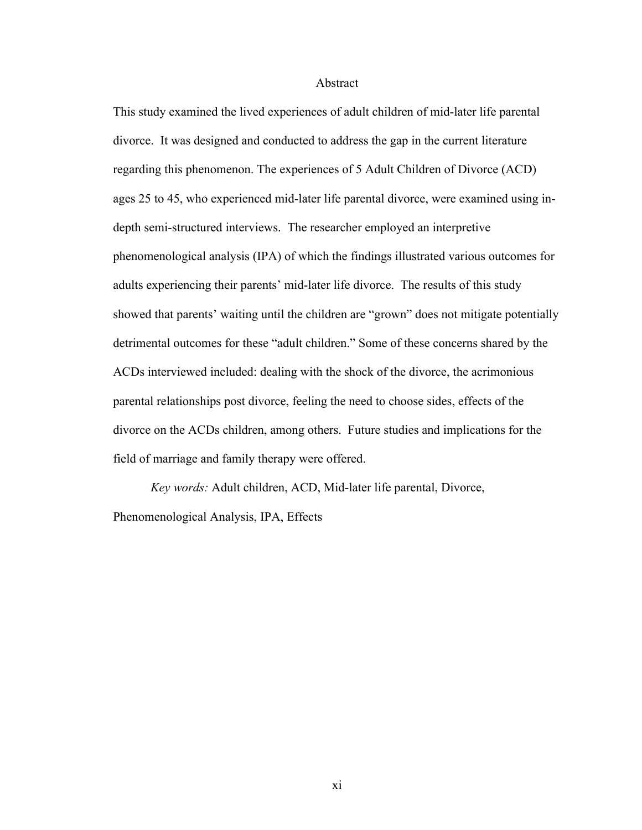### Abstract

This study examined the lived experiences of adult children of mid-later life parental divorce. It was designed and conducted to address the gap in the current literature regarding this phenomenon. The experiences of 5 Adult Children of Divorce (ACD) ages 25 to 45, who experienced mid-later life parental divorce, were examined using indepth semi-structured interviews. The researcher employed an interpretive phenomenological analysis (IPA) of which the findings illustrated various outcomes for adults experiencing their parents' mid-later life divorce. The results of this study showed that parents' waiting until the children are "grown" does not mitigate potentially detrimental outcomes for these "adult children." Some of these concerns shared by the ACDs interviewed included: dealing with the shock of the divorce, the acrimonious parental relationships post divorce, feeling the need to choose sides, effects of the divorce on the ACDs children, among others. Future studies and implications for the field of marriage and family therapy were offered.

*Key words:* Adult children, ACD, Mid-later life parental, Divorce, Phenomenological Analysis, IPA, Effects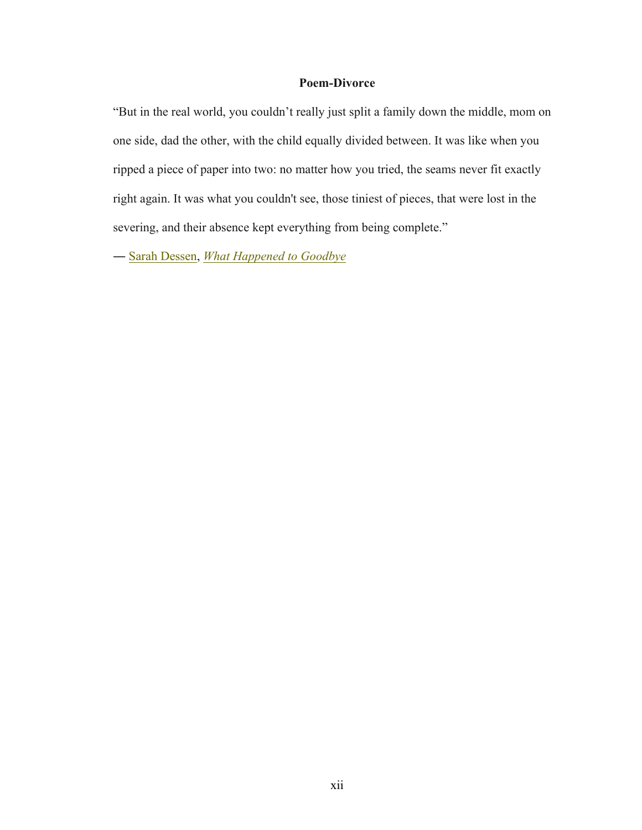# **Poem-Divorce**

"But in the real world, you couldn't really just split a family down the middle, mom on one side, dad the other, with the child equally divided between. It was like when you ripped a piece of paper into two: no matter how you tried, the seams never fit exactly right again. It was what you couldn't see, those tiniest of pieces, that were lost in the severing, and their absence kept everything from being complete."

― Sarah Dessen, *What Happened to Goodbye*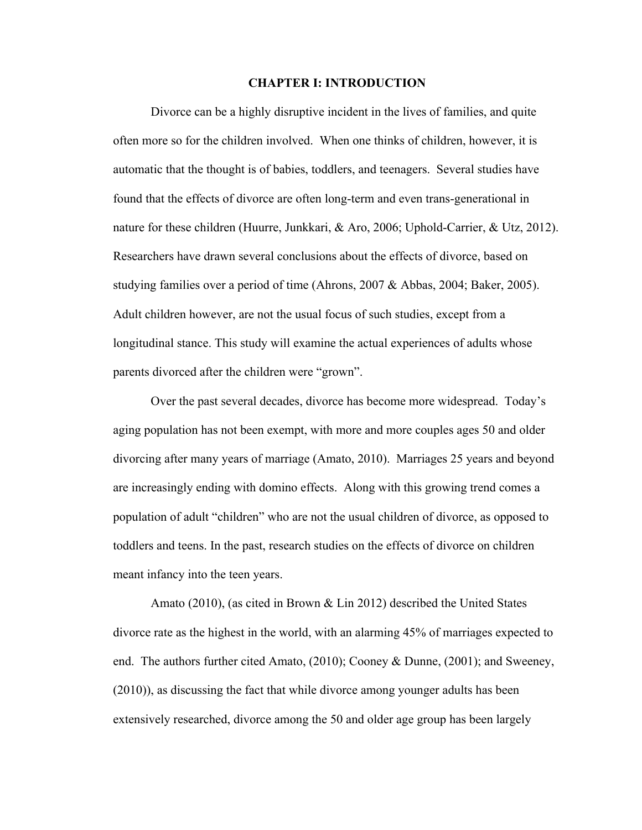### **CHAPTER I: INTRODUCTION**

Divorce can be a highly disruptive incident in the lives of families, and quite often more so for the children involved. When one thinks of children, however, it is automatic that the thought is of babies, toddlers, and teenagers. Several studies have found that the effects of divorce are often long-term and even trans-generational in nature for these children (Huurre, Junkkari, & Aro, 2006; Uphold-Carrier, & Utz, 2012). Researchers have drawn several conclusions about the effects of divorce, based on studying families over a period of time (Ahrons, 2007 & Abbas, 2004; Baker, 2005). Adult children however, are not the usual focus of such studies, except from a longitudinal stance. This study will examine the actual experiences of adults whose parents divorced after the children were "grown".

Over the past several decades, divorce has become more widespread. Today's aging population has not been exempt, with more and more couples ages 50 and older divorcing after many years of marriage (Amato, 2010). Marriages 25 years and beyond are increasingly ending with domino effects. Along with this growing trend comes a population of adult "children" who are not the usual children of divorce, as opposed to toddlers and teens. In the past, research studies on the effects of divorce on children meant infancy into the teen years.

Amato (2010), (as cited in Brown & Lin 2012) described the United States divorce rate as the highest in the world, with an alarming 45% of marriages expected to end. The authors further cited Amato, (2010); Cooney & Dunne, (2001); and Sweeney, (2010)), as discussing the fact that while divorce among younger adults has been extensively researched, divorce among the 50 and older age group has been largely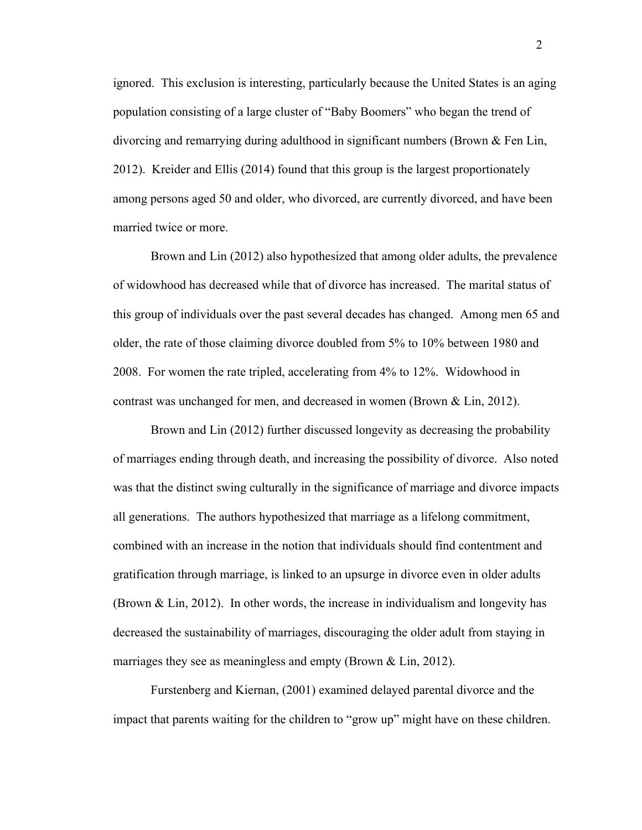ignored. This exclusion is interesting, particularly because the United States is an aging population consisting of a large cluster of "Baby Boomers" who began the trend of divorcing and remarrying during adulthood in significant numbers (Brown & Fen Lin, 2012). Kreider and Ellis (2014) found that this group is the largest proportionately among persons aged 50 and older, who divorced, are currently divorced, and have been married twice or more.

Brown and Lin (2012) also hypothesized that among older adults, the prevalence of widowhood has decreased while that of divorce has increased. The marital status of this group of individuals over the past several decades has changed. Among men 65 and older, the rate of those claiming divorce doubled from 5% to 10% between 1980 and 2008. For women the rate tripled, accelerating from 4% to 12%. Widowhood in contrast was unchanged for men, and decreased in women (Brown & Lin, 2012).

Brown and Lin (2012) further discussed longevity as decreasing the probability of marriages ending through death, and increasing the possibility of divorce. Also noted was that the distinct swing culturally in the significance of marriage and divorce impacts all generations. The authors hypothesized that marriage as a lifelong commitment, combined with an increase in the notion that individuals should find contentment and gratification through marriage, is linked to an upsurge in divorce even in older adults (Brown & Lin, 2012). In other words, the increase in individualism and longevity has decreased the sustainability of marriages, discouraging the older adult from staying in marriages they see as meaningless and empty (Brown & Lin, 2012).

Furstenberg and Kiernan, (2001) examined delayed parental divorce and the impact that parents waiting for the children to "grow up" might have on these children.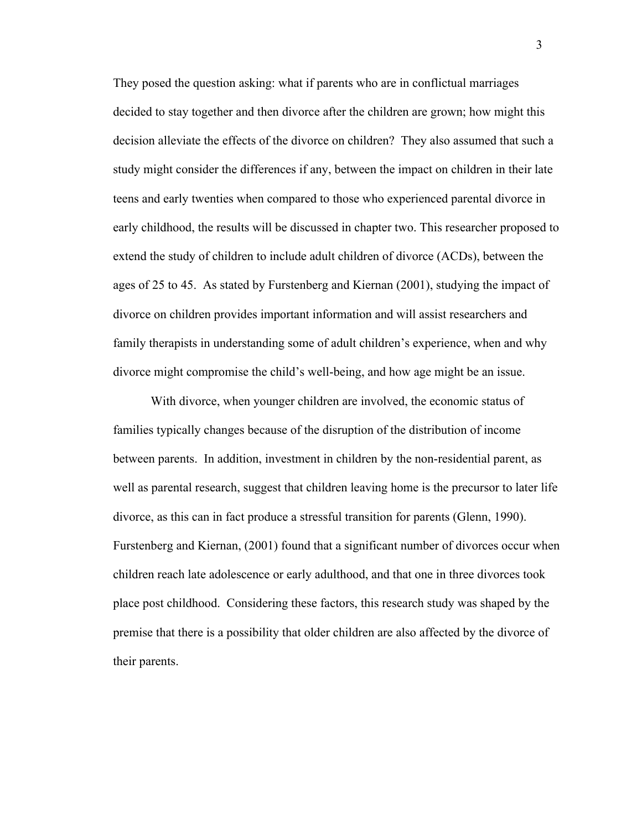They posed the question asking: what if parents who are in conflictual marriages decided to stay together and then divorce after the children are grown; how might this decision alleviate the effects of the divorce on children? They also assumed that such a study might consider the differences if any, between the impact on children in their late teens and early twenties when compared to those who experienced parental divorce in early childhood, the results will be discussed in chapter two. This researcher proposed to extend the study of children to include adult children of divorce (ACDs), between the ages of 25 to 45. As stated by Furstenberg and Kiernan (2001), studying the impact of divorce on children provides important information and will assist researchers and family therapists in understanding some of adult children's experience, when and why divorce might compromise the child's well-being, and how age might be an issue.

With divorce, when younger children are involved, the economic status of families typically changes because of the disruption of the distribution of income between parents. In addition, investment in children by the non-residential parent, as well as parental research, suggest that children leaving home is the precursor to later life divorce, as this can in fact produce a stressful transition for parents (Glenn, 1990). Furstenberg and Kiernan, (2001) found that a significant number of divorces occur when children reach late adolescence or early adulthood, and that one in three divorces took place post childhood. Considering these factors, this research study was shaped by the premise that there is a possibility that older children are also affected by the divorce of their parents.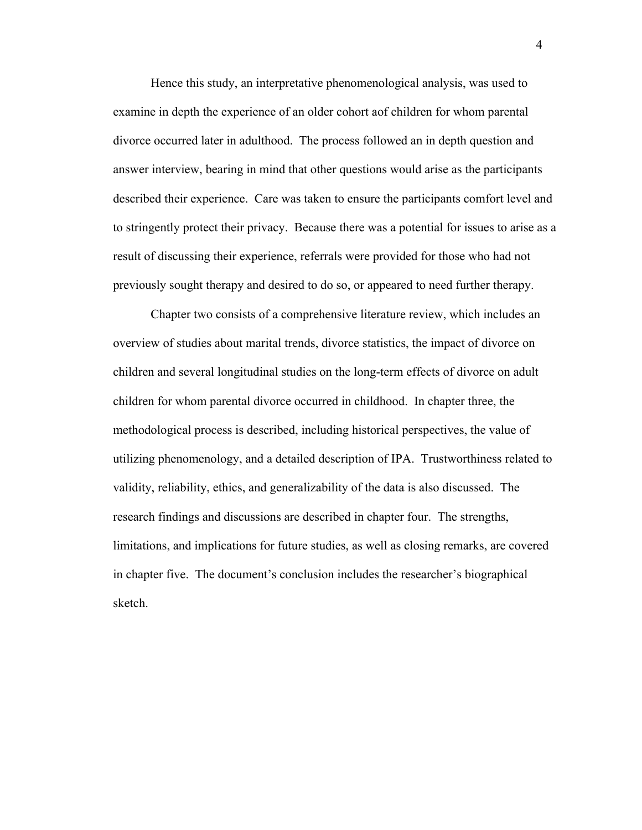Hence this study, an interpretative phenomenological analysis, was used to examine in depth the experience of an older cohort aof children for whom parental divorce occurred later in adulthood. The process followed an in depth question and answer interview, bearing in mind that other questions would arise as the participants described their experience. Care was taken to ensure the participants comfort level and to stringently protect their privacy. Because there was a potential for issues to arise as a result of discussing their experience, referrals were provided for those who had not previously sought therapy and desired to do so, or appeared to need further therapy.

Chapter two consists of a comprehensive literature review, which includes an overview of studies about marital trends, divorce statistics, the impact of divorce on children and several longitudinal studies on the long-term effects of divorce on adult children for whom parental divorce occurred in childhood. In chapter three, the methodological process is described, including historical perspectives, the value of utilizing phenomenology, and a detailed description of IPA. Trustworthiness related to validity, reliability, ethics, and generalizability of the data is also discussed. The research findings and discussions are described in chapter four. The strengths, limitations, and implications for future studies, as well as closing remarks, are covered in chapter five. The document's conclusion includes the researcher's biographical sketch.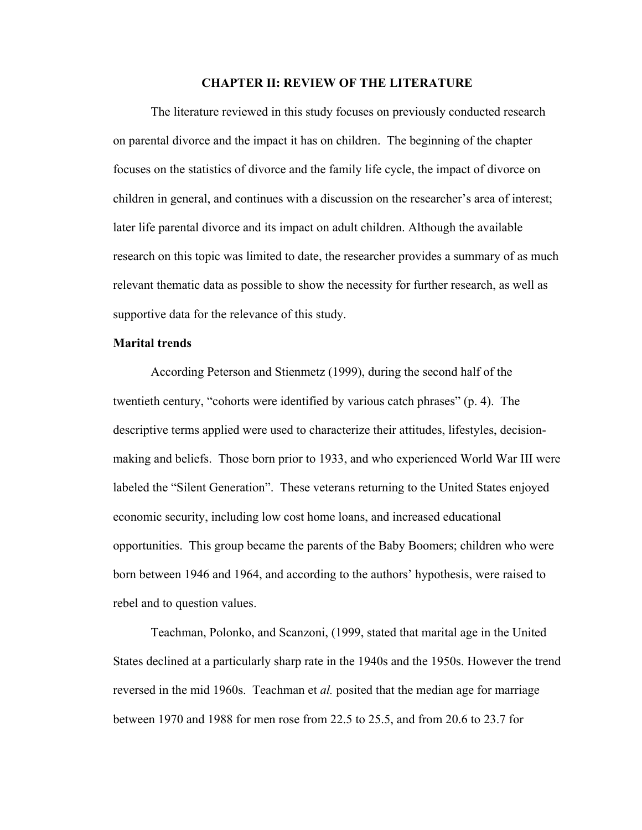## **CHAPTER II: REVIEW OF THE LITERATURE**

The literature reviewed in this study focuses on previously conducted research on parental divorce and the impact it has on children. The beginning of the chapter focuses on the statistics of divorce and the family life cycle, the impact of divorce on children in general, and continues with a discussion on the researcher's area of interest; later life parental divorce and its impact on adult children. Although the available research on this topic was limited to date, the researcher provides a summary of as much relevant thematic data as possible to show the necessity for further research, as well as supportive data for the relevance of this study.

## **Marital trends**

According Peterson and Stienmetz (1999), during the second half of the twentieth century, "cohorts were identified by various catch phrases" (p. 4). The descriptive terms applied were used to characterize their attitudes, lifestyles, decisionmaking and beliefs. Those born prior to 1933, and who experienced World War III were labeled the "Silent Generation". These veterans returning to the United States enjoyed economic security, including low cost home loans, and increased educational opportunities. This group became the parents of the Baby Boomers; children who were born between 1946 and 1964, and according to the authors' hypothesis, were raised to rebel and to question values.

Teachman, Polonko, and Scanzoni, (1999, stated that marital age in the United States declined at a particularly sharp rate in the 1940s and the 1950s. However the trend reversed in the mid 1960s. Teachman et *al.* posited that the median age for marriage between 1970 and 1988 for men rose from 22.5 to 25.5, and from 20.6 to 23.7 for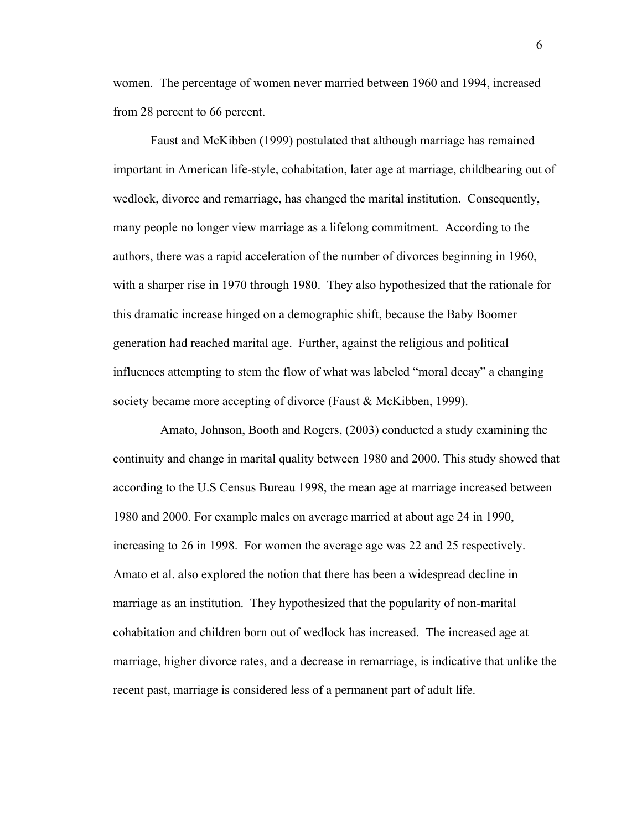women. The percentage of women never married between 1960 and 1994, increased from 28 percent to 66 percent.

Faust and McKibben (1999) postulated that although marriage has remained important in American life-style, cohabitation, later age at marriage, childbearing out of wedlock, divorce and remarriage, has changed the marital institution. Consequently, many people no longer view marriage as a lifelong commitment. According to the authors, there was a rapid acceleration of the number of divorces beginning in 1960, with a sharper rise in 1970 through 1980. They also hypothesized that the rationale for this dramatic increase hinged on a demographic shift, because the Baby Boomer generation had reached marital age. Further, against the religious and political influences attempting to stem the flow of what was labeled "moral decay" a changing society became more accepting of divorce (Faust & McKibben, 1999).

 Amato, Johnson, Booth and Rogers, (2003) conducted a study examining the continuity and change in marital quality between 1980 and 2000. This study showed that according to the U.S Census Bureau 1998, the mean age at marriage increased between 1980 and 2000. For example males on average married at about age 24 in 1990, increasing to 26 in 1998. For women the average age was 22 and 25 respectively. Amato et al. also explored the notion that there has been a widespread decline in marriage as an institution. They hypothesized that the popularity of non-marital cohabitation and children born out of wedlock has increased. The increased age at marriage, higher divorce rates, and a decrease in remarriage, is indicative that unlike the recent past, marriage is considered less of a permanent part of adult life.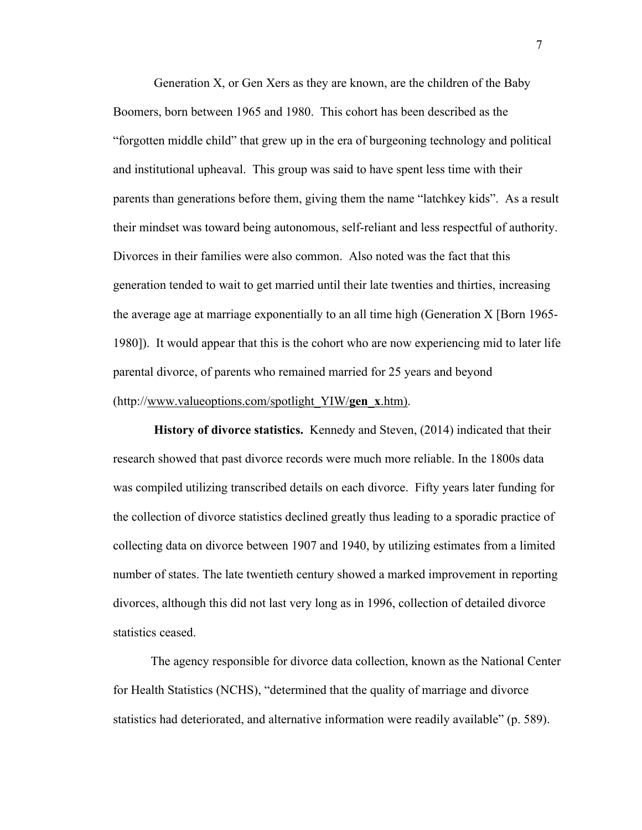Generation X, or Gen Xers as they are known, are the children of the Baby Boomers, born between 1965 and 1980. This cohort has been described as the "forgotten middle child" that grew up in the era of burgeoning technology and political and institutional upheaval. This group was said to have spent less time with their parents than generations before them, giving them the name "latchkey kids". As a result their mindset was toward being autonomous, self-reliant and less respectful of authority. Divorces in their families were also common. Also noted was the fact that this generation tended to wait to get married until their late twenties and thirties, increasing the average age at marriage exponentially to an all time high (Generation X [Born 1965- 1980]). It would appear that this is the cohort who are now experiencing mid to later life parental divorce, of parents who remained married for 25 years and beyond (http://www.valueoptions.com/spotlight\_YIW/**gen**\_**x**.htm).

**History of divorce statistics.** Kennedy and Steven, (2014) indicated that their research showed that past divorce records were much more reliable. In the 1800s data was compiled utilizing transcribed details on each divorce. Fifty years later funding for the collection of divorce statistics declined greatly thus leading to a sporadic practice of collecting data on divorce between 1907 and 1940, by utilizing estimates from a limited number of states. The late twentieth century showed a marked improvement in reporting divorces, although this did not last very long as in 1996, collection of detailed divorce statistics ceased.

The agency responsible for divorce data collection, known as the National Center for Health Statistics (NCHS), "determined that the quality of marriage and divorce statistics had deteriorated, and alternative information were readily available" (p. 589).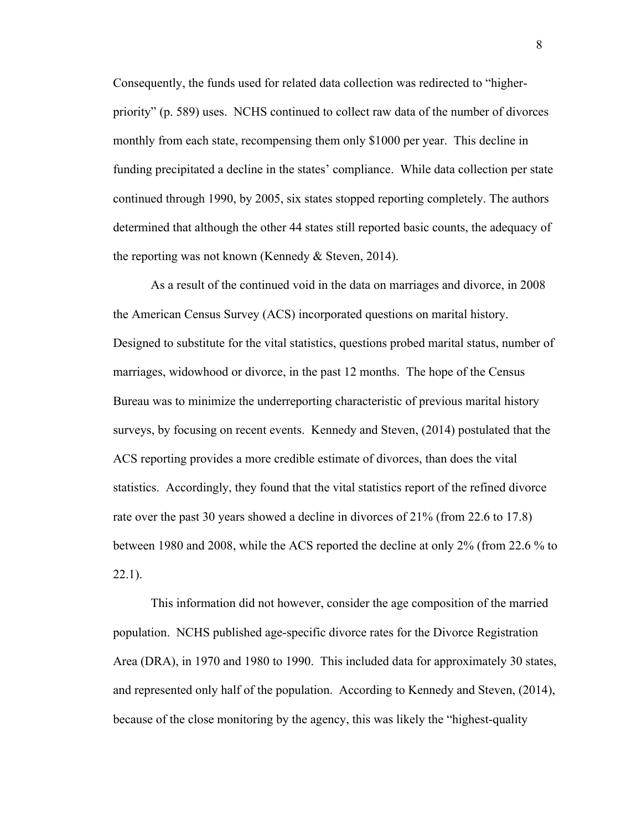Consequently, the funds used for related data collection was redirected to "higherpriority" (p. 589) uses. NCHS continued to collect raw data of the number of divorces monthly from each state, recompensing them only \$1000 per year. This decline in funding precipitated a decline in the states' compliance. While data collection per state continued through 1990, by 2005, six states stopped reporting completely. The authors determined that although the other 44 states still reported basic counts, the adequacy of the reporting was not known (Kennedy & Steven, 2014).

As a result of the continued void in the data on marriages and divorce, in 2008 the American Census Survey (ACS) incorporated questions on marital history. Designed to substitute for the vital statistics, questions probed marital status, number of marriages, widowhood or divorce, in the past 12 months. The hope of the Census Bureau was to minimize the underreporting characteristic of previous marital history surveys, by focusing on recent events. Kennedy and Steven, (2014) postulated that the ACS reporting provides a more credible estimate of divorces, than does the vital statistics. Accordingly, they found that the vital statistics report of the refined divorce rate over the past 30 years showed a decline in divorces of 21% (from 22.6 to 17.8) between 1980 and 2008, while the ACS reported the decline at only 2% (from 22.6 % to  $22.1$ ).

This information did not however, consider the age composition of the married population. NCHS published age-specific divorce rates for the Divorce Registration Area (DRA), in 1970 and 1980 to 1990. This included data for approximately 30 states, and represented only half of the population. According to Kennedy and Steven, (2014), because of the close monitoring by the agency, this was likely the "highest-quality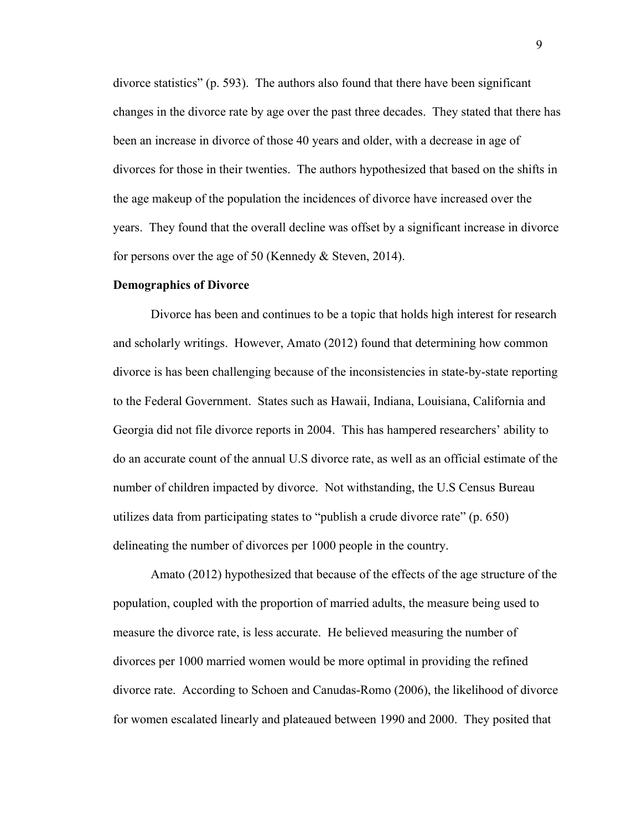divorce statistics" (p. 593). The authors also found that there have been significant changes in the divorce rate by age over the past three decades. They stated that there has been an increase in divorce of those 40 years and older, with a decrease in age of divorces for those in their twenties. The authors hypothesized that based on the shifts in the age makeup of the population the incidences of divorce have increased over the years. They found that the overall decline was offset by a significant increase in divorce for persons over the age of 50 (Kennedy & Steven, 2014).

#### **Demographics of Divorce**

Divorce has been and continues to be a topic that holds high interest for research and scholarly writings. However, Amato (2012) found that determining how common divorce is has been challenging because of the inconsistencies in state-by-state reporting to the Federal Government. States such as Hawaii, Indiana, Louisiana, California and Georgia did not file divorce reports in 2004. This has hampered researchers' ability to do an accurate count of the annual U.S divorce rate, as well as an official estimate of the number of children impacted by divorce. Not withstanding, the U.S Census Bureau utilizes data from participating states to "publish a crude divorce rate" (p. 650) delineating the number of divorces per 1000 people in the country.

Amato (2012) hypothesized that because of the effects of the age structure of the population, coupled with the proportion of married adults, the measure being used to measure the divorce rate, is less accurate. He believed measuring the number of divorces per 1000 married women would be more optimal in providing the refined divorce rate. According to Schoen and Canudas-Romo (2006), the likelihood of divorce for women escalated linearly and plateaued between 1990 and 2000. They posited that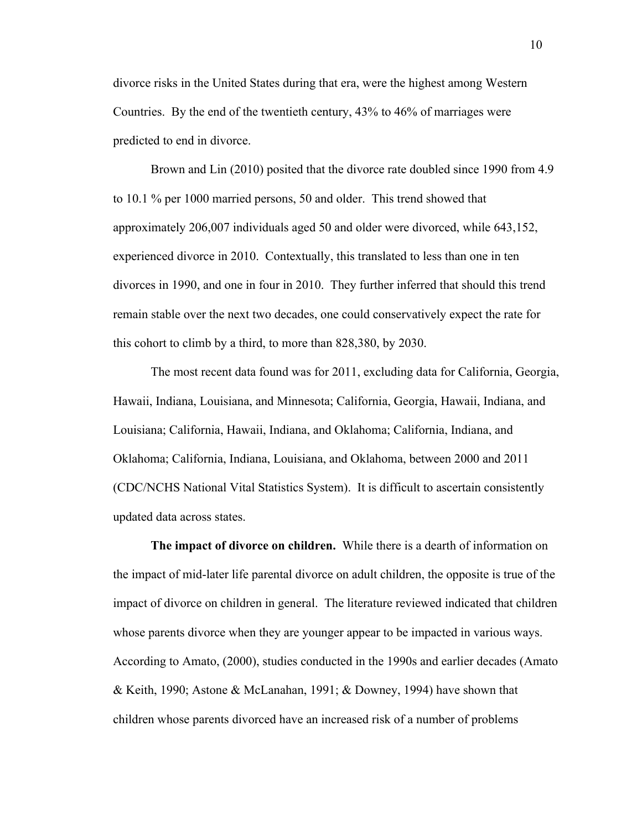divorce risks in the United States during that era, were the highest among Western Countries. By the end of the twentieth century, 43% to 46% of marriages were predicted to end in divorce.

Brown and Lin (2010) posited that the divorce rate doubled since 1990 from 4.9 to 10.1 % per 1000 married persons, 50 and older. This trend showed that approximately 206,007 individuals aged 50 and older were divorced, while 643,152, experienced divorce in 2010. Contextually, this translated to less than one in ten divorces in 1990, and one in four in 2010. They further inferred that should this trend remain stable over the next two decades, one could conservatively expect the rate for this cohort to climb by a third, to more than 828,380, by 2030.

The most recent data found was for 2011, excluding data for California, Georgia, Hawaii, Indiana, Louisiana, and Minnesota; California, Georgia, Hawaii, Indiana, and Louisiana; California, Hawaii, Indiana, and Oklahoma; California, Indiana, and Oklahoma; California, Indiana, Louisiana, and Oklahoma, between 2000 and 2011 (CDC/NCHS National Vital Statistics System). It is difficult to ascertain consistently updated data across states.

**The impact of divorce on children.** While there is a dearth of information on the impact of mid-later life parental divorce on adult children, the opposite is true of the impact of divorce on children in general. The literature reviewed indicated that children whose parents divorce when they are younger appear to be impacted in various ways. According to Amato, (2000), studies conducted in the 1990s and earlier decades (Amato & Keith, 1990; Astone & McLanahan, 1991; & Downey, 1994) have shown that children whose parents divorced have an increased risk of a number of problems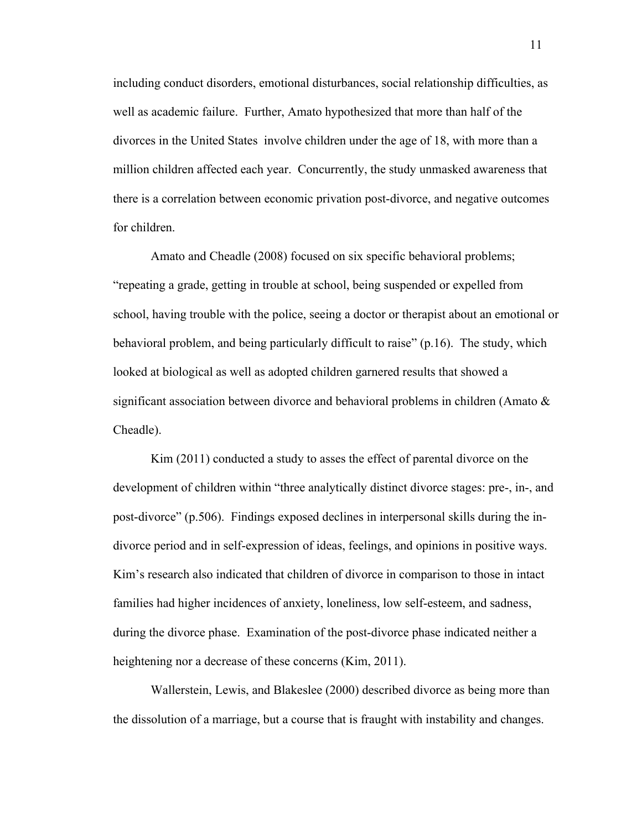including conduct disorders, emotional disturbances, social relationship difficulties, as well as academic failure. Further, Amato hypothesized that more than half of the divorces in the United States involve children under the age of 18, with more than a million children affected each year. Concurrently, the study unmasked awareness that there is a correlation between economic privation post-divorce, and negative outcomes for children.

Amato and Cheadle (2008) focused on six specific behavioral problems; "repeating a grade, getting in trouble at school, being suspended or expelled from school, having trouble with the police, seeing a doctor or therapist about an emotional or behavioral problem, and being particularly difficult to raise" (p.16). The study, which looked at biological as well as adopted children garnered results that showed a significant association between divorce and behavioral problems in children (Amato & Cheadle).

Kim (2011) conducted a study to asses the effect of parental divorce on the development of children within "three analytically distinct divorce stages: pre-, in-, and post-divorce" (p.506). Findings exposed declines in interpersonal skills during the indivorce period and in self-expression of ideas, feelings, and opinions in positive ways. Kim's research also indicated that children of divorce in comparison to those in intact families had higher incidences of anxiety, loneliness, low self-esteem, and sadness, during the divorce phase. Examination of the post-divorce phase indicated neither a heightening nor a decrease of these concerns (Kim, 2011).

Wallerstein, Lewis, and Blakeslee (2000) described divorce as being more than the dissolution of a marriage, but a course that is fraught with instability and changes.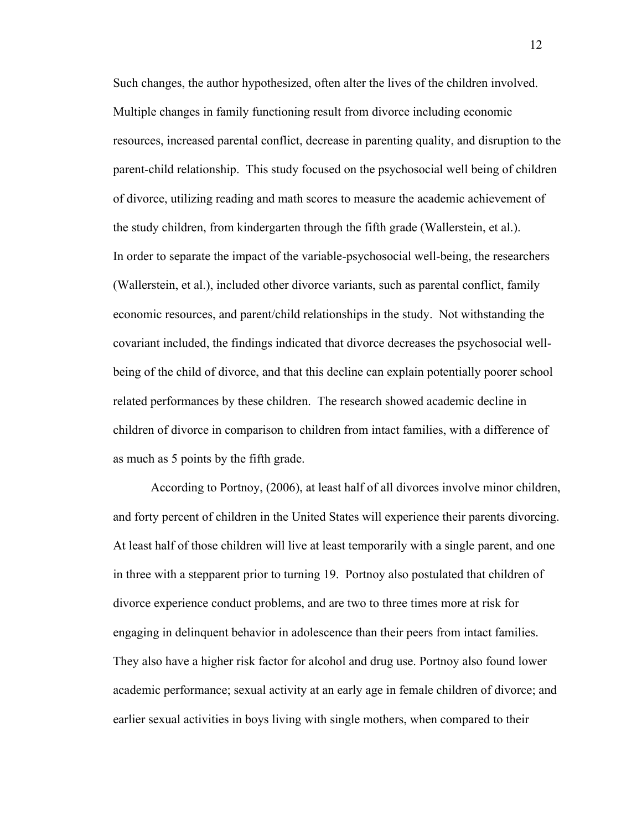Such changes, the author hypothesized, often alter the lives of the children involved. Multiple changes in family functioning result from divorce including economic resources, increased parental conflict, decrease in parenting quality, and disruption to the parent-child relationship. This study focused on the psychosocial well being of children of divorce, utilizing reading and math scores to measure the academic achievement of the study children, from kindergarten through the fifth grade (Wallerstein, et al.). In order to separate the impact of the variable-psychosocial well-being, the researchers (Wallerstein, et al.), included other divorce variants, such as parental conflict, family economic resources, and parent/child relationships in the study. Not withstanding the covariant included, the findings indicated that divorce decreases the psychosocial wellbeing of the child of divorce, and that this decline can explain potentially poorer school related performances by these children. The research showed academic decline in children of divorce in comparison to children from intact families, with a difference of as much as 5 points by the fifth grade.

According to Portnoy, (2006), at least half of all divorces involve minor children, and forty percent of children in the United States will experience their parents divorcing. At least half of those children will live at least temporarily with a single parent, and one in three with a stepparent prior to turning 19. Portnoy also postulated that children of divorce experience conduct problems, and are two to three times more at risk for engaging in delinquent behavior in adolescence than their peers from intact families. They also have a higher risk factor for alcohol and drug use. Portnoy also found lower academic performance; sexual activity at an early age in female children of divorce; and earlier sexual activities in boys living with single mothers, when compared to their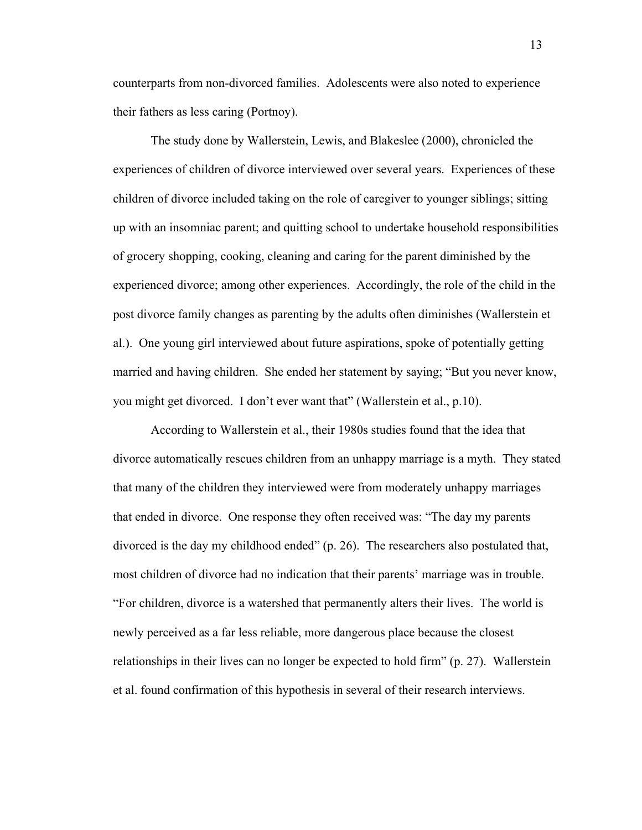counterparts from non-divorced families. Adolescents were also noted to experience their fathers as less caring (Portnoy).

The study done by Wallerstein, Lewis, and Blakeslee (2000), chronicled the experiences of children of divorce interviewed over several years. Experiences of these children of divorce included taking on the role of caregiver to younger siblings; sitting up with an insomniac parent; and quitting school to undertake household responsibilities of grocery shopping, cooking, cleaning and caring for the parent diminished by the experienced divorce; among other experiences. Accordingly, the role of the child in the post divorce family changes as parenting by the adults often diminishes (Wallerstein et al.). One young girl interviewed about future aspirations, spoke of potentially getting married and having children. She ended her statement by saying; "But you never know, you might get divorced. I don't ever want that" (Wallerstein et al., p.10).

According to Wallerstein et al., their 1980s studies found that the idea that divorce automatically rescues children from an unhappy marriage is a myth. They stated that many of the children they interviewed were from moderately unhappy marriages that ended in divorce. One response they often received was: "The day my parents divorced is the day my childhood ended" (p. 26). The researchers also postulated that, most children of divorce had no indication that their parents' marriage was in trouble. "For children, divorce is a watershed that permanently alters their lives. The world is newly perceived as a far less reliable, more dangerous place because the closest relationships in their lives can no longer be expected to hold firm" (p. 27). Wallerstein et al. found confirmation of this hypothesis in several of their research interviews.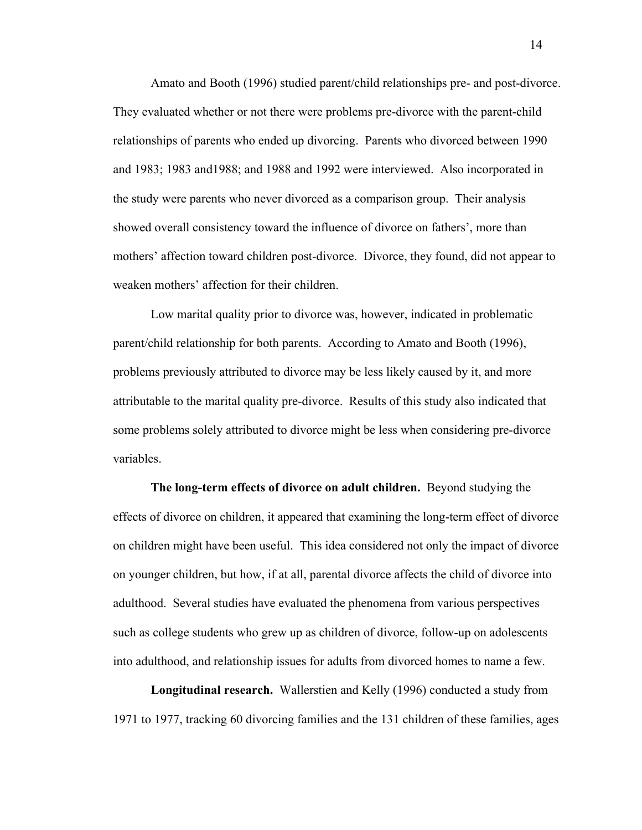Amato and Booth (1996) studied parent/child relationships pre- and post-divorce. They evaluated whether or not there were problems pre-divorce with the parent-child relationships of parents who ended up divorcing. Parents who divorced between 1990 and 1983; 1983 and1988; and 1988 and 1992 were interviewed. Also incorporated in the study were parents who never divorced as a comparison group. Their analysis showed overall consistency toward the influence of divorce on fathers', more than mothers' affection toward children post-divorce. Divorce, they found, did not appear to weaken mothers' affection for their children.

Low marital quality prior to divorce was, however, indicated in problematic parent/child relationship for both parents. According to Amato and Booth (1996), problems previously attributed to divorce may be less likely caused by it, and more attributable to the marital quality pre-divorce. Results of this study also indicated that some problems solely attributed to divorce might be less when considering pre-divorce variables.

**The long-term effects of divorce on adult children.** Beyond studying the effects of divorce on children, it appeared that examining the long-term effect of divorce on children might have been useful. This idea considered not only the impact of divorce on younger children, but how, if at all, parental divorce affects the child of divorce into adulthood. Several studies have evaluated the phenomena from various perspectives such as college students who grew up as children of divorce, follow-up on adolescents into adulthood, and relationship issues for adults from divorced homes to name a few.

**Longitudinal research.** Wallerstien and Kelly (1996) conducted a study from 1971 to 1977, tracking 60 divorcing families and the 131 children of these families, ages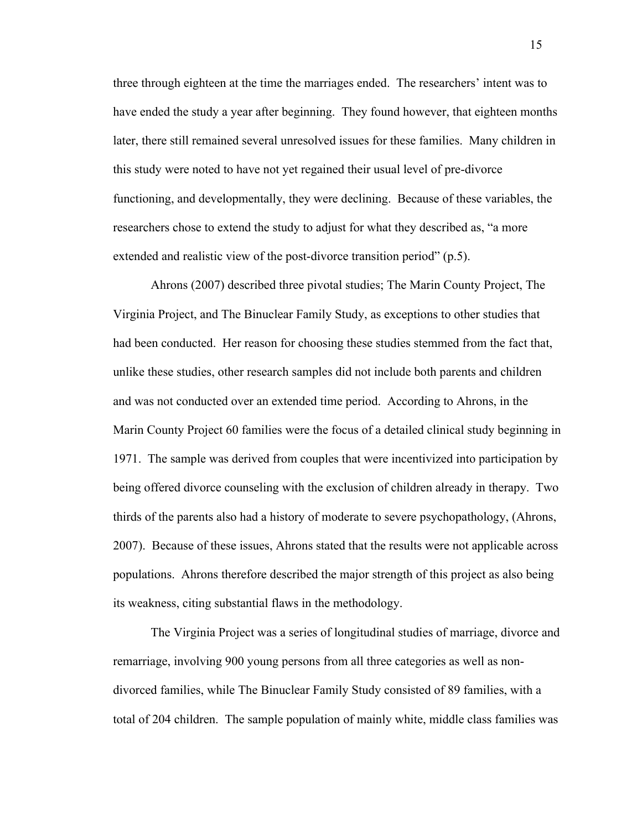three through eighteen at the time the marriages ended. The researchers' intent was to have ended the study a year after beginning. They found however, that eighteen months later, there still remained several unresolved issues for these families. Many children in this study were noted to have not yet regained their usual level of pre-divorce functioning, and developmentally, they were declining. Because of these variables, the researchers chose to extend the study to adjust for what they described as, "a more extended and realistic view of the post-divorce transition period" (p.5).

Ahrons (2007) described three pivotal studies; The Marin County Project, The Virginia Project, and The Binuclear Family Study, as exceptions to other studies that had been conducted. Her reason for choosing these studies stemmed from the fact that, unlike these studies, other research samples did not include both parents and children and was not conducted over an extended time period. According to Ahrons, in the Marin County Project 60 families were the focus of a detailed clinical study beginning in 1971. The sample was derived from couples that were incentivized into participation by being offered divorce counseling with the exclusion of children already in therapy. Two thirds of the parents also had a history of moderate to severe psychopathology, (Ahrons, 2007). Because of these issues, Ahrons stated that the results were not applicable across populations. Ahrons therefore described the major strength of this project as also being its weakness, citing substantial flaws in the methodology.

The Virginia Project was a series of longitudinal studies of marriage, divorce and remarriage, involving 900 young persons from all three categories as well as nondivorced families, while The Binuclear Family Study consisted of 89 families, with a total of 204 children. The sample population of mainly white, middle class families was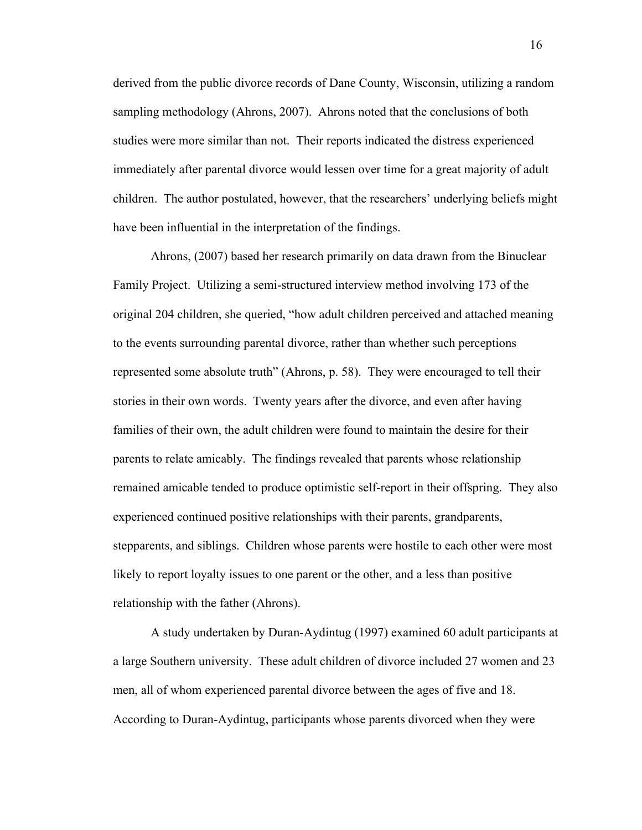derived from the public divorce records of Dane County, Wisconsin, utilizing a random sampling methodology (Ahrons, 2007). Ahrons noted that the conclusions of both studies were more similar than not. Their reports indicated the distress experienced immediately after parental divorce would lessen over time for a great majority of adult children. The author postulated, however, that the researchers' underlying beliefs might have been influential in the interpretation of the findings.

Ahrons, (2007) based her research primarily on data drawn from the Binuclear Family Project. Utilizing a semi-structured interview method involving 173 of the original 204 children, she queried, "how adult children perceived and attached meaning to the events surrounding parental divorce, rather than whether such perceptions represented some absolute truth" (Ahrons, p. 58). They were encouraged to tell their stories in their own words. Twenty years after the divorce, and even after having families of their own, the adult children were found to maintain the desire for their parents to relate amicably. The findings revealed that parents whose relationship remained amicable tended to produce optimistic self-report in their offspring. They also experienced continued positive relationships with their parents, grandparents, stepparents, and siblings. Children whose parents were hostile to each other were most likely to report loyalty issues to one parent or the other, and a less than positive relationship with the father (Ahrons).

A study undertaken by Duran-Aydintug (1997) examined 60 adult participants at a large Southern university. These adult children of divorce included 27 women and 23 men, all of whom experienced parental divorce between the ages of five and 18. According to Duran-Aydintug, participants whose parents divorced when they were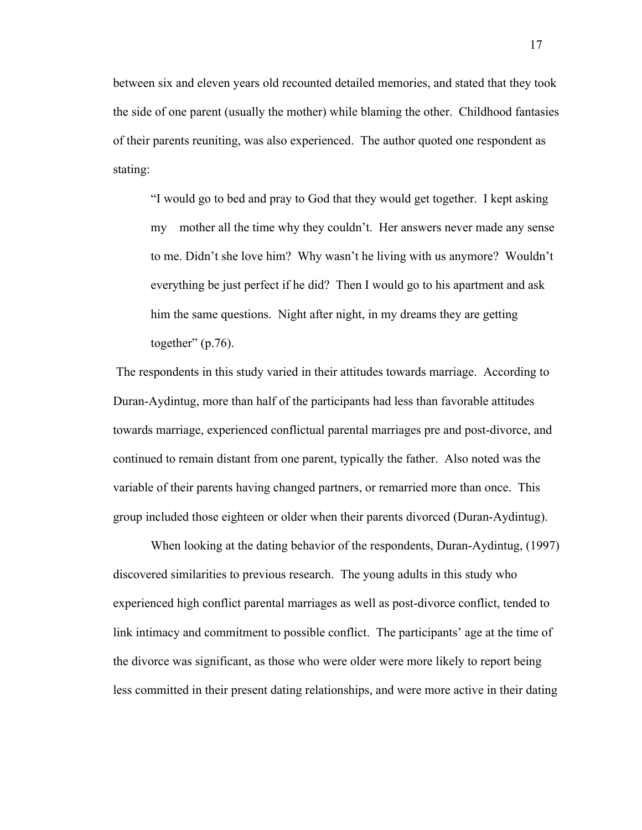between six and eleven years old recounted detailed memories, and stated that they took the side of one parent (usually the mother) while blaming the other. Childhood fantasies of their parents reuniting, was also experienced. The author quoted one respondent as stating:

"I would go to bed and pray to God that they would get together. I kept asking my mother all the time why they couldn't. Her answers never made any sense to me. Didn't she love him? Why wasn't he living with us anymore? Wouldn't everything be just perfect if he did? Then I would go to his apartment and ask him the same questions. Night after night, in my dreams they are getting together"  $(p.76)$ .

The respondents in this study varied in their attitudes towards marriage. According to Duran-Aydintug, more than half of the participants had less than favorable attitudes towards marriage, experienced conflictual parental marriages pre and post-divorce, and continued to remain distant from one parent, typically the father. Also noted was the variable of their parents having changed partners, or remarried more than once. This group included those eighteen or older when their parents divorced (Duran-Aydintug).

When looking at the dating behavior of the respondents, Duran-Aydintug, (1997) discovered similarities to previous research. The young adults in this study who experienced high conflict parental marriages as well as post-divorce conflict, tended to link intimacy and commitment to possible conflict. The participants' age at the time of the divorce was significant, as those who were older were more likely to report being less committed in their present dating relationships, and were more active in their dating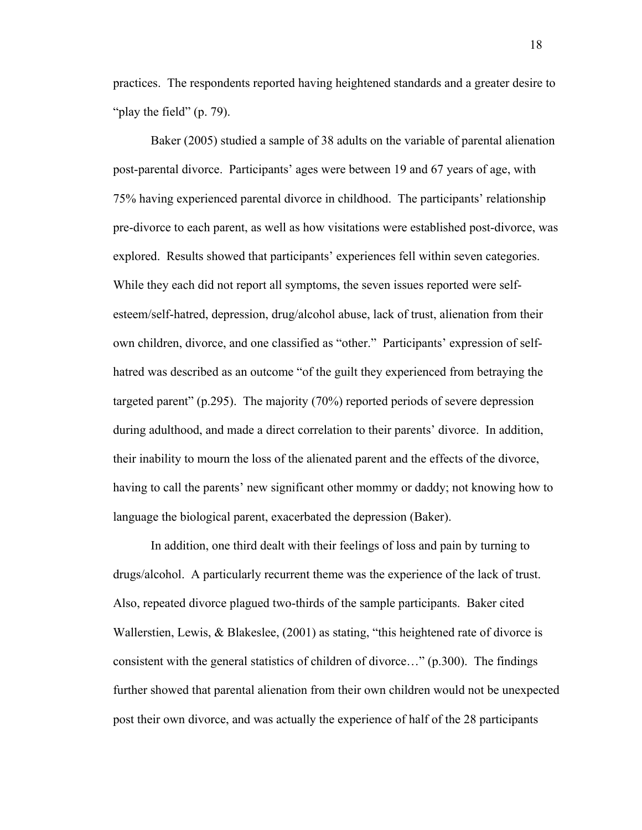practices. The respondents reported having heightened standards and a greater desire to "play the field" (p. 79).

Baker (2005) studied a sample of 38 adults on the variable of parental alienation post-parental divorce. Participants' ages were between 19 and 67 years of age, with 75% having experienced parental divorce in childhood. The participants' relationship pre-divorce to each parent, as well as how visitations were established post-divorce, was explored. Results showed that participants' experiences fell within seven categories. While they each did not report all symptoms, the seven issues reported were selfesteem/self-hatred, depression, drug/alcohol abuse, lack of trust, alienation from their own children, divorce, and one classified as "other." Participants' expression of selfhatred was described as an outcome "of the guilt they experienced from betraying the targeted parent" (p.295). The majority (70%) reported periods of severe depression during adulthood, and made a direct correlation to their parents' divorce. In addition, their inability to mourn the loss of the alienated parent and the effects of the divorce, having to call the parents' new significant other mommy or daddy; not knowing how to language the biological parent, exacerbated the depression (Baker).

In addition, one third dealt with their feelings of loss and pain by turning to drugs/alcohol. A particularly recurrent theme was the experience of the lack of trust. Also, repeated divorce plagued two-thirds of the sample participants. Baker cited Wallerstien, Lewis, & Blakeslee, (2001) as stating, "this heightened rate of divorce is consistent with the general statistics of children of divorce…" (p.300). The findings further showed that parental alienation from their own children would not be unexpected post their own divorce, and was actually the experience of half of the 28 participants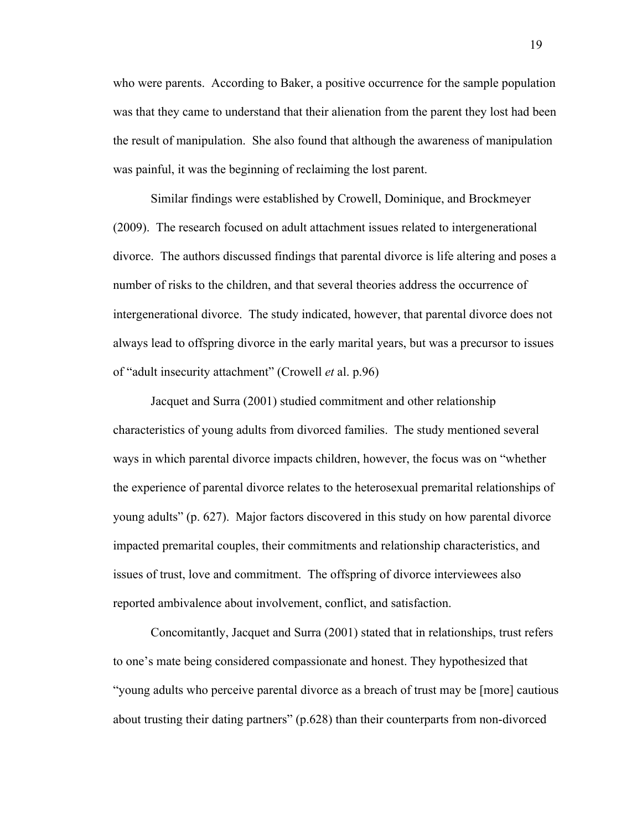who were parents. According to Baker, a positive occurrence for the sample population was that they came to understand that their alienation from the parent they lost had been the result of manipulation. She also found that although the awareness of manipulation was painful, it was the beginning of reclaiming the lost parent.

Similar findings were established by Crowell, Dominique, and Brockmeyer (2009). The research focused on adult attachment issues related to intergenerational divorce. The authors discussed findings that parental divorce is life altering and poses a number of risks to the children, and that several theories address the occurrence of intergenerational divorce. The study indicated, however, that parental divorce does not always lead to offspring divorce in the early marital years, but was a precursor to issues of "adult insecurity attachment" (Crowell *et* al. p.96)

Jacquet and Surra (2001) studied commitment and other relationship characteristics of young adults from divorced families. The study mentioned several ways in which parental divorce impacts children, however, the focus was on "whether the experience of parental divorce relates to the heterosexual premarital relationships of young adults" (p. 627). Major factors discovered in this study on how parental divorce impacted premarital couples, their commitments and relationship characteristics, and issues of trust, love and commitment. The offspring of divorce interviewees also reported ambivalence about involvement, conflict, and satisfaction.

Concomitantly, Jacquet and Surra (2001) stated that in relationships, trust refers to one's mate being considered compassionate and honest. They hypothesized that "young adults who perceive parental divorce as a breach of trust may be [more] cautious about trusting their dating partners" (p.628) than their counterparts from non-divorced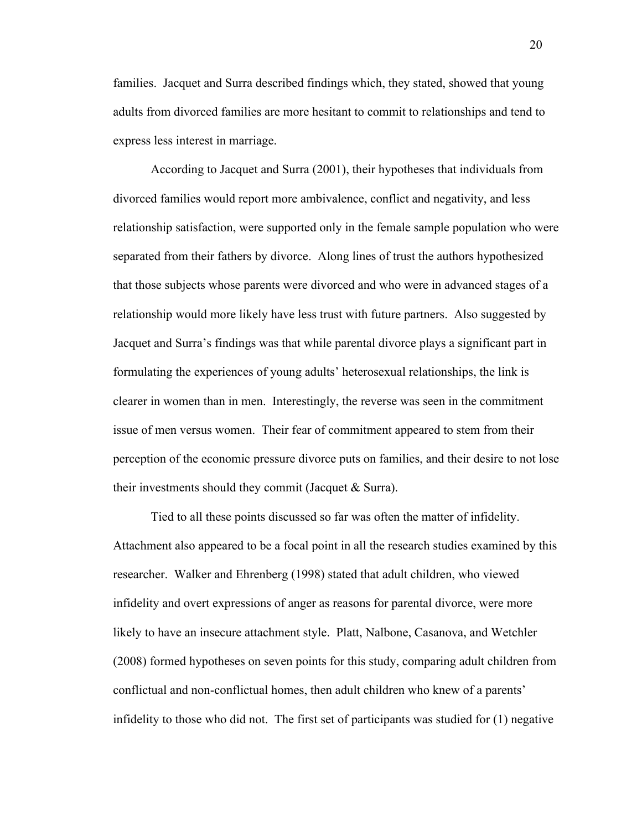families. Jacquet and Surra described findings which, they stated, showed that young adults from divorced families are more hesitant to commit to relationships and tend to express less interest in marriage.

According to Jacquet and Surra (2001), their hypotheses that individuals from divorced families would report more ambivalence, conflict and negativity, and less relationship satisfaction, were supported only in the female sample population who were separated from their fathers by divorce. Along lines of trust the authors hypothesized that those subjects whose parents were divorced and who were in advanced stages of a relationship would more likely have less trust with future partners. Also suggested by Jacquet and Surra's findings was that while parental divorce plays a significant part in formulating the experiences of young adults' heterosexual relationships, the link is clearer in women than in men. Interestingly, the reverse was seen in the commitment issue of men versus women. Their fear of commitment appeared to stem from their perception of the economic pressure divorce puts on families, and their desire to not lose their investments should they commit (Jacquet & Surra).

Tied to all these points discussed so far was often the matter of infidelity. Attachment also appeared to be a focal point in all the research studies examined by this researcher. Walker and Ehrenberg (1998) stated that adult children, who viewed infidelity and overt expressions of anger as reasons for parental divorce, were more likely to have an insecure attachment style. Platt, Nalbone, Casanova, and Wetchler (2008) formed hypotheses on seven points for this study, comparing adult children from conflictual and non-conflictual homes, then adult children who knew of a parents' infidelity to those who did not. The first set of participants was studied for (1) negative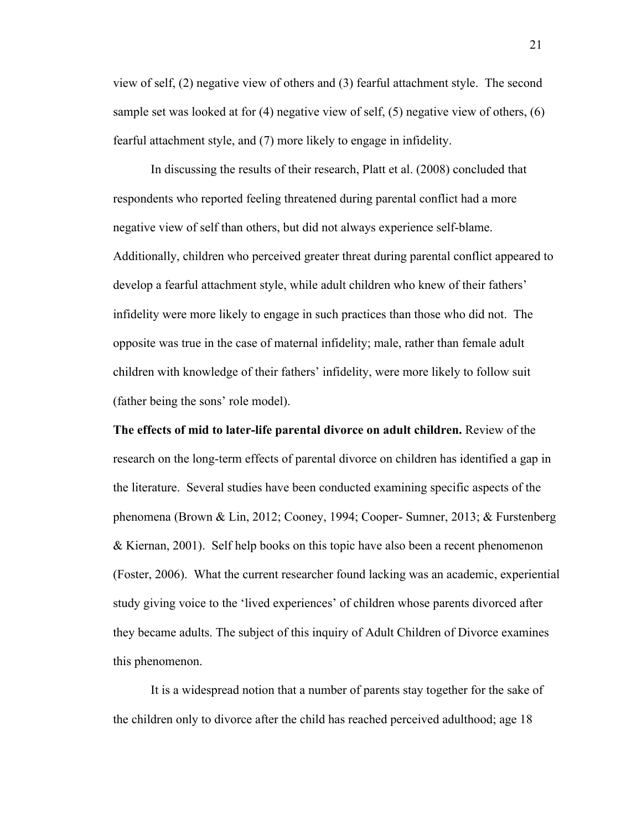view of self, (2) negative view of others and (3) fearful attachment style. The second sample set was looked at for (4) negative view of self, (5) negative view of others, (6) fearful attachment style, and (7) more likely to engage in infidelity.

In discussing the results of their research, Platt et al. (2008) concluded that respondents who reported feeling threatened during parental conflict had a more negative view of self than others, but did not always experience self-blame. Additionally, children who perceived greater threat during parental conflict appeared to develop a fearful attachment style, while adult children who knew of their fathers' infidelity were more likely to engage in such practices than those who did not. The opposite was true in the case of maternal infidelity; male, rather than female adult children with knowledge of their fathers' infidelity, were more likely to follow suit (father being the sons' role model).

**The effects of mid to later-life parental divorce on adult children.** Review of the research on the long-term effects of parental divorce on children has identified a gap in the literature. Several studies have been conducted examining specific aspects of the phenomena (Brown & Lin, 2012; Cooney, 1994; Cooper- Sumner, 2013; & Furstenberg & Kiernan, 2001). Self help books on this topic have also been a recent phenomenon (Foster, 2006). What the current researcher found lacking was an academic, experiential study giving voice to the 'lived experiences' of children whose parents divorced after they became adults. The subject of this inquiry of Adult Children of Divorce examines this phenomenon.

It is a widespread notion that a number of parents stay together for the sake of the children only to divorce after the child has reached perceived adulthood; age 18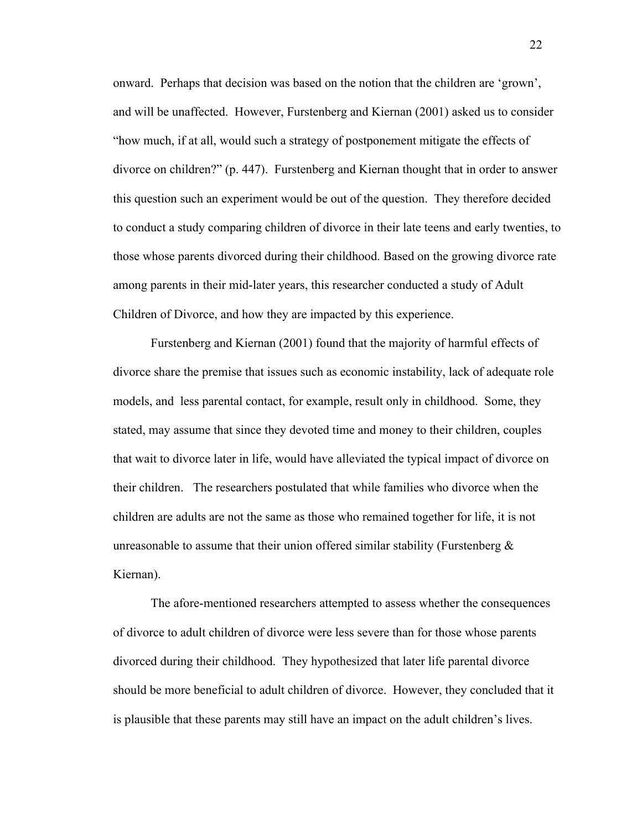onward. Perhaps that decision was based on the notion that the children are 'grown', and will be unaffected. However, Furstenberg and Kiernan (2001) asked us to consider "how much, if at all, would such a strategy of postponement mitigate the effects of divorce on children?" (p. 447). Furstenberg and Kiernan thought that in order to answer this question such an experiment would be out of the question. They therefore decided to conduct a study comparing children of divorce in their late teens and early twenties, to those whose parents divorced during their childhood. Based on the growing divorce rate among parents in their mid-later years, this researcher conducted a study of Adult Children of Divorce, and how they are impacted by this experience.

Furstenberg and Kiernan (2001) found that the majority of harmful effects of divorce share the premise that issues such as economic instability, lack of adequate role models, and less parental contact, for example, result only in childhood. Some, they stated, may assume that since they devoted time and money to their children, couples that wait to divorce later in life, would have alleviated the typical impact of divorce on their children. The researchers postulated that while families who divorce when the children are adults are not the same as those who remained together for life, it is not unreasonable to assume that their union offered similar stability (Furstenberg  $\&$ Kiernan).

The afore-mentioned researchers attempted to assess whether the consequences of divorce to adult children of divorce were less severe than for those whose parents divorced during their childhood. They hypothesized that later life parental divorce should be more beneficial to adult children of divorce. However, they concluded that it is plausible that these parents may still have an impact on the adult children's lives.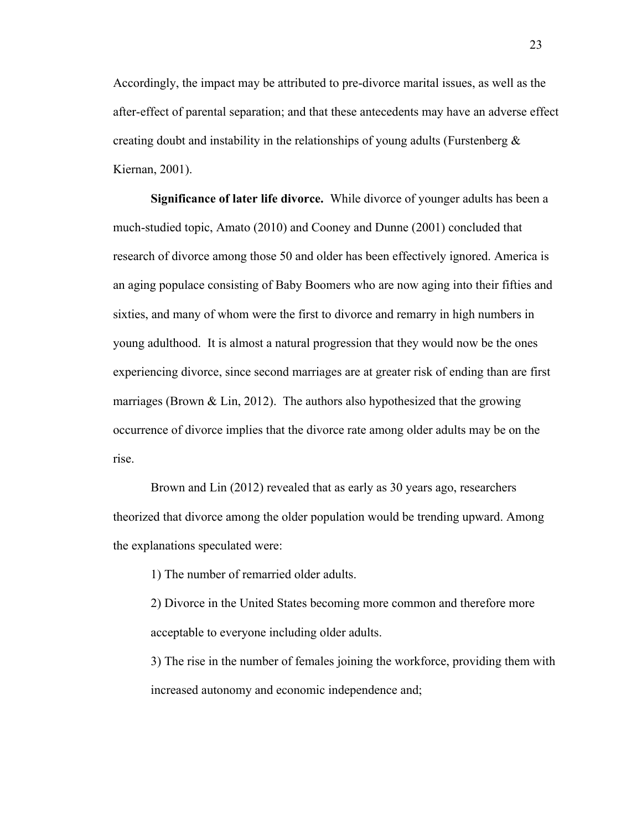Accordingly, the impact may be attributed to pre-divorce marital issues, as well as the after-effect of parental separation; and that these antecedents may have an adverse effect creating doubt and instability in the relationships of young adults (Furstenberg  $\&$ Kiernan, 2001).

**Significance of later life divorce.** While divorce of younger adults has been a much-studied topic, Amato (2010) and Cooney and Dunne (2001) concluded that research of divorce among those 50 and older has been effectively ignored. America is an aging populace consisting of Baby Boomers who are now aging into their fifties and sixties, and many of whom were the first to divorce and remarry in high numbers in young adulthood. It is almost a natural progression that they would now be the ones experiencing divorce, since second marriages are at greater risk of ending than are first marriages (Brown  $\&$  Lin, 2012). The authors also hypothesized that the growing occurrence of divorce implies that the divorce rate among older adults may be on the rise.

Brown and Lin (2012) revealed that as early as 30 years ago, researchers theorized that divorce among the older population would be trending upward. Among the explanations speculated were:

1) The number of remarried older adults.

2) Divorce in the United States becoming more common and therefore more acceptable to everyone including older adults.

3) The rise in the number of females joining the workforce, providing them with increased autonomy and economic independence and;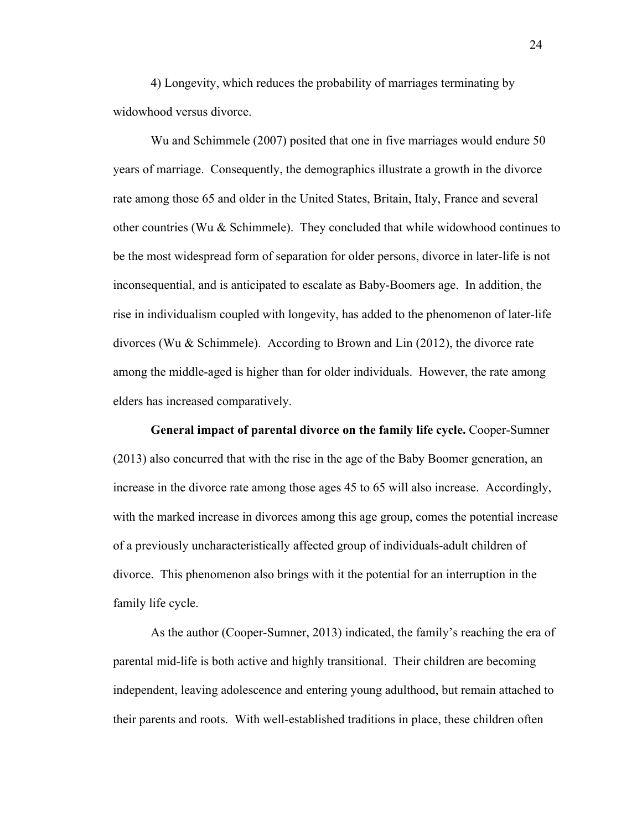4) Longevity, which reduces the probability of marriages terminating by widowhood versus divorce.

Wu and Schimmele (2007) posited that one in five marriages would endure 50 years of marriage. Consequently, the demographics illustrate a growth in the divorce rate among those 65 and older in the United States, Britain, Italy, France and several other countries (Wu  $&$  Schimmele). They concluded that while widowhood continues to be the most widespread form of separation for older persons, divorce in later-life is not inconsequential, and is anticipated to escalate as Baby-Boomers age. In addition, the rise in individualism coupled with longevity, has added to the phenomenon of later-life divorces (Wu & Schimmele). According to Brown and Lin (2012), the divorce rate among the middle-aged is higher than for older individuals. However, the rate among elders has increased comparatively.

**General impact of parental divorce on the family life cycle.** Cooper-Sumner (2013) also concurred that with the rise in the age of the Baby Boomer generation, an increase in the divorce rate among those ages 45 to 65 will also increase. Accordingly, with the marked increase in divorces among this age group, comes the potential increase of a previously uncharacteristically affected group of individuals-adult children of divorce. This phenomenon also brings with it the potential for an interruption in the family life cycle.

As the author (Cooper-Sumner, 2013) indicated, the family's reaching the era of parental mid-life is both active and highly transitional. Their children are becoming independent, leaving adolescence and entering young adulthood, but remain attached to their parents and roots. With well-established traditions in place, these children often

24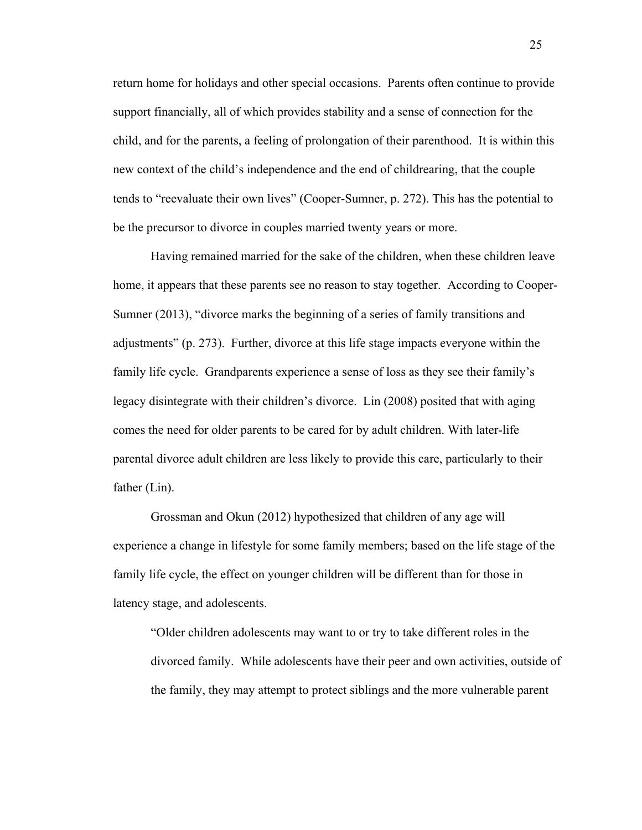return home for holidays and other special occasions. Parents often continue to provide support financially, all of which provides stability and a sense of connection for the child, and for the parents, a feeling of prolongation of their parenthood. It is within this new context of the child's independence and the end of childrearing, that the couple tends to "reevaluate their own lives" (Cooper-Sumner, p. 272). This has the potential to be the precursor to divorce in couples married twenty years or more.

Having remained married for the sake of the children, when these children leave home, it appears that these parents see no reason to stay together. According to Cooper-Sumner (2013), "divorce marks the beginning of a series of family transitions and adjustments" (p. 273). Further, divorce at this life stage impacts everyone within the family life cycle. Grandparents experience a sense of loss as they see their family's legacy disintegrate with their children's divorce. Lin (2008) posited that with aging comes the need for older parents to be cared for by adult children. With later-life parental divorce adult children are less likely to provide this care, particularly to their father (Lin).

Grossman and Okun (2012) hypothesized that children of any age will experience a change in lifestyle for some family members; based on the life stage of the family life cycle, the effect on younger children will be different than for those in latency stage, and adolescents.

"Older children adolescents may want to or try to take different roles in the divorced family. While adolescents have their peer and own activities, outside of the family, they may attempt to protect siblings and the more vulnerable parent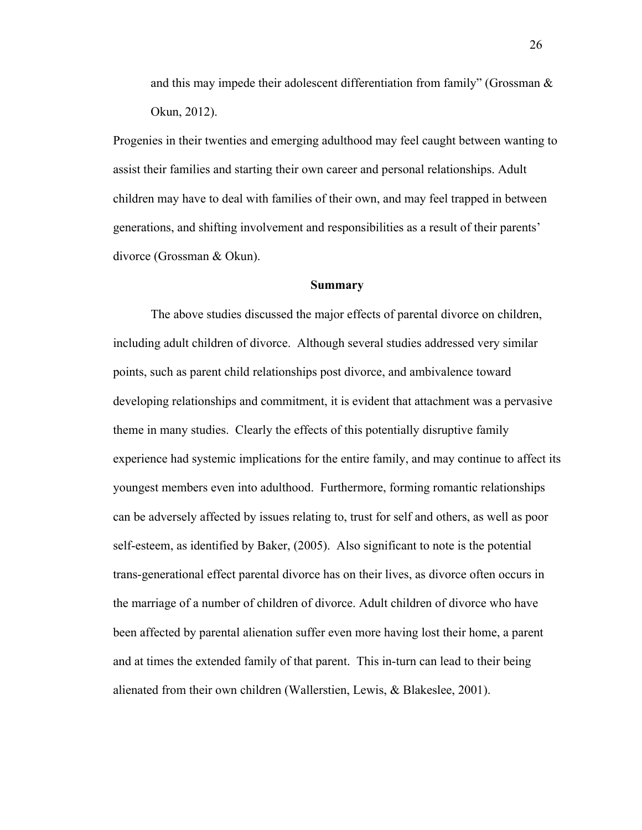and this may impede their adolescent differentiation from family" (Grossman  $\&$ Okun, 2012).

Progenies in their twenties and emerging adulthood may feel caught between wanting to assist their families and starting their own career and personal relationships. Adult children may have to deal with families of their own, and may feel trapped in between generations, and shifting involvement and responsibilities as a result of their parents' divorce (Grossman & Okun).

### **Summary**

The above studies discussed the major effects of parental divorce on children, including adult children of divorce. Although several studies addressed very similar points, such as parent child relationships post divorce, and ambivalence toward developing relationships and commitment, it is evident that attachment was a pervasive theme in many studies. Clearly the effects of this potentially disruptive family experience had systemic implications for the entire family, and may continue to affect its youngest members even into adulthood. Furthermore, forming romantic relationships can be adversely affected by issues relating to, trust for self and others, as well as poor self-esteem, as identified by Baker, (2005). Also significant to note is the potential trans-generational effect parental divorce has on their lives, as divorce often occurs in the marriage of a number of children of divorce. Adult children of divorce who have been affected by parental alienation suffer even more having lost their home, a parent and at times the extended family of that parent. This in-turn can lead to their being alienated from their own children (Wallerstien, Lewis, & Blakeslee, 2001).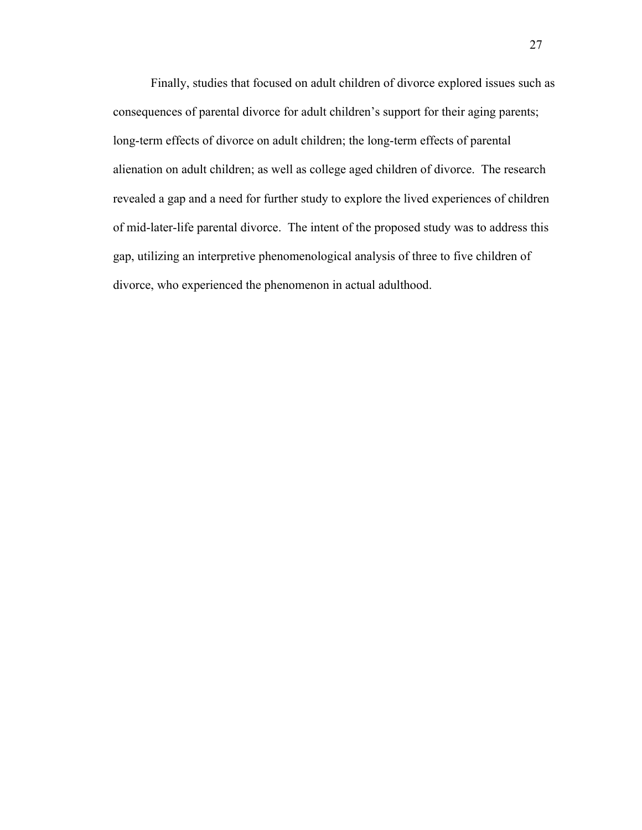Finally, studies that focused on adult children of divorce explored issues such as consequences of parental divorce for adult children's support for their aging parents; long-term effects of divorce on adult children; the long-term effects of parental alienation on adult children; as well as college aged children of divorce. The research revealed a gap and a need for further study to explore the lived experiences of children of mid-later-life parental divorce. The intent of the proposed study was to address this gap, utilizing an interpretive phenomenological analysis of three to five children of divorce, who experienced the phenomenon in actual adulthood.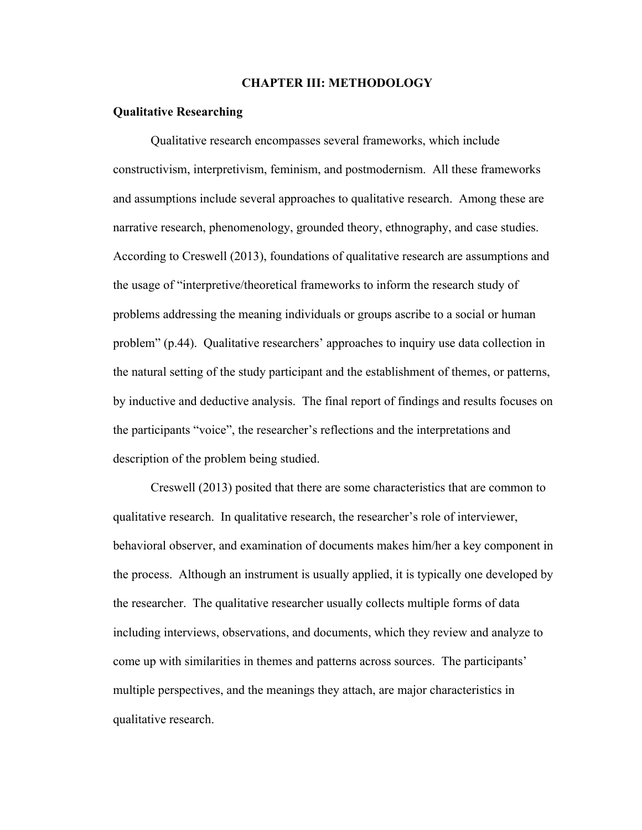### **CHAPTER III: METHODOLOGY**

## **Qualitative Researching**

 Qualitative research encompasses several frameworks, which include constructivism, interpretivism, feminism, and postmodernism. All these frameworks and assumptions include several approaches to qualitative research. Among these are narrative research, phenomenology, grounded theory, ethnography, and case studies. According to Creswell (2013), foundations of qualitative research are assumptions and the usage of "interpretive/theoretical frameworks to inform the research study of problems addressing the meaning individuals or groups ascribe to a social or human problem" (p.44). Qualitative researchers' approaches to inquiry use data collection in the natural setting of the study participant and the establishment of themes, or patterns, by inductive and deductive analysis. The final report of findings and results focuses on the participants "voice", the researcher's reflections and the interpretations and description of the problem being studied.

Creswell (2013) posited that there are some characteristics that are common to qualitative research. In qualitative research, the researcher's role of interviewer, behavioral observer, and examination of documents makes him/her a key component in the process. Although an instrument is usually applied, it is typically one developed by the researcher. The qualitative researcher usually collects multiple forms of data including interviews, observations, and documents, which they review and analyze to come up with similarities in themes and patterns across sources. The participants' multiple perspectives, and the meanings they attach, are major characteristics in qualitative research.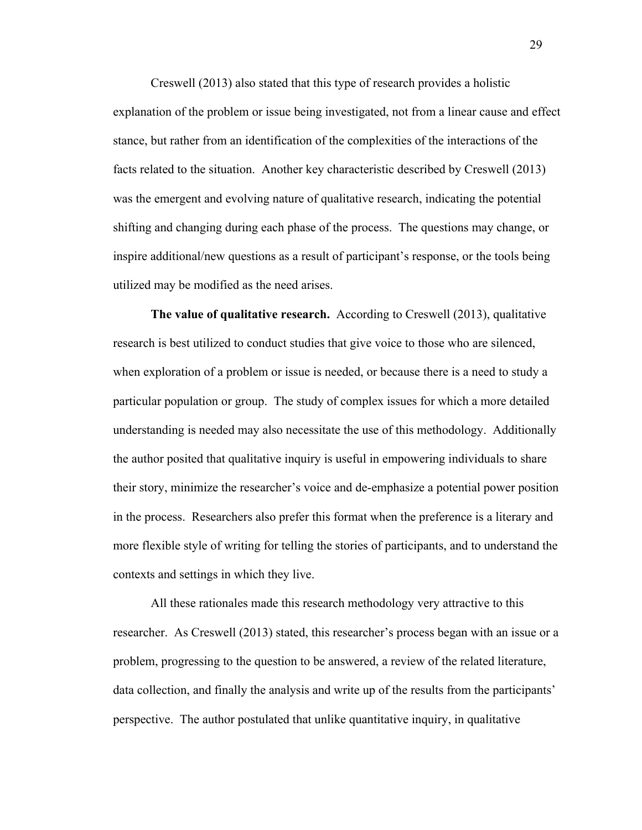Creswell (2013) also stated that this type of research provides a holistic explanation of the problem or issue being investigated, not from a linear cause and effect stance, but rather from an identification of the complexities of the interactions of the facts related to the situation. Another key characteristic described by Creswell (2013) was the emergent and evolving nature of qualitative research, indicating the potential shifting and changing during each phase of the process. The questions may change, or inspire additional/new questions as a result of participant's response, or the tools being utilized may be modified as the need arises.

**The value of qualitative research.** According to Creswell (2013), qualitative research is best utilized to conduct studies that give voice to those who are silenced, when exploration of a problem or issue is needed, or because there is a need to study a particular population or group. The study of complex issues for which a more detailed understanding is needed may also necessitate the use of this methodology. Additionally the author posited that qualitative inquiry is useful in empowering individuals to share their story, minimize the researcher's voice and de-emphasize a potential power position in the process. Researchers also prefer this format when the preference is a literary and more flexible style of writing for telling the stories of participants, and to understand the contexts and settings in which they live.

All these rationales made this research methodology very attractive to this researcher. As Creswell (2013) stated, this researcher's process began with an issue or a problem, progressing to the question to be answered, a review of the related literature, data collection, and finally the analysis and write up of the results from the participants' perspective. The author postulated that unlike quantitative inquiry, in qualitative

29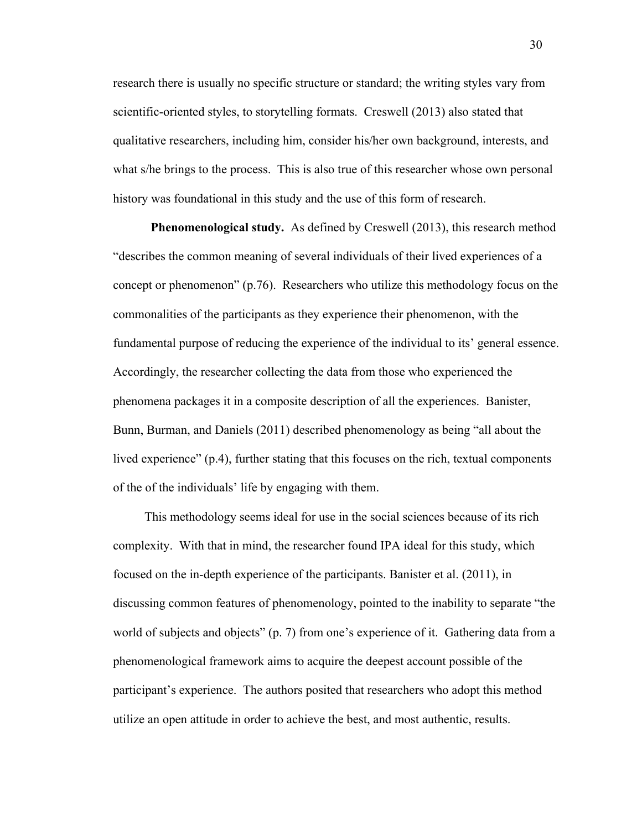research there is usually no specific structure or standard; the writing styles vary from scientific-oriented styles, to storytelling formats. Creswell (2013) also stated that qualitative researchers, including him, consider his/her own background, interests, and what s/he brings to the process. This is also true of this researcher whose own personal history was foundational in this study and the use of this form of research.

**Phenomenological study.** As defined by Creswell (2013), this research method "describes the common meaning of several individuals of their lived experiences of a concept or phenomenon" (p.76). Researchers who utilize this methodology focus on the commonalities of the participants as they experience their phenomenon, with the fundamental purpose of reducing the experience of the individual to its' general essence. Accordingly, the researcher collecting the data from those who experienced the phenomena packages it in a composite description of all the experiences. Banister, Bunn, Burman, and Daniels (2011) described phenomenology as being "all about the lived experience" (p.4), further stating that this focuses on the rich, textual components of the of the individuals' life by engaging with them.

 This methodology seems ideal for use in the social sciences because of its rich complexity. With that in mind, the researcher found IPA ideal for this study, which focused on the in-depth experience of the participants. Banister et al. (2011), in discussing common features of phenomenology, pointed to the inability to separate "the world of subjects and objects" (p. 7) from one's experience of it. Gathering data from a phenomenological framework aims to acquire the deepest account possible of the participant's experience. The authors posited that researchers who adopt this method utilize an open attitude in order to achieve the best, and most authentic, results.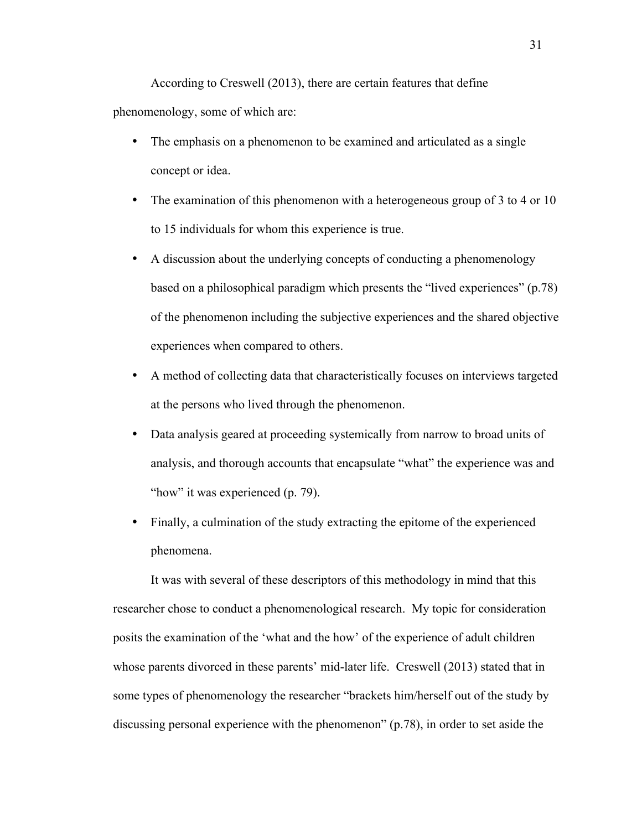According to Creswell (2013), there are certain features that define phenomenology, some of which are:

- The emphasis on a phenomenon to be examined and articulated as a single concept or idea.
- The examination of this phenomenon with a heterogeneous group of 3 to 4 or 10 to 15 individuals for whom this experience is true.
- A discussion about the underlying concepts of conducting a phenomenology based on a philosophical paradigm which presents the "lived experiences" (p.78) of the phenomenon including the subjective experiences and the shared objective experiences when compared to others.
- A method of collecting data that characteristically focuses on interviews targeted at the persons who lived through the phenomenon.
- Data analysis geared at proceeding systemically from narrow to broad units of analysis, and thorough accounts that encapsulate "what" the experience was and "how" it was experienced (p. 79).
- Finally, a culmination of the study extracting the epitome of the experienced phenomena.

 It was with several of these descriptors of this methodology in mind that this researcher chose to conduct a phenomenological research. My topic for consideration posits the examination of the 'what and the how' of the experience of adult children whose parents divorced in these parents' mid-later life. Creswell (2013) stated that in some types of phenomenology the researcher "brackets him/herself out of the study by discussing personal experience with the phenomenon" (p.78), in order to set aside the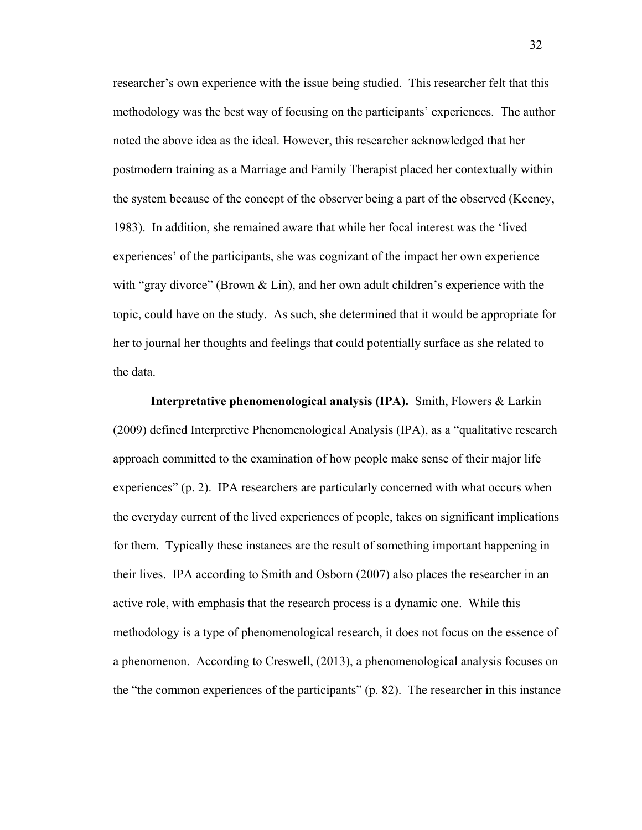researcher's own experience with the issue being studied. This researcher felt that this methodology was the best way of focusing on the participants' experiences. The author noted the above idea as the ideal. However, this researcher acknowledged that her postmodern training as a Marriage and Family Therapist placed her contextually within the system because of the concept of the observer being a part of the observed (Keeney, 1983). In addition, she remained aware that while her focal interest was the 'lived experiences' of the participants, she was cognizant of the impact her own experience with "gray divorce" (Brown  $\&$  Lin), and her own adult children's experience with the topic, could have on the study. As such, she determined that it would be appropriate for her to journal her thoughts and feelings that could potentially surface as she related to the data.

**Interpretative phenomenological analysis (IPA).** Smith, Flowers & Larkin (2009) defined Interpretive Phenomenological Analysis (IPA), as a "qualitative research approach committed to the examination of how people make sense of their major life experiences" (p. 2). IPA researchers are particularly concerned with what occurs when the everyday current of the lived experiences of people, takes on significant implications for them. Typically these instances are the result of something important happening in their lives. IPA according to Smith and Osborn (2007) also places the researcher in an active role, with emphasis that the research process is a dynamic one. While this methodology is a type of phenomenological research, it does not focus on the essence of a phenomenon. According to Creswell, (2013), a phenomenological analysis focuses on the "the common experiences of the participants" (p. 82). The researcher in this instance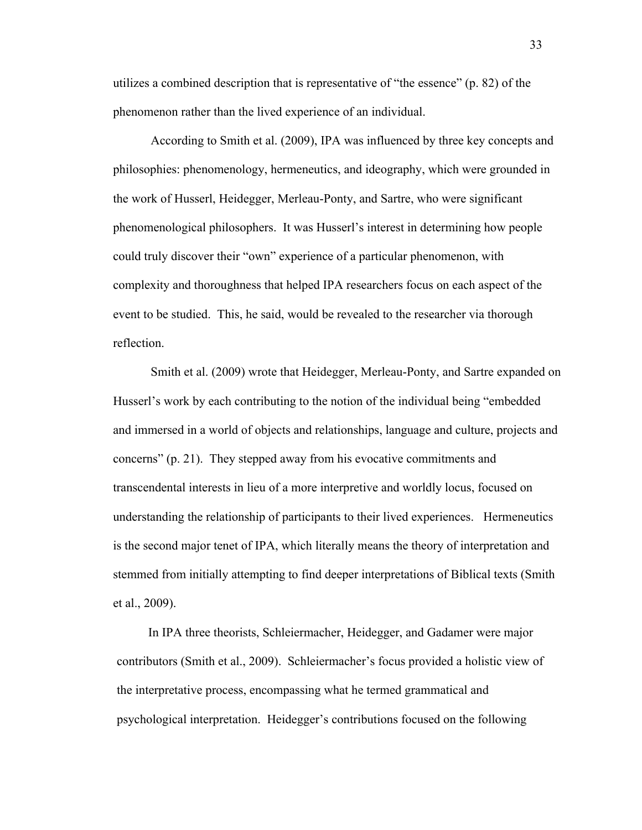utilizes a combined description that is representative of "the essence" (p. 82) of the phenomenon rather than the lived experience of an individual.

According to Smith et al. (2009), IPA was influenced by three key concepts and philosophies: phenomenology, hermeneutics, and ideography, which were grounded in the work of Husserl, Heidegger, Merleau-Ponty, and Sartre, who were significant phenomenological philosophers. It was Husserl's interest in determining how people could truly discover their "own" experience of a particular phenomenon, with complexity and thoroughness that helped IPA researchers focus on each aspect of the event to be studied. This, he said, would be revealed to the researcher via thorough reflection.

Smith et al. (2009) wrote that Heidegger, Merleau-Ponty, and Sartre expanded on Husserl's work by each contributing to the notion of the individual being "embedded and immersed in a world of objects and relationships, language and culture, projects and concerns" (p. 21). They stepped away from his evocative commitments and transcendental interests in lieu of a more interpretive and worldly locus, focused on understanding the relationship of participants to their lived experiences. Hermeneutics is the second major tenet of IPA, which literally means the theory of interpretation and stemmed from initially attempting to find deeper interpretations of Biblical texts (Smith et al., 2009).

 In IPA three theorists, Schleiermacher, Heidegger, and Gadamer were major contributors (Smith et al., 2009). Schleiermacher's focus provided a holistic view of the interpretative process, encompassing what he termed grammatical and psychological interpretation. Heidegger's contributions focused on the following

33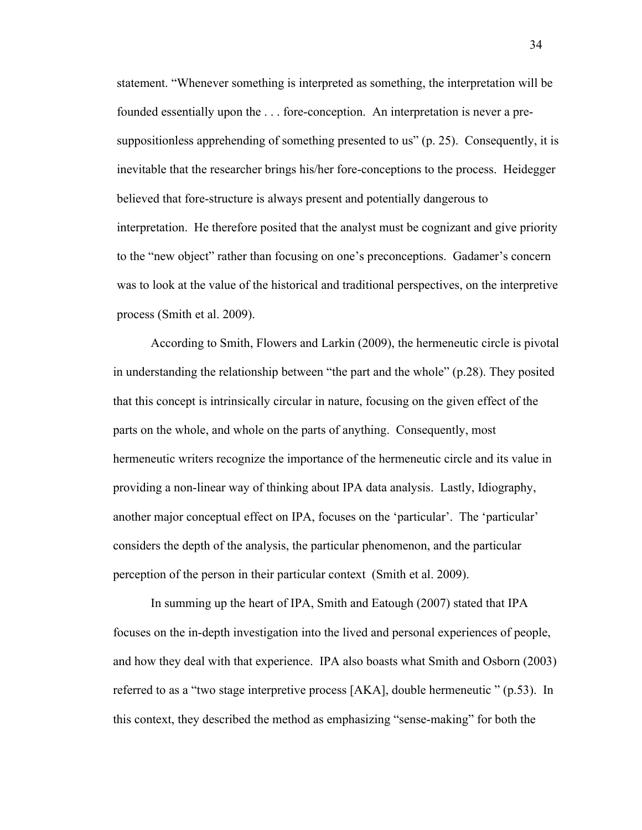statement. "Whenever something is interpreted as something, the interpretation will be founded essentially upon the . . . fore-conception. An interpretation is never a presuppositionless apprehending of something presented to us" (p. 25). Consequently, it is inevitable that the researcher brings his/her fore-conceptions to the process. Heidegger believed that fore-structure is always present and potentially dangerous to interpretation. He therefore posited that the analyst must be cognizant and give priority to the "new object" rather than focusing on one's preconceptions. Gadamer's concern was to look at the value of the historical and traditional perspectives, on the interpretive process (Smith et al. 2009).

According to Smith, Flowers and Larkin (2009), the hermeneutic circle is pivotal in understanding the relationship between "the part and the whole" (p.28). They posited that this concept is intrinsically circular in nature, focusing on the given effect of the parts on the whole, and whole on the parts of anything. Consequently, most hermeneutic writers recognize the importance of the hermeneutic circle and its value in providing a non-linear way of thinking about IPA data analysis. Lastly, Idiography, another major conceptual effect on IPA, focuses on the 'particular'. The 'particular' considers the depth of the analysis, the particular phenomenon, and the particular perception of the person in their particular context (Smith et al. 2009).

 In summing up the heart of IPA, Smith and Eatough (2007) stated that IPA focuses on the in-depth investigation into the lived and personal experiences of people, and how they deal with that experience. IPA also boasts what Smith and Osborn (2003) referred to as a "two stage interpretive process [AKA], double hermeneutic " (p.53). In this context, they described the method as emphasizing "sense-making" for both the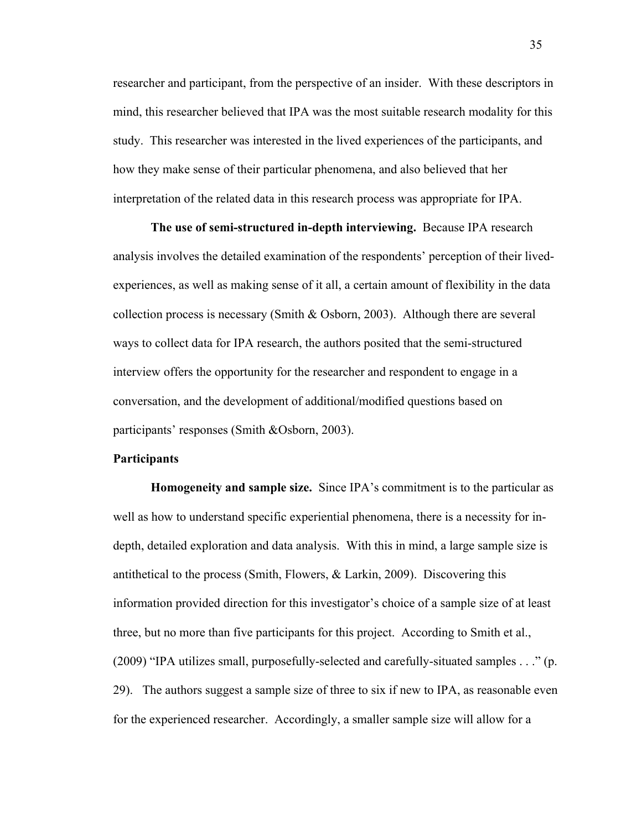researcher and participant, from the perspective of an insider. With these descriptors in mind, this researcher believed that IPA was the most suitable research modality for this study. This researcher was interested in the lived experiences of the participants, and how they make sense of their particular phenomena, and also believed that her interpretation of the related data in this research process was appropriate for IPA.

**The use of semi-structured in-depth interviewing.** Because IPA research analysis involves the detailed examination of the respondents' perception of their livedexperiences, as well as making sense of it all, a certain amount of flexibility in the data collection process is necessary (Smith & Osborn, 2003). Although there are several ways to collect data for IPA research, the authors posited that the semi-structured interview offers the opportunity for the researcher and respondent to engage in a conversation, and the development of additional/modified questions based on participants' responses (Smith &Osborn, 2003).

### **Participants**

**Homogeneity and sample size.** Since IPA's commitment is to the particular as well as how to understand specific experiential phenomena, there is a necessity for indepth, detailed exploration and data analysis. With this in mind, a large sample size is antithetical to the process (Smith, Flowers, & Larkin, 2009). Discovering this information provided direction for this investigator's choice of a sample size of at least three, but no more than five participants for this project. According to Smith et al., (2009) "IPA utilizes small, purposefully-selected and carefully-situated samples . . ." (p. 29). The authors suggest a sample size of three to six if new to IPA, as reasonable even for the experienced researcher. Accordingly, a smaller sample size will allow for a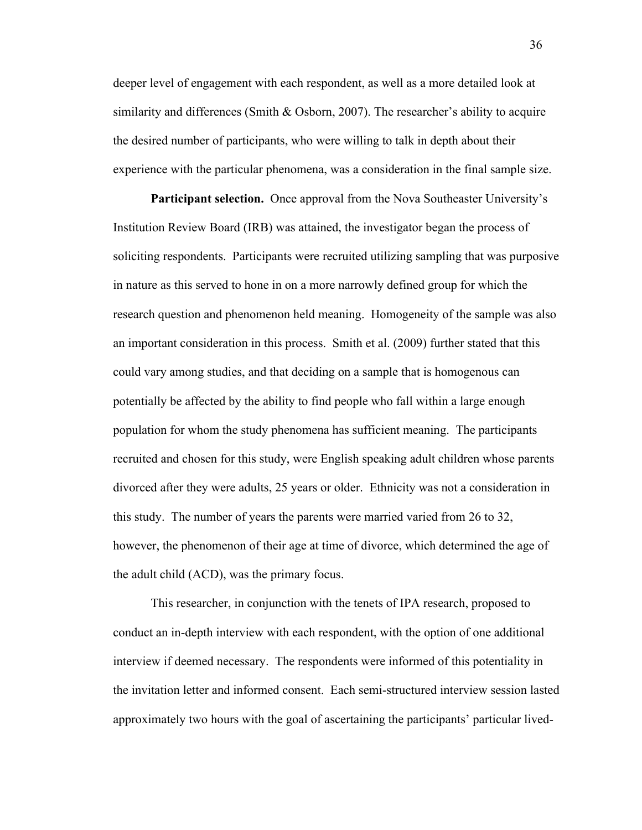deeper level of engagement with each respondent, as well as a more detailed look at similarity and differences (Smith  $&$  Osborn, 2007). The researcher's ability to acquire the desired number of participants, who were willing to talk in depth about their experience with the particular phenomena, was a consideration in the final sample size.

**Participant selection.** Once approval from the Nova Southeaster University's Institution Review Board (IRB) was attained, the investigator began the process of soliciting respondents. Participants were recruited utilizing sampling that was purposive in nature as this served to hone in on a more narrowly defined group for which the research question and phenomenon held meaning. Homogeneity of the sample was also an important consideration in this process. Smith et al. (2009) further stated that this could vary among studies, and that deciding on a sample that is homogenous can potentially be affected by the ability to find people who fall within a large enough population for whom the study phenomena has sufficient meaning. The participants recruited and chosen for this study, were English speaking adult children whose parents divorced after they were adults, 25 years or older. Ethnicity was not a consideration in this study. The number of years the parents were married varied from 26 to 32, however, the phenomenon of their age at time of divorce, which determined the age of the adult child (ACD), was the primary focus.

This researcher, in conjunction with the tenets of IPA research, proposed to conduct an in-depth interview with each respondent, with the option of one additional interview if deemed necessary. The respondents were informed of this potentiality in the invitation letter and informed consent. Each semi-structured interview session lasted approximately two hours with the goal of ascertaining the participants' particular lived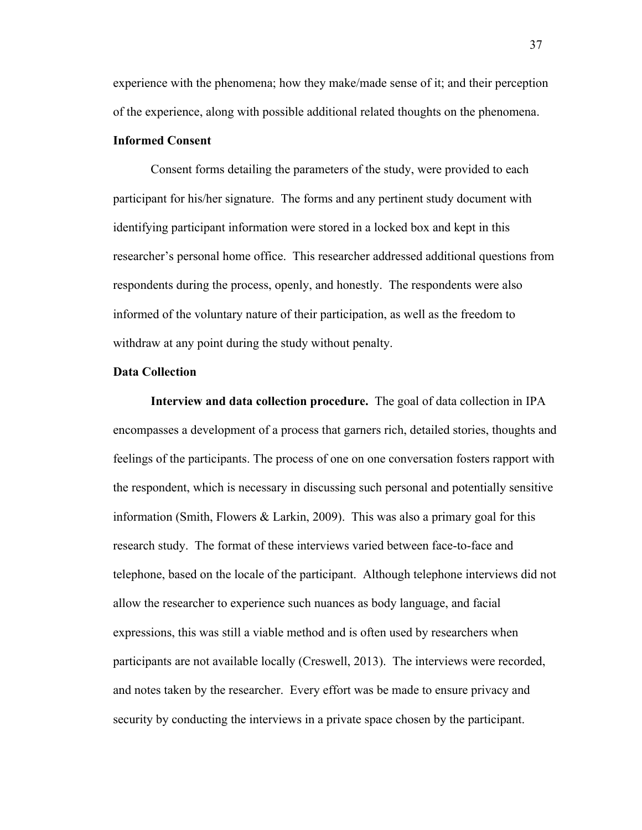experience with the phenomena; how they make/made sense of it; and their perception of the experience, along with possible additional related thoughts on the phenomena.

# **Informed Consent**

Consent forms detailing the parameters of the study, were provided to each participant for his/her signature. The forms and any pertinent study document with identifying participant information were stored in a locked box and kept in this researcher's personal home office. This researcher addressed additional questions from respondents during the process, openly, and honestly. The respondents were also informed of the voluntary nature of their participation, as well as the freedom to withdraw at any point during the study without penalty.

## **Data Collection**

**Interview and data collection procedure.** The goal of data collection in IPA encompasses a development of a process that garners rich, detailed stories, thoughts and feelings of the participants. The process of one on one conversation fosters rapport with the respondent, which is necessary in discussing such personal and potentially sensitive information (Smith, Flowers & Larkin, 2009). This was also a primary goal for this research study. The format of these interviews varied between face-to-face and telephone, based on the locale of the participant. Although telephone interviews did not allow the researcher to experience such nuances as body language, and facial expressions, this was still a viable method and is often used by researchers when participants are not available locally (Creswell, 2013). The interviews were recorded, and notes taken by the researcher. Every effort was be made to ensure privacy and security by conducting the interviews in a private space chosen by the participant.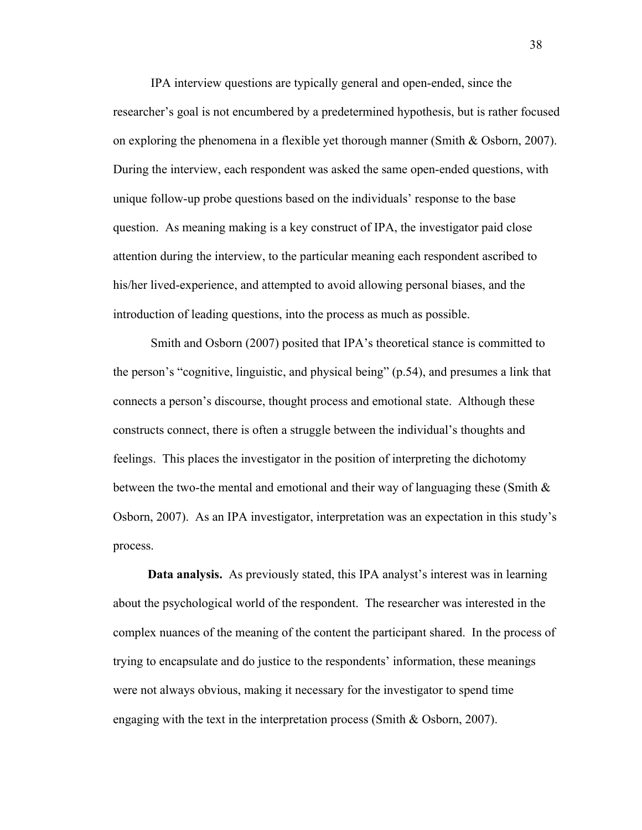IPA interview questions are typically general and open-ended, since the researcher's goal is not encumbered by a predetermined hypothesis, but is rather focused on exploring the phenomena in a flexible yet thorough manner (Smith & Osborn, 2007). During the interview, each respondent was asked the same open-ended questions, with unique follow-up probe questions based on the individuals' response to the base question. As meaning making is a key construct of IPA, the investigator paid close attention during the interview, to the particular meaning each respondent ascribed to his/her lived-experience, and attempted to avoid allowing personal biases, and the introduction of leading questions, into the process as much as possible.

Smith and Osborn (2007) posited that IPA's theoretical stance is committed to the person's "cognitive, linguistic, and physical being" (p.54), and presumes a link that connects a person's discourse, thought process and emotional state. Although these constructs connect, there is often a struggle between the individual's thoughts and feelings. This places the investigator in the position of interpreting the dichotomy between the two-the mental and emotional and their way of languaging these (Smith & Osborn, 2007). As an IPA investigator, interpretation was an expectation in this study's process.

 **Data analysis.** As previously stated, this IPA analyst's interest was in learning about the psychological world of the respondent. The researcher was interested in the complex nuances of the meaning of the content the participant shared. In the process of trying to encapsulate and do justice to the respondents' information, these meanings were not always obvious, making it necessary for the investigator to spend time engaging with the text in the interpretation process (Smith  $&$  Osborn, 2007).

38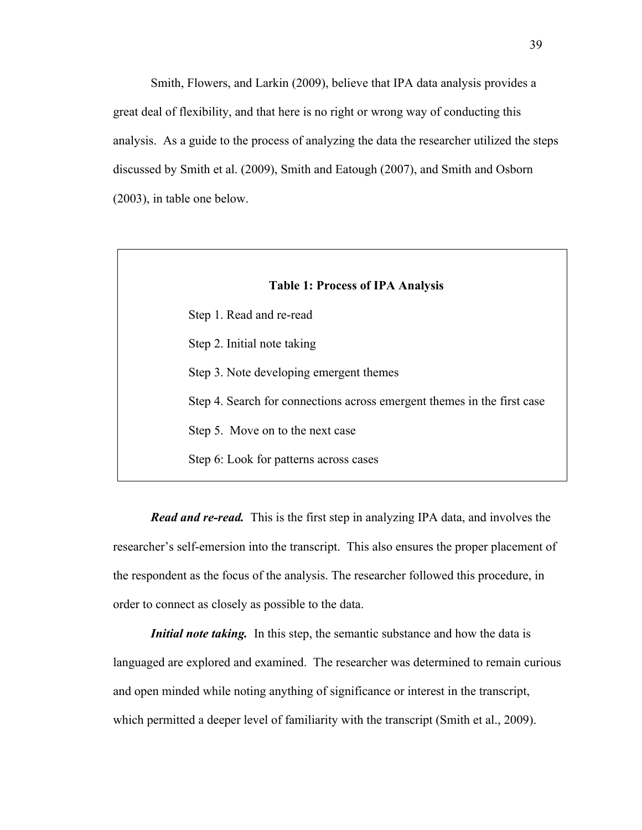Smith, Flowers, and Larkin (2009), believe that IPA data analysis provides a great deal of flexibility, and that here is no right or wrong way of conducting this analysis. As a guide to the process of analyzing the data the researcher utilized the steps discussed by Smith et al. (2009), Smith and Eatough (2007), and Smith and Osborn (2003), in table one below.

| <b>Table 1: Process of IPA Analysis</b> |                                                                         |  |  |
|-----------------------------------------|-------------------------------------------------------------------------|--|--|
|                                         | Step 1. Read and re-read                                                |  |  |
|                                         | Step 2. Initial note taking                                             |  |  |
|                                         | Step 3. Note developing emergent themes                                 |  |  |
|                                         | Step 4. Search for connections across emergent themes in the first case |  |  |
|                                         | Step 5. Move on to the next case                                        |  |  |
|                                         | Step 6: Look for patterns across cases                                  |  |  |

*Read and re-read.*This is the first step in analyzing IPA data, and involves the researcher's self-emersion into the transcript. This also ensures the proper placement of the respondent as the focus of the analysis. The researcher followed this procedure, in order to connect as closely as possible to the data.

*Initial note taking.* In this step, the semantic substance and how the data is languaged are explored and examined. The researcher was determined to remain curious and open minded while noting anything of significance or interest in the transcript, which permitted a deeper level of familiarity with the transcript (Smith et al., 2009).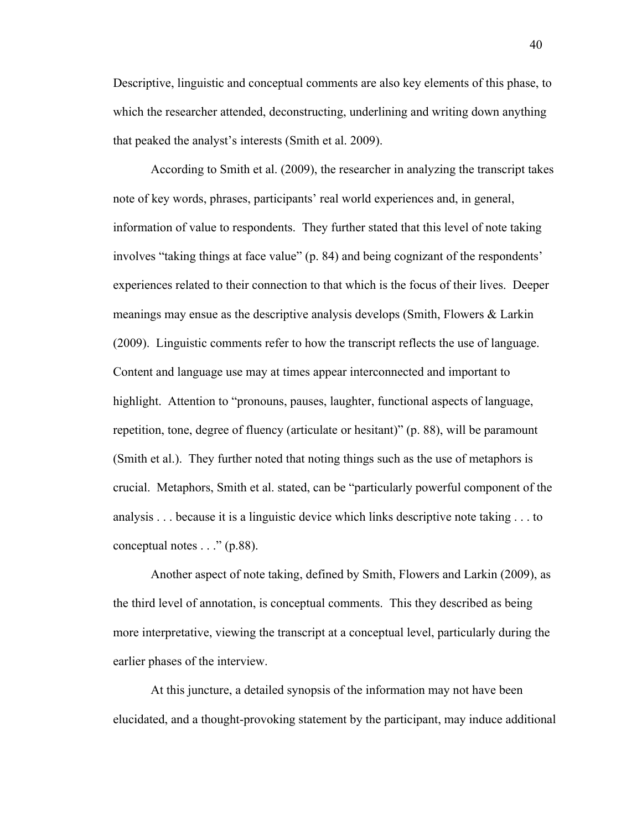Descriptive, linguistic and conceptual comments are also key elements of this phase, to which the researcher attended, deconstructing, underlining and writing down anything that peaked the analyst's interests (Smith et al. 2009).

According to Smith et al. (2009), the researcher in analyzing the transcript takes note of key words, phrases, participants' real world experiences and, in general, information of value to respondents. They further stated that this level of note taking involves "taking things at face value" (p. 84) and being cognizant of the respondents' experiences related to their connection to that which is the focus of their lives. Deeper meanings may ensue as the descriptive analysis develops (Smith, Flowers & Larkin (2009). Linguistic comments refer to how the transcript reflects the use of language. Content and language use may at times appear interconnected and important to highlight. Attention to "pronouns, pauses, laughter, functional aspects of language, repetition, tone, degree of fluency (articulate or hesitant)" (p. 88), will be paramount (Smith et al.). They further noted that noting things such as the use of metaphors is crucial. Metaphors, Smith et al. stated, can be "particularly powerful component of the analysis . . . because it is a linguistic device which links descriptive note taking . . . to conceptual notes . . ." (p.88).

Another aspect of note taking, defined by Smith, Flowers and Larkin (2009), as the third level of annotation, is conceptual comments. This they described as being more interpretative, viewing the transcript at a conceptual level, particularly during the earlier phases of the interview.

At this juncture, a detailed synopsis of the information may not have been elucidated, and a thought-provoking statement by the participant, may induce additional

40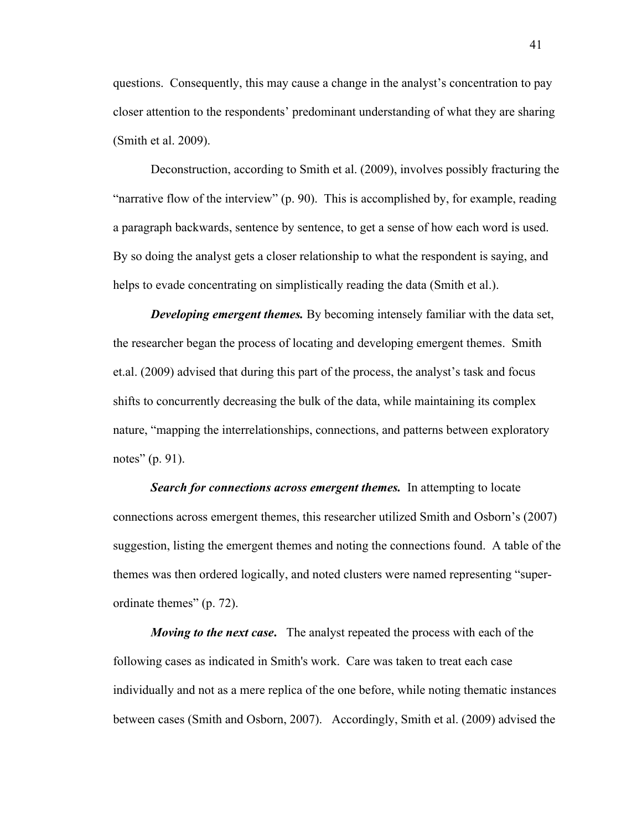questions. Consequently, this may cause a change in the analyst's concentration to pay closer attention to the respondents' predominant understanding of what they are sharing (Smith et al. 2009).

Deconstruction, according to Smith et al. (2009), involves possibly fracturing the "narrative flow of the interview" (p. 90). This is accomplished by, for example, reading a paragraph backwards, sentence by sentence, to get a sense of how each word is used. By so doing the analyst gets a closer relationship to what the respondent is saying, and helps to evade concentrating on simplistically reading the data (Smith et al.).

*Developing emergent themes.* By becoming intensely familiar with the data set, the researcher began the process of locating and developing emergent themes. Smith et.al. (2009) advised that during this part of the process, the analyst's task and focus shifts to concurrently decreasing the bulk of the data, while maintaining its complex nature, "mapping the interrelationships, connections, and patterns between exploratory notes" (p. 91).

**Search for connections across emergent themes.** In attempting to locate connections across emergent themes, this researcher utilized Smith and Osborn's (2007) suggestion, listing the emergent themes and noting the connections found. A table of the themes was then ordered logically, and noted clusters were named representing "superordinate themes" (p. 72).

*Moving to the next case***.** The analyst repeated the process with each of the following cases as indicated in Smith's work. Care was taken to treat each case individually and not as a mere replica of the one before, while noting thematic instances between cases (Smith and Osborn, 2007). Accordingly, Smith et al. (2009) advised the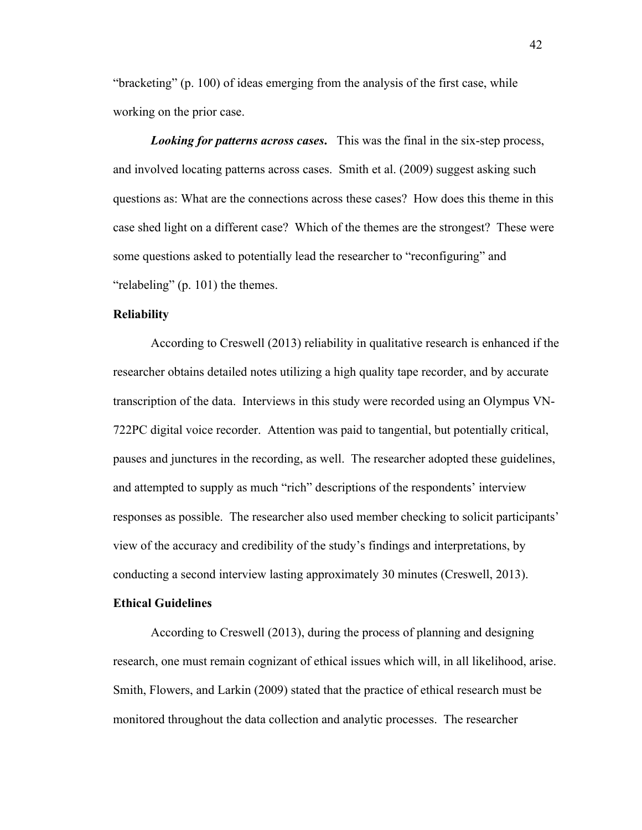"bracketing" (p. 100) of ideas emerging from the analysis of the first case, while working on the prior case.

*Looking for patterns across cases***.** This was the final in the six-step process, and involved locating patterns across cases. Smith et al. (2009) suggest asking such questions as: What are the connections across these cases? How does this theme in this case shed light on a different case? Which of the themes are the strongest? These were some questions asked to potentially lead the researcher to "reconfiguring" and "relabeling" (p. 101) the themes.

## **Reliability**

According to Creswell (2013) reliability in qualitative research is enhanced if the researcher obtains detailed notes utilizing a high quality tape recorder, and by accurate transcription of the data. Interviews in this study were recorded using an Olympus VN-722PC digital voice recorder. Attention was paid to tangential, but potentially critical, pauses and junctures in the recording, as well. The researcher adopted these guidelines, and attempted to supply as much "rich" descriptions of the respondents' interview responses as possible. The researcher also used member checking to solicit participants' view of the accuracy and credibility of the study's findings and interpretations, by conducting a second interview lasting approximately 30 minutes (Creswell, 2013).

## **Ethical Guidelines**

According to Creswell (2013), during the process of planning and designing research, one must remain cognizant of ethical issues which will, in all likelihood, arise. Smith, Flowers, and Larkin (2009) stated that the practice of ethical research must be monitored throughout the data collection and analytic processes. The researcher

42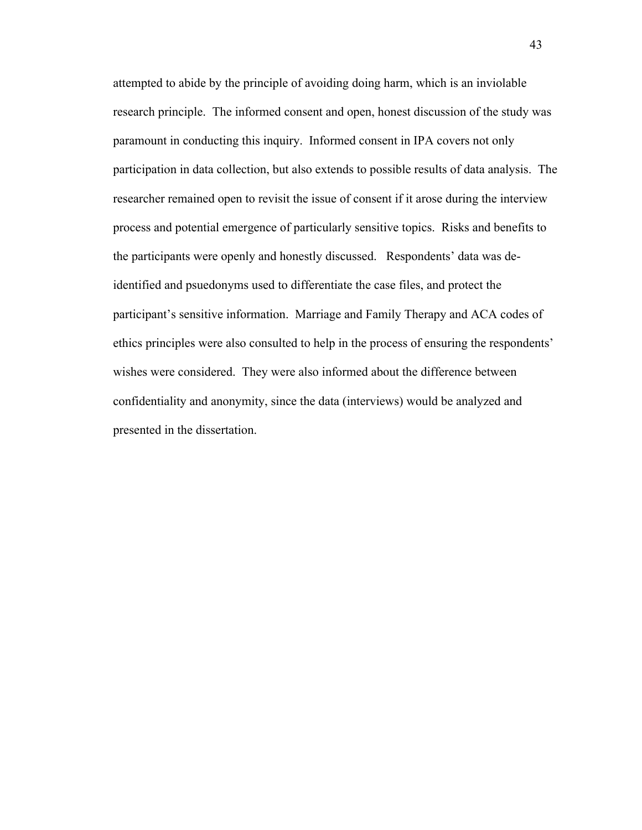attempted to abide by the principle of avoiding doing harm, which is an inviolable research principle. The informed consent and open, honest discussion of the study was paramount in conducting this inquiry. Informed consent in IPA covers not only participation in data collection, but also extends to possible results of data analysis. The researcher remained open to revisit the issue of consent if it arose during the interview process and potential emergence of particularly sensitive topics. Risks and benefits to the participants were openly and honestly discussed. Respondents' data was deidentified and psuedonyms used to differentiate the case files, and protect the participant's sensitive information. Marriage and Family Therapy and ACA codes of ethics principles were also consulted to help in the process of ensuring the respondents' wishes were considered. They were also informed about the difference between confidentiality and anonymity, since the data (interviews) would be analyzed and presented in the dissertation.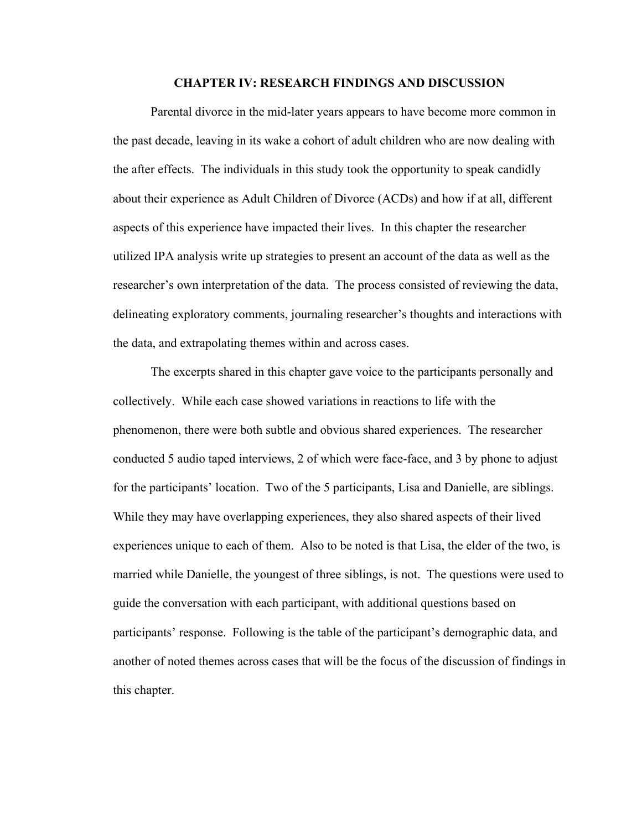### **CHAPTER IV: RESEARCH FINDINGS AND DISCUSSION**

Parental divorce in the mid-later years appears to have become more common in the past decade, leaving in its wake a cohort of adult children who are now dealing with the after effects. The individuals in this study took the opportunity to speak candidly about their experience as Adult Children of Divorce (ACDs) and how if at all, different aspects of this experience have impacted their lives. In this chapter the researcher utilized IPA analysis write up strategies to present an account of the data as well as the researcher's own interpretation of the data. The process consisted of reviewing the data, delineating exploratory comments, journaling researcher's thoughts and interactions with the data, and extrapolating themes within and across cases.

The excerpts shared in this chapter gave voice to the participants personally and collectively. While each case showed variations in reactions to life with the phenomenon, there were both subtle and obvious shared experiences. The researcher conducted 5 audio taped interviews, 2 of which were face-face, and 3 by phone to adjust for the participants' location. Two of the 5 participants, Lisa and Danielle, are siblings. While they may have overlapping experiences, they also shared aspects of their lived experiences unique to each of them. Also to be noted is that Lisa, the elder of the two, is married while Danielle, the youngest of three siblings, is not. The questions were used to guide the conversation with each participant, with additional questions based on participants' response. Following is the table of the participant's demographic data, and another of noted themes across cases that will be the focus of the discussion of findings in this chapter.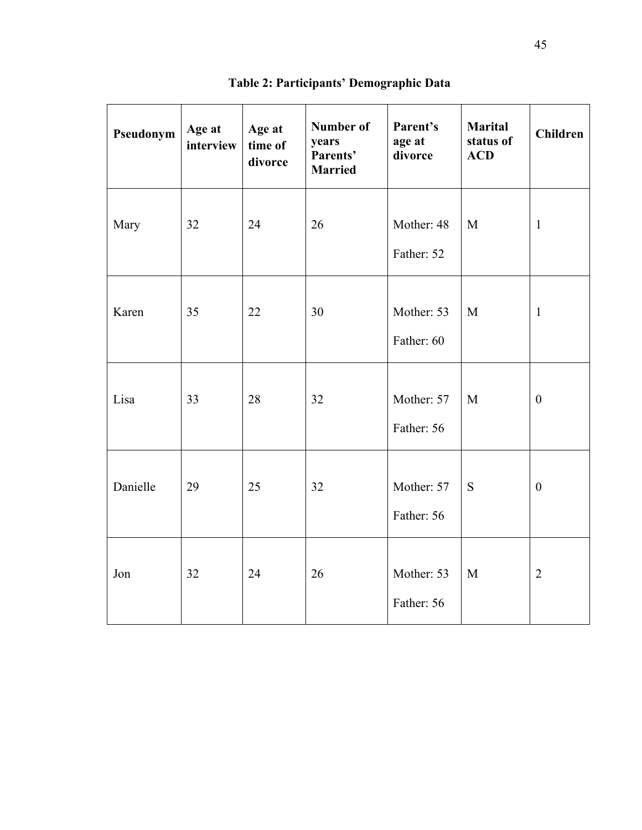| Pseudonym | Age at<br>interview | Age at<br>time of<br>divorce | <b>Number of</b><br>years<br>Parents'<br><b>Married</b> | Parent's<br>age at<br>divorce | <b>Marital</b><br>status of<br><b>ACD</b> | <b>Children</b>  |
|-----------|---------------------|------------------------------|---------------------------------------------------------|-------------------------------|-------------------------------------------|------------------|
| Mary      | 32                  | 24                           | 26                                                      | Mother: 48<br>Father: 52      | M                                         | $\mathbf{1}$     |
| Karen     | 35                  | 22                           | 30                                                      | Mother: 53<br>Father: 60      | M                                         | $\mathbf{1}$     |
| Lisa      | 33                  | 28                           | 32                                                      | Mother: 57<br>Father: 56      | M                                         | $\overline{0}$   |
| Danielle  | 29                  | 25                           | 32                                                      | Mother: 57<br>Father: 56      | S                                         | $\boldsymbol{0}$ |
| Jon       | 32                  | 24                           | 26                                                      | Mother: 53<br>Father: 56      | M                                         | $\overline{2}$   |

**Table 2: Participants' Demographic Data**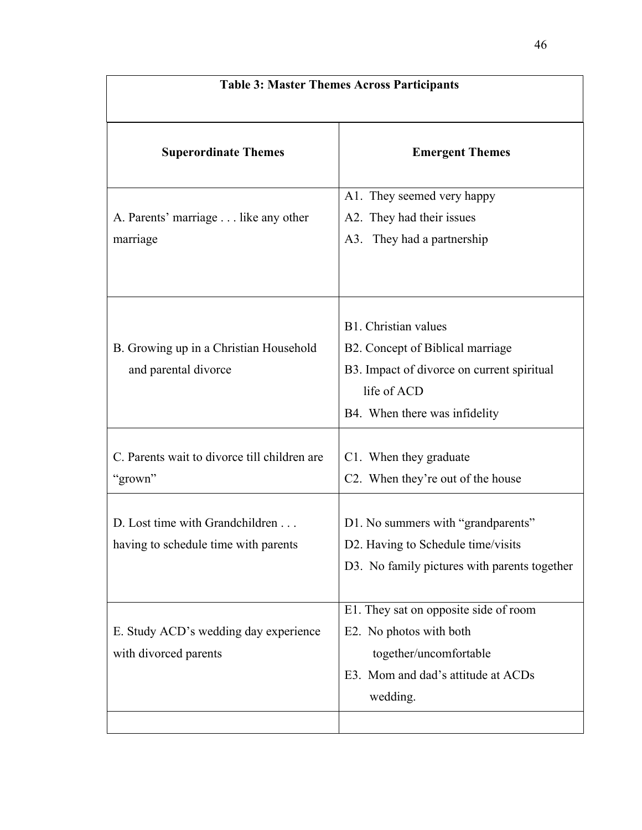| <b>Table 3: Master Themes Across Participants</b>                       |                                                                                                                                                        |  |  |  |
|-------------------------------------------------------------------------|--------------------------------------------------------------------------------------------------------------------------------------------------------|--|--|--|
| <b>Superordinate Themes</b>                                             | <b>Emergent Themes</b>                                                                                                                                 |  |  |  |
| A. Parents' marriage like any other<br>marriage                         | A1. They seemed very happy<br>A2. They had their issues<br>A3. They had a partnership                                                                  |  |  |  |
| B. Growing up in a Christian Household<br>and parental divorce          | B1. Christian values<br>B2. Concept of Biblical marriage<br>B3. Impact of divorce on current spiritual<br>life of ACD<br>B4. When there was infidelity |  |  |  |
| C. Parents wait to divorce till children are<br>"grown"                 | C1. When they graduate<br>C2. When they're out of the house                                                                                            |  |  |  |
| D. Lost time with Grandchildren<br>having to schedule time with parents | D1. No summers with "grandparents"<br>D2. Having to Schedule time/visits<br>D3. No family pictures with parents together                               |  |  |  |
| E. Study ACD's wedding day experience<br>with divorced parents          | E1. They sat on opposite side of room<br>E2. No photos with both<br>together/uncomfortable<br>E3. Mom and dad's attitude at ACDs<br>wedding.           |  |  |  |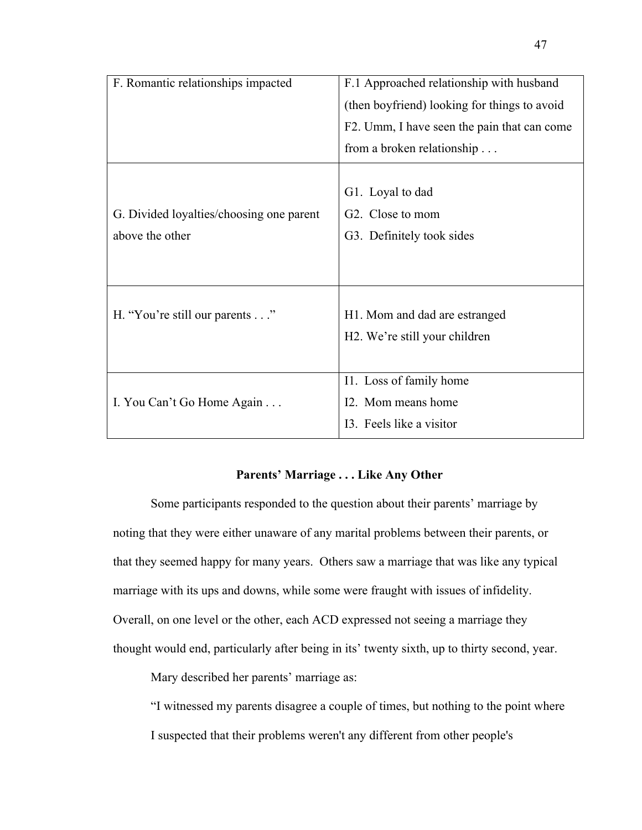| F. Romantic relationships impacted       | F.1 Approached relationship with husband     |  |  |  |
|------------------------------------------|----------------------------------------------|--|--|--|
|                                          | (then boyfriend) looking for things to avoid |  |  |  |
|                                          | F2. Umm, I have seen the pain that can come  |  |  |  |
|                                          | from a broken relationship                   |  |  |  |
|                                          |                                              |  |  |  |
|                                          | G1. Loyal to dad                             |  |  |  |
| G. Divided loyalties/choosing one parent | G <sub>2</sub> . Close to mom                |  |  |  |
| above the other                          | G3. Definitely took sides                    |  |  |  |
|                                          |                                              |  |  |  |
|                                          |                                              |  |  |  |
|                                          |                                              |  |  |  |
| H. "You're still our parents"            | H1. Mom and dad are estranged                |  |  |  |
|                                          | H <sub>2</sub> . We're still your children   |  |  |  |
|                                          |                                              |  |  |  |
|                                          | I1. Loss of family home                      |  |  |  |
| I. You Can't Go Home Again               | I2. Mom means home                           |  |  |  |
|                                          | 13. Feels like a visitor                     |  |  |  |
|                                          |                                              |  |  |  |

# **Parents' Marriage . . . Like Any Other**

Some participants responded to the question about their parents' marriage by noting that they were either unaware of any marital problems between their parents, or that they seemed happy for many years. Others saw a marriage that was like any typical marriage with its ups and downs, while some were fraught with issues of infidelity. Overall, on one level or the other, each ACD expressed not seeing a marriage they thought would end, particularly after being in its' twenty sixth, up to thirty second, year.

Mary described her parents' marriage as:

"I witnessed my parents disagree a couple of times, but nothing to the point where I suspected that their problems weren't any different from other people's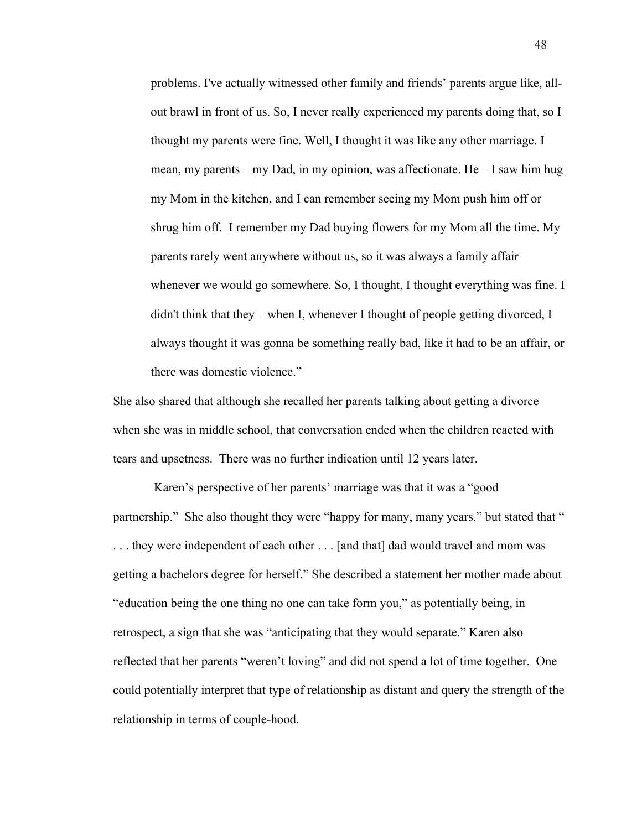problems. I've actually witnessed other family and friends' parents argue like, allout brawl in front of us. So, I never really experienced my parents doing that, so I thought my parents were fine. Well, I thought it was like any other marriage. I mean, my parents – my Dad, in my opinion, was affectionate. He – I saw him hug my Mom in the kitchen, and I can remember seeing my Mom push him off or shrug him off. I remember my Dad buying flowers for my Mom all the time. My parents rarely went anywhere without us, so it was always a family affair whenever we would go somewhere. So, I thought, I thought everything was fine. I didn't think that they – when I, whenever I thought of people getting divorced, I always thought it was gonna be something really bad, like it had to be an affair, or there was domestic violence."

She also shared that although she recalled her parents talking about getting a divorce when she was in middle school, that conversation ended when the children reacted with tears and upsetness. There was no further indication until 12 years later.

Karen's perspective of her parents' marriage was that it was a "good partnership." She also thought they were "happy for many, many years." but stated that " . . . they were independent of each other . . . [and that] dad would travel and mom was getting a bachelors degree for herself." She described a statement her mother made about "education being the one thing no one can take form you," as potentially being, in retrospect, a sign that she was "anticipating that they would separate." Karen also reflected that her parents "weren't loving" and did not spend a lot of time together. One could potentially interpret that type of relationship as distant and query the strength of the relationship in terms of couple-hood.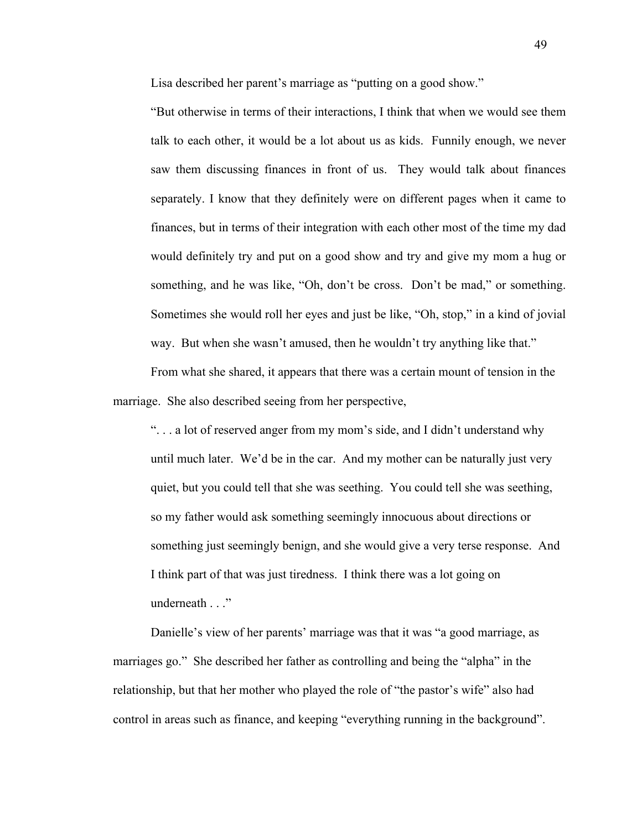Lisa described her parent's marriage as "putting on a good show."

"But otherwise in terms of their interactions, I think that when we would see them talk to each other, it would be a lot about us as kids. Funnily enough, we never saw them discussing finances in front of us. They would talk about finances separately. I know that they definitely were on different pages when it came to finances, but in terms of their integration with each other most of the time my dad would definitely try and put on a good show and try and give my mom a hug or something, and he was like, "Oh, don't be cross. Don't be mad," or something. Sometimes she would roll her eyes and just be like, "Oh, stop," in a kind of jovial way. But when she wasn't amused, then he wouldn't try anything like that."

From what she shared, it appears that there was a certain mount of tension in the marriage. She also described seeing from her perspective,

". . . a lot of reserved anger from my mom's side, and I didn't understand why until much later. We'd be in the car. And my mother can be naturally just very quiet, but you could tell that she was seething. You could tell she was seething, so my father would ask something seemingly innocuous about directions or something just seemingly benign, and she would give a very terse response. And I think part of that was just tiredness. I think there was a lot going on underneath . . ."

Danielle's view of her parents' marriage was that it was "a good marriage, as marriages go." She described her father as controlling and being the "alpha" in the relationship, but that her mother who played the role of "the pastor's wife" also had control in areas such as finance, and keeping "everything running in the background".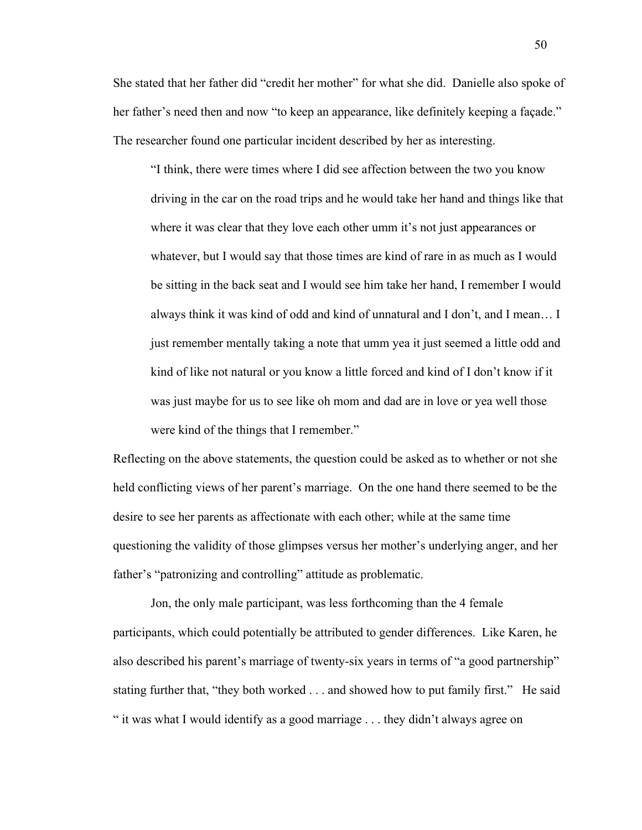She stated that her father did "credit her mother" for what she did. Danielle also spoke of her father's need then and now "to keep an appearance, like definitely keeping a façade." The researcher found one particular incident described by her as interesting.

"I think, there were times where I did see affection between the two you know driving in the car on the road trips and he would take her hand and things like that where it was clear that they love each other umm it's not just appearances or whatever, but I would say that those times are kind of rare in as much as I would be sitting in the back seat and I would see him take her hand, I remember I would always think it was kind of odd and kind of unnatural and I don't, and I mean… I just remember mentally taking a note that umm yea it just seemed a little odd and kind of like not natural or you know a little forced and kind of I don't know if it was just maybe for us to see like oh mom and dad are in love or yea well those were kind of the things that I remember."

Reflecting on the above statements, the question could be asked as to whether or not she held conflicting views of her parent's marriage. On the one hand there seemed to be the desire to see her parents as affectionate with each other; while at the same time questioning the validity of those glimpses versus her mother's underlying anger, and her father's "patronizing and controlling" attitude as problematic.

Jon, the only male participant, was less forthcoming than the 4 female participants, which could potentially be attributed to gender differences. Like Karen, he also described his parent's marriage of twenty-six years in terms of "a good partnership" stating further that, "they both worked . . . and showed how to put family first." He said " it was what I would identify as a good marriage . . . they didn't always agree on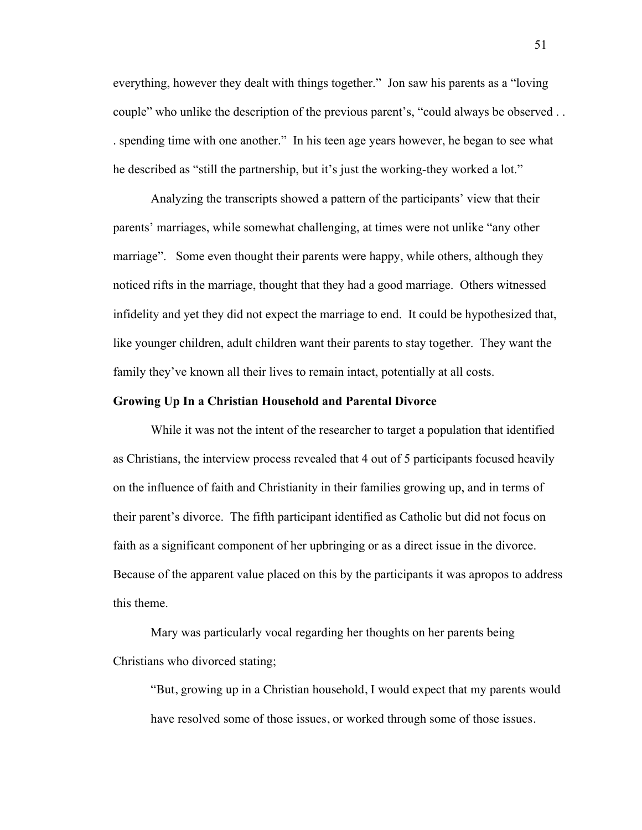everything, however they dealt with things together." Jon saw his parents as a "loving couple" who unlike the description of the previous parent's, "could always be observed . . . spending time with one another." In his teen age years however, he began to see what he described as "still the partnership, but it's just the working-they worked a lot."

Analyzing the transcripts showed a pattern of the participants' view that their parents' marriages, while somewhat challenging, at times were not unlike "any other marriage". Some even thought their parents were happy, while others, although they noticed rifts in the marriage, thought that they had a good marriage. Others witnessed infidelity and yet they did not expect the marriage to end. It could be hypothesized that, like younger children, adult children want their parents to stay together. They want the family they've known all their lives to remain intact, potentially at all costs.

#### **Growing Up In a Christian Household and Parental Divorce**

While it was not the intent of the researcher to target a population that identified as Christians, the interview process revealed that 4 out of 5 participants focused heavily on the influence of faith and Christianity in their families growing up, and in terms of their parent's divorce. The fifth participant identified as Catholic but did not focus on faith as a significant component of her upbringing or as a direct issue in the divorce. Because of the apparent value placed on this by the participants it was apropos to address this theme.

Mary was particularly vocal regarding her thoughts on her parents being Christians who divorced stating;

"But, growing up in a Christian household, I would expect that my parents would have resolved some of those issues, or worked through some of those issues.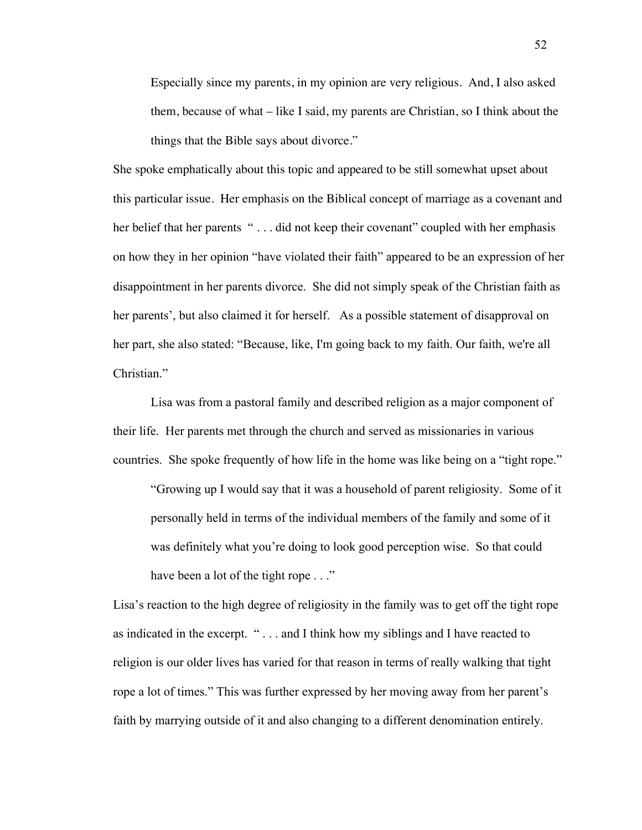Especially since my parents, in my opinion are very religious. And, I also asked them, because of what – like I said, my parents are Christian, so I think about the things that the Bible says about divorce."

She spoke emphatically about this topic and appeared to be still somewhat upset about this particular issue. Her emphasis on the Biblical concept of marriage as a covenant and her belief that her parents "... did not keep their covenant" coupled with her emphasis on how they in her opinion "have violated their faith" appeared to be an expression of her disappointment in her parents divorce. She did not simply speak of the Christian faith as her parents', but also claimed it for herself. As a possible statement of disapproval on her part, she also stated: "Because, like, I'm going back to my faith. Our faith, we're all Christian."

Lisa was from a pastoral family and described religion as a major component of their life. Her parents met through the church and served as missionaries in various countries. She spoke frequently of how life in the home was like being on a "tight rope."

"Growing up I would say that it was a household of parent religiosity. Some of it personally held in terms of the individual members of the family and some of it was definitely what you're doing to look good perception wise. So that could have been a lot of the tight rope . . ."

Lisa's reaction to the high degree of religiosity in the family was to get off the tight rope as indicated in the excerpt. " . . . and I think how my siblings and I have reacted to religion is our older lives has varied for that reason in terms of really walking that tight rope a lot of times." This was further expressed by her moving away from her parent's faith by marrying outside of it and also changing to a different denomination entirely.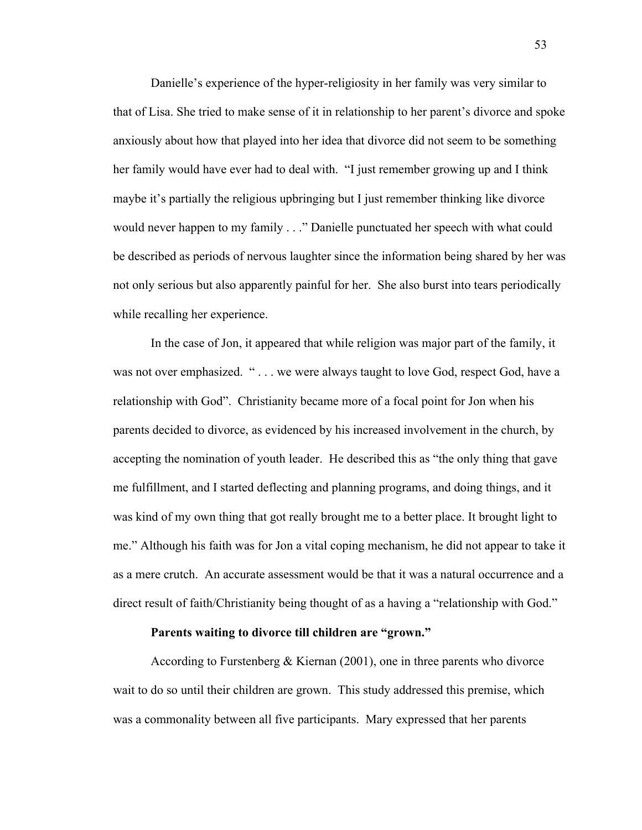Danielle's experience of the hyper-religiosity in her family was very similar to that of Lisa. She tried to make sense of it in relationship to her parent's divorce and spoke anxiously about how that played into her idea that divorce did not seem to be something her family would have ever had to deal with. "I just remember growing up and I think maybe it's partially the religious upbringing but I just remember thinking like divorce would never happen to my family . . ." Danielle punctuated her speech with what could be described as periods of nervous laughter since the information being shared by her was not only serious but also apparently painful for her. She also burst into tears periodically while recalling her experience.

In the case of Jon, it appeared that while religion was major part of the family, it was not over emphasized. "... we were always taught to love God, respect God, have a relationship with God". Christianity became more of a focal point for Jon when his parents decided to divorce, as evidenced by his increased involvement in the church, by accepting the nomination of youth leader. He described this as "the only thing that gave me fulfillment, and I started deflecting and planning programs, and doing things, and it was kind of my own thing that got really brought me to a better place. It brought light to me." Although his faith was for Jon a vital coping mechanism, he did not appear to take it as a mere crutch. An accurate assessment would be that it was a natural occurrence and a direct result of faith/Christianity being thought of as a having a "relationship with God."

## **Parents waiting to divorce till children are "grown."**

According to Furstenberg  $\&$  Kiernan (2001), one in three parents who divorce wait to do so until their children are grown. This study addressed this premise, which was a commonality between all five participants. Mary expressed that her parents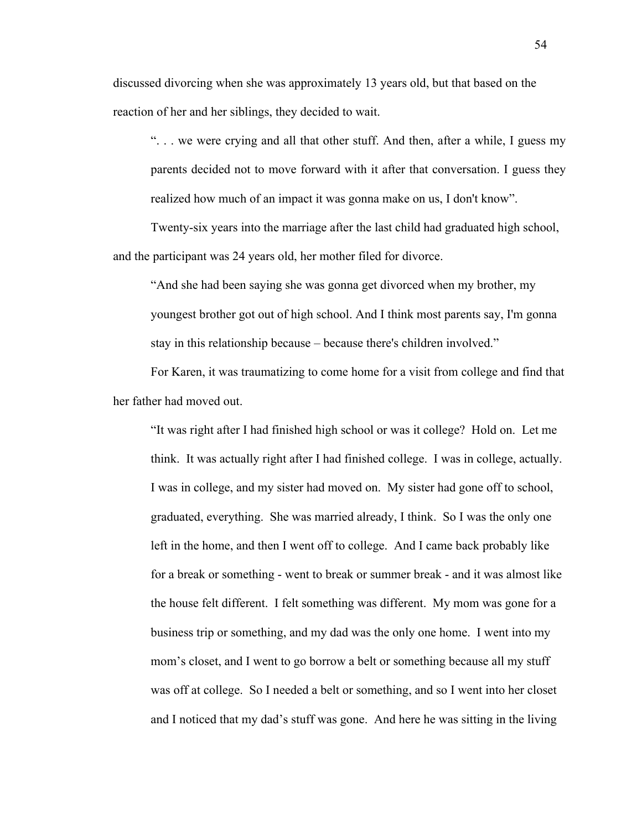discussed divorcing when she was approximately 13 years old, but that based on the reaction of her and her siblings, they decided to wait.

 $\ldots$  we were crying and all that other stuff. And then, after a while, I guess my parents decided not to move forward with it after that conversation. I guess they realized how much of an impact it was gonna make on us, I don't know".

Twenty-six years into the marriage after the last child had graduated high school, and the participant was 24 years old, her mother filed for divorce.

"And she had been saying she was gonna get divorced when my brother, my youngest brother got out of high school. And I think most parents say, I'm gonna stay in this relationship because – because there's children involved."

For Karen, it was traumatizing to come home for a visit from college and find that her father had moved out.

"It was right after I had finished high school or was it college? Hold on. Let me think. It was actually right after I had finished college. I was in college, actually. I was in college, and my sister had moved on. My sister had gone off to school, graduated, everything. She was married already, I think. So I was the only one left in the home, and then I went off to college. And I came back probably like for a break or something - went to break or summer break - and it was almost like the house felt different. I felt something was different. My mom was gone for a business trip or something, and my dad was the only one home. I went into my mom's closet, and I went to go borrow a belt or something because all my stuff was off at college. So I needed a belt or something, and so I went into her closet and I noticed that my dad's stuff was gone. And here he was sitting in the living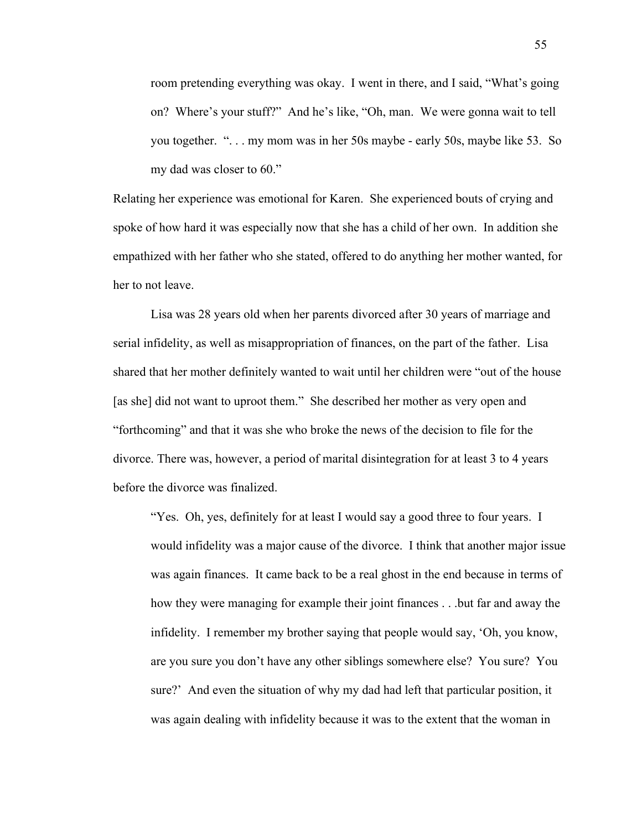room pretending everything was okay. I went in there, and I said, "What's going on? Where's your stuff?" And he's like, "Oh, man. We were gonna wait to tell you together. ". . . my mom was in her 50s maybe - early 50s, maybe like 53. So my dad was closer to 60."

Relating her experience was emotional for Karen. She experienced bouts of crying and spoke of how hard it was especially now that she has a child of her own. In addition she empathized with her father who she stated, offered to do anything her mother wanted, for her to not leave.

Lisa was 28 years old when her parents divorced after 30 years of marriage and serial infidelity, as well as misappropriation of finances, on the part of the father. Lisa shared that her mother definitely wanted to wait until her children were "out of the house [as she] did not want to uproot them." She described her mother as very open and "forthcoming" and that it was she who broke the news of the decision to file for the divorce. There was, however, a period of marital disintegration for at least 3 to 4 years before the divorce was finalized.

"Yes. Oh, yes, definitely for at least I would say a good three to four years. I would infidelity was a major cause of the divorce. I think that another major issue was again finances. It came back to be a real ghost in the end because in terms of how they were managing for example their joint finances . . .but far and away the infidelity. I remember my brother saying that people would say, 'Oh, you know, are you sure you don't have any other siblings somewhere else? You sure? You sure?' And even the situation of why my dad had left that particular position, it was again dealing with infidelity because it was to the extent that the woman in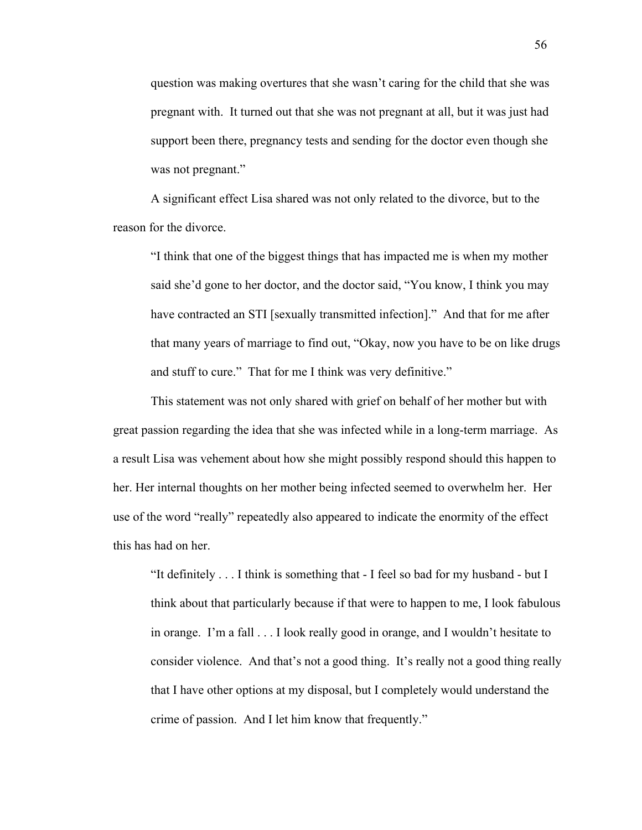question was making overtures that she wasn't caring for the child that she was pregnant with. It turned out that she was not pregnant at all, but it was just had support been there, pregnancy tests and sending for the doctor even though she was not pregnant."

A significant effect Lisa shared was not only related to the divorce, but to the reason for the divorce.

"I think that one of the biggest things that has impacted me is when my mother said she'd gone to her doctor, and the doctor said, "You know, I think you may have contracted an STI [sexually transmitted infection]." And that for me after that many years of marriage to find out, "Okay, now you have to be on like drugs and stuff to cure." That for me I think was very definitive."

This statement was not only shared with grief on behalf of her mother but with great passion regarding the idea that she was infected while in a long-term marriage. As a result Lisa was vehement about how she might possibly respond should this happen to her. Her internal thoughts on her mother being infected seemed to overwhelm her. Her use of the word "really" repeatedly also appeared to indicate the enormity of the effect this has had on her.

"It definitely . . . I think is something that - I feel so bad for my husband - but I think about that particularly because if that were to happen to me, I look fabulous in orange. I'm a fall . . . I look really good in orange, and I wouldn't hesitate to consider violence. And that's not a good thing. It's really not a good thing really that I have other options at my disposal, but I completely would understand the crime of passion. And I let him know that frequently."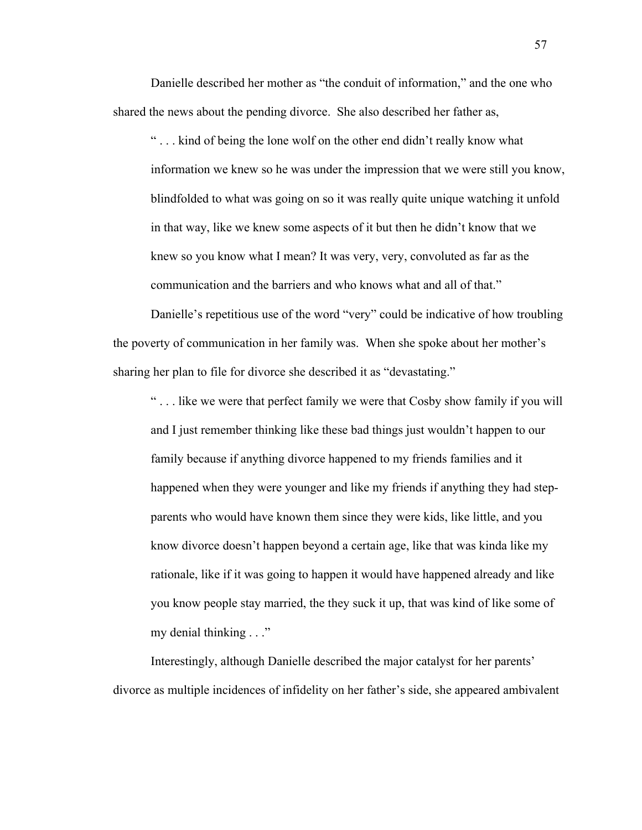Danielle described her mother as "the conduit of information," and the one who shared the news about the pending divorce. She also described her father as,

" . . . kind of being the lone wolf on the other end didn't really know what information we knew so he was under the impression that we were still you know, blindfolded to what was going on so it was really quite unique watching it unfold in that way, like we knew some aspects of it but then he didn't know that we knew so you know what I mean? It was very, very, convoluted as far as the communication and the barriers and who knows what and all of that."

Danielle's repetitious use of the word "very" could be indicative of how troubling the poverty of communication in her family was. When she spoke about her mother's sharing her plan to file for divorce she described it as "devastating."

" . . . like we were that perfect family we were that Cosby show family if you will and I just remember thinking like these bad things just wouldn't happen to our family because if anything divorce happened to my friends families and it happened when they were younger and like my friends if anything they had stepparents who would have known them since they were kids, like little, and you know divorce doesn't happen beyond a certain age, like that was kinda like my rationale, like if it was going to happen it would have happened already and like you know people stay married, the they suck it up, that was kind of like some of my denial thinking . . ."

Interestingly, although Danielle described the major catalyst for her parents' divorce as multiple incidences of infidelity on her father's side, she appeared ambivalent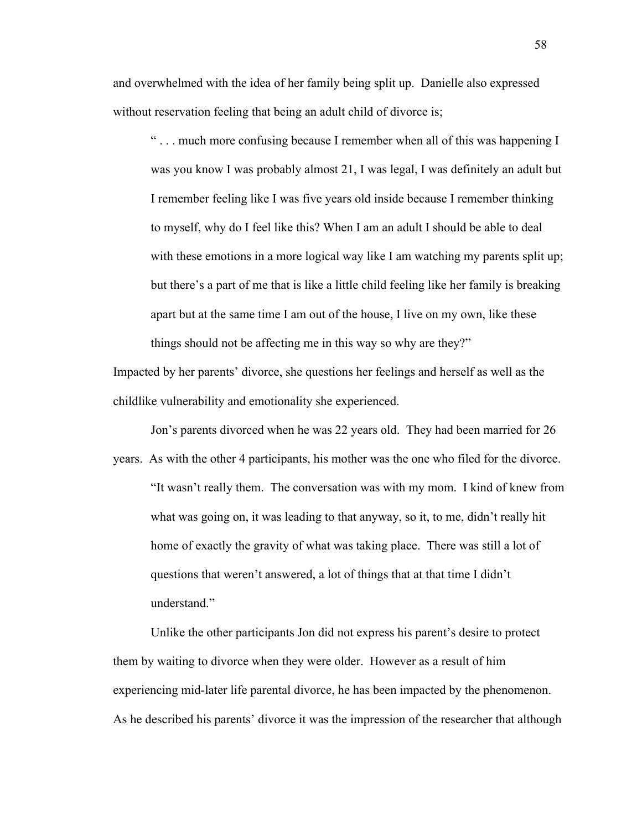and overwhelmed with the idea of her family being split up. Danielle also expressed without reservation feeling that being an adult child of divorce is;

" . . . much more confusing because I remember when all of this was happening I was you know I was probably almost 21, I was legal, I was definitely an adult but I remember feeling like I was five years old inside because I remember thinking to myself, why do I feel like this? When I am an adult I should be able to deal with these emotions in a more logical way like I am watching my parents split up; but there's a part of me that is like a little child feeling like her family is breaking apart but at the same time I am out of the house, I live on my own, like these things should not be affecting me in this way so why are they?"

Impacted by her parents' divorce, she questions her feelings and herself as well as the childlike vulnerability and emotionality she experienced.

Jon's parents divorced when he was 22 years old. They had been married for 26 years. As with the other 4 participants, his mother was the one who filed for the divorce. "It wasn't really them. The conversation was with my mom. I kind of knew from what was going on, it was leading to that anyway, so it, to me, didn't really hit home of exactly the gravity of what was taking place. There was still a lot of questions that weren't answered, a lot of things that at that time I didn't understand."

Unlike the other participants Jon did not express his parent's desire to protect them by waiting to divorce when they were older. However as a result of him experiencing mid-later life parental divorce, he has been impacted by the phenomenon. As he described his parents' divorce it was the impression of the researcher that although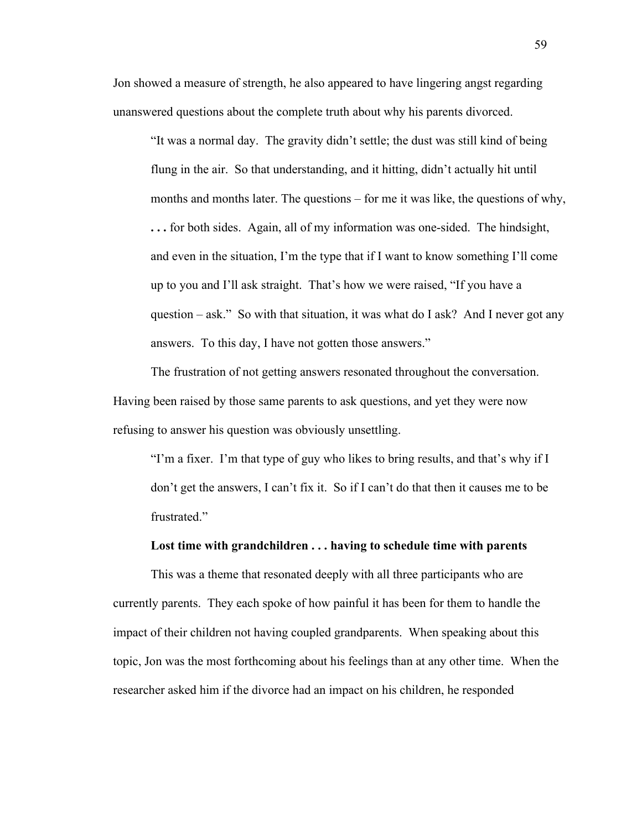Jon showed a measure of strength, he also appeared to have lingering angst regarding unanswered questions about the complete truth about why his parents divorced.

"It was a normal day. The gravity didn't settle; the dust was still kind of being flung in the air. So that understanding, and it hitting, didn't actually hit until months and months later. The questions – for me it was like, the questions of why, **. . .** for both sides. Again, all of my information was one-sided. The hindsight, and even in the situation, I'm the type that if I want to know something I'll come up to you and I'll ask straight. That's how we were raised, "If you have a question – ask." So with that situation, it was what do I ask? And I never got any answers. To this day, I have not gotten those answers."

The frustration of not getting answers resonated throughout the conversation. Having been raised by those same parents to ask questions, and yet they were now refusing to answer his question was obviously unsettling.

"I'm a fixer. I'm that type of guy who likes to bring results, and that's why if I don't get the answers, I can't fix it. So if I can't do that then it causes me to be frustrated."

### **Lost time with grandchildren . . . having to schedule time with parents**

This was a theme that resonated deeply with all three participants who are currently parents. They each spoke of how painful it has been for them to handle the impact of their children not having coupled grandparents. When speaking about this topic, Jon was the most forthcoming about his feelings than at any other time. When the researcher asked him if the divorce had an impact on his children, he responded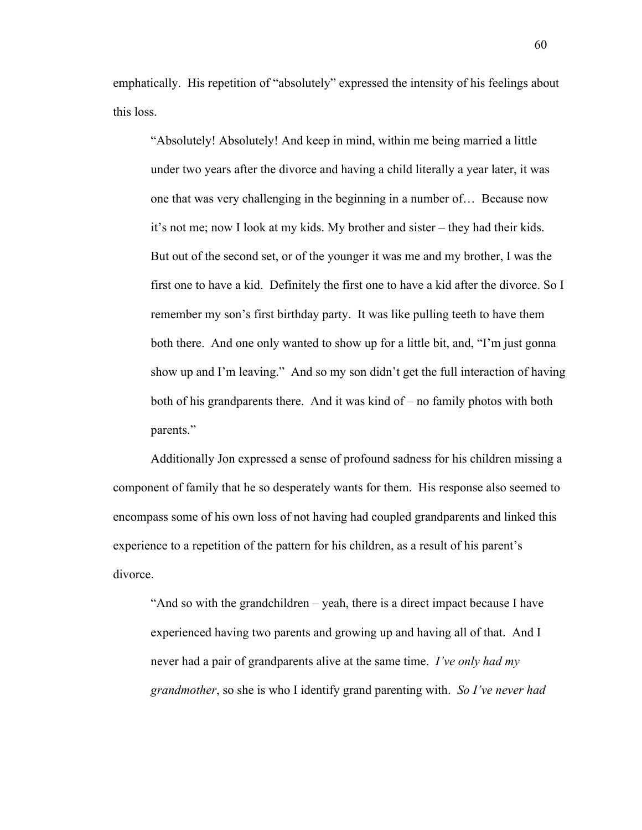emphatically. His repetition of "absolutely" expressed the intensity of his feelings about this loss.

"Absolutely! Absolutely! And keep in mind, within me being married a little under two years after the divorce and having a child literally a year later, it was one that was very challenging in the beginning in a number of… Because now it's not me; now I look at my kids. My brother and sister – they had their kids. But out of the second set, or of the younger it was me and my brother, I was the first one to have a kid. Definitely the first one to have a kid after the divorce. So I remember my son's first birthday party. It was like pulling teeth to have them both there. And one only wanted to show up for a little bit, and, "I'm just gonna show up and I'm leaving." And so my son didn't get the full interaction of having both of his grandparents there. And it was kind of – no family photos with both parents."

Additionally Jon expressed a sense of profound sadness for his children missing a component of family that he so desperately wants for them. His response also seemed to encompass some of his own loss of not having had coupled grandparents and linked this experience to a repetition of the pattern for his children, as a result of his parent's divorce.

"And so with the grandchildren – yeah, there is a direct impact because I have experienced having two parents and growing up and having all of that. And I never had a pair of grandparents alive at the same time. *I've only had my grandmother*, so she is who I identify grand parenting with. *So I've never had*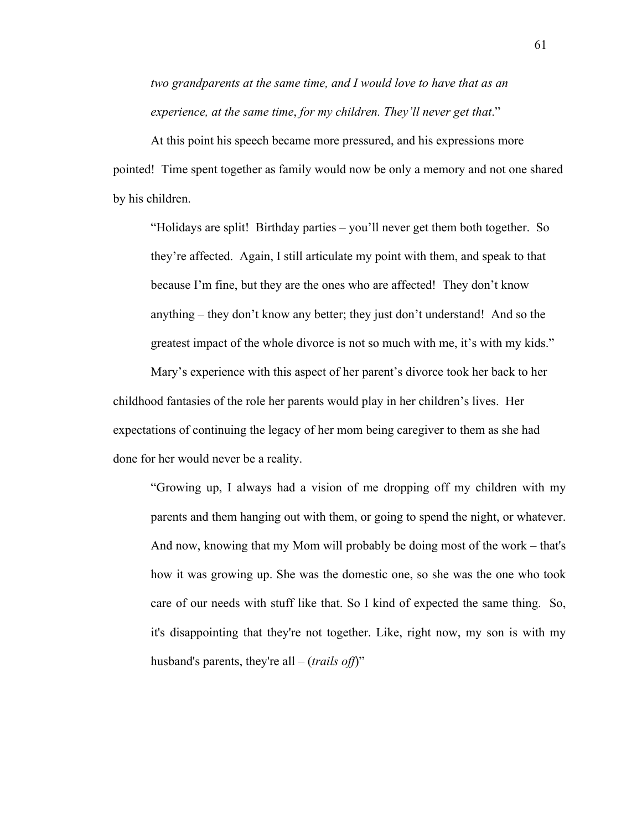*two grandparents at the same time, and I would love to have that as an experience, at the same time*, *for my children. They'll never get that*."

At this point his speech became more pressured, and his expressions more pointed! Time spent together as family would now be only a memory and not one shared by his children.

"Holidays are split! Birthday parties – you'll never get them both together. So they're affected. Again, I still articulate my point with them, and speak to that because I'm fine, but they are the ones who are affected! They don't know anything – they don't know any better; they just don't understand! And so the greatest impact of the whole divorce is not so much with me, it's with my kids."

Mary's experience with this aspect of her parent's divorce took her back to her childhood fantasies of the role her parents would play in her children's lives. Her expectations of continuing the legacy of her mom being caregiver to them as she had done for her would never be a reality.

"Growing up, I always had a vision of me dropping off my children with my parents and them hanging out with them, or going to spend the night, or whatever. And now, knowing that my Mom will probably be doing most of the work – that's how it was growing up. She was the domestic one, so she was the one who took care of our needs with stuff like that. So I kind of expected the same thing. So, it's disappointing that they're not together. Like, right now, my son is with my husband's parents, they're all – (*trails off*)"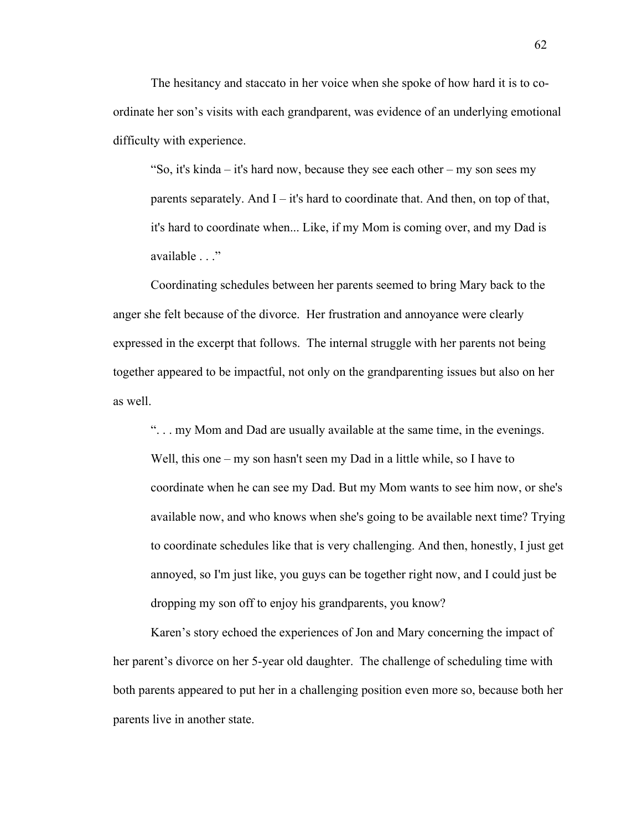The hesitancy and staccato in her voice when she spoke of how hard it is to coordinate her son's visits with each grandparent, was evidence of an underlying emotional difficulty with experience.

"So, it's kinda – it's hard now, because they see each other – my son sees my parents separately. And  $I - it's$  hard to coordinate that. And then, on top of that, it's hard to coordinate when... Like, if my Mom is coming over, and my Dad is available . . ."

Coordinating schedules between her parents seemed to bring Mary back to the anger she felt because of the divorce. Her frustration and annoyance were clearly expressed in the excerpt that follows. The internal struggle with her parents not being together appeared to be impactful, not only on the grandparenting issues but also on her as well.

". . . my Mom and Dad are usually available at the same time, in the evenings. Well, this one – my son hasn't seen my Dad in a little while, so I have to coordinate when he can see my Dad. But my Mom wants to see him now, or she's available now, and who knows when she's going to be available next time? Trying to coordinate schedules like that is very challenging. And then, honestly, I just get annoyed, so I'm just like, you guys can be together right now, and I could just be dropping my son off to enjoy his grandparents, you know?

Karen's story echoed the experiences of Jon and Mary concerning the impact of her parent's divorce on her 5-year old daughter. The challenge of scheduling time with both parents appeared to put her in a challenging position even more so, because both her parents live in another state.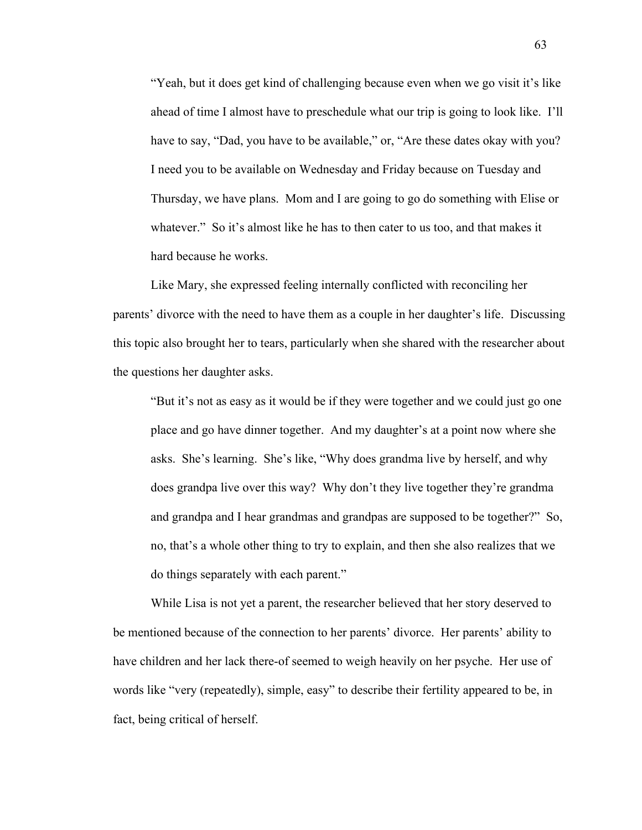"Yeah, but it does get kind of challenging because even when we go visit it's like ahead of time I almost have to preschedule what our trip is going to look like. I'll have to say, "Dad, you have to be available," or, "Are these dates okay with you? I need you to be available on Wednesday and Friday because on Tuesday and Thursday, we have plans. Mom and I are going to go do something with Elise or whatever." So it's almost like he has to then cater to us too, and that makes it hard because he works.

Like Mary, she expressed feeling internally conflicted with reconciling her parents' divorce with the need to have them as a couple in her daughter's life. Discussing this topic also brought her to tears, particularly when she shared with the researcher about the questions her daughter asks.

"But it's not as easy as it would be if they were together and we could just go one place and go have dinner together. And my daughter's at a point now where she asks. She's learning. She's like, "Why does grandma live by herself, and why does grandpa live over this way? Why don't they live together they're grandma and grandpa and I hear grandmas and grandpas are supposed to be together?" So, no, that's a whole other thing to try to explain, and then she also realizes that we do things separately with each parent."

While Lisa is not yet a parent, the researcher believed that her story deserved to be mentioned because of the connection to her parents' divorce. Her parents' ability to have children and her lack there-of seemed to weigh heavily on her psyche. Her use of words like "very (repeatedly), simple, easy" to describe their fertility appeared to be, in fact, being critical of herself.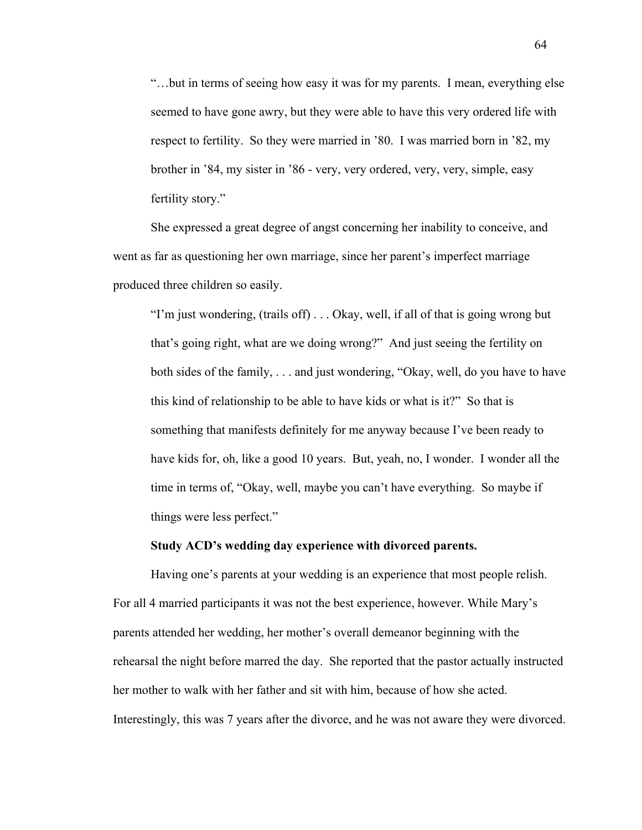"…but in terms of seeing how easy it was for my parents. I mean, everything else seemed to have gone awry, but they were able to have this very ordered life with respect to fertility. So they were married in '80. I was married born in '82, my brother in '84, my sister in '86 - very, very ordered, very, very, simple, easy fertility story."

She expressed a great degree of angst concerning her inability to conceive, and went as far as questioning her own marriage, since her parent's imperfect marriage produced three children so easily.

"I'm just wondering, (trails off) . . . Okay, well, if all of that is going wrong but that's going right, what are we doing wrong?" And just seeing the fertility on both sides of the family, . . . and just wondering, "Okay, well, do you have to have this kind of relationship to be able to have kids or what is it?" So that is something that manifests definitely for me anyway because I've been ready to have kids for, oh, like a good 10 years. But, yeah, no, I wonder. I wonder all the time in terms of, "Okay, well, maybe you can't have everything. So maybe if things were less perfect."

#### **Study ACD's wedding day experience with divorced parents.**

Having one's parents at your wedding is an experience that most people relish. For all 4 married participants it was not the best experience, however. While Mary's parents attended her wedding, her mother's overall demeanor beginning with the rehearsal the night before marred the day. She reported that the pastor actually instructed her mother to walk with her father and sit with him, because of how she acted. Interestingly, this was 7 years after the divorce, and he was not aware they were divorced.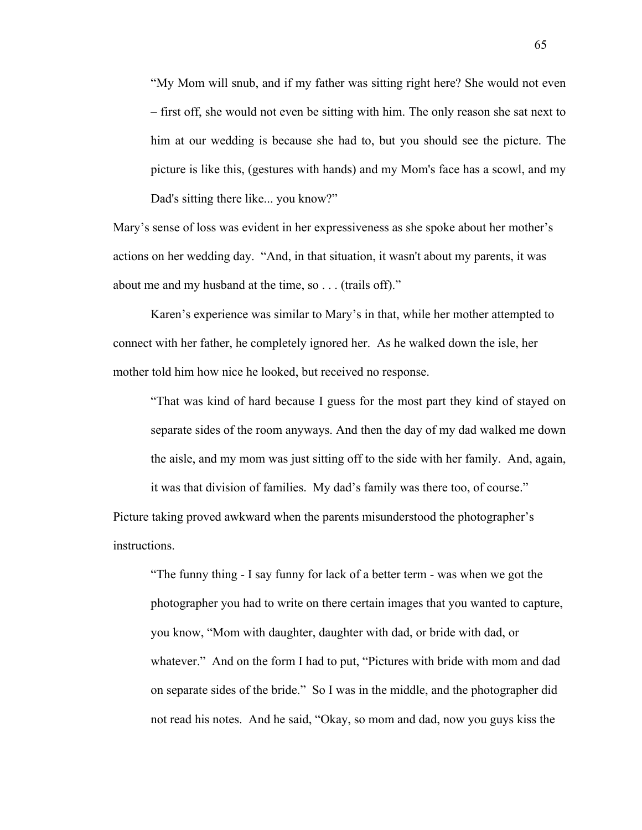"My Mom will snub, and if my father was sitting right here? She would not even – first off, she would not even be sitting with him. The only reason she sat next to him at our wedding is because she had to, but you should see the picture. The picture is like this, (gestures with hands) and my Mom's face has a scowl, and my Dad's sitting there like... you know?"

Mary's sense of loss was evident in her expressiveness as she spoke about her mother's actions on her wedding day. "And, in that situation, it wasn't about my parents, it was about me and my husband at the time, so . . . (trails off)."

Karen's experience was similar to Mary's in that, while her mother attempted to connect with her father, he completely ignored her. As he walked down the isle, her mother told him how nice he looked, but received no response.

"That was kind of hard because I guess for the most part they kind of stayed on separate sides of the room anyways. And then the day of my dad walked me down the aisle, and my mom was just sitting off to the side with her family. And, again, it was that division of families. My dad's family was there too, of course."

Picture taking proved awkward when the parents misunderstood the photographer's instructions.

"The funny thing - I say funny for lack of a better term - was when we got the photographer you had to write on there certain images that you wanted to capture, you know, "Mom with daughter, daughter with dad, or bride with dad, or whatever." And on the form I had to put, "Pictures with bride with mom and dad on separate sides of the bride." So I was in the middle, and the photographer did not read his notes. And he said, "Okay, so mom and dad, now you guys kiss the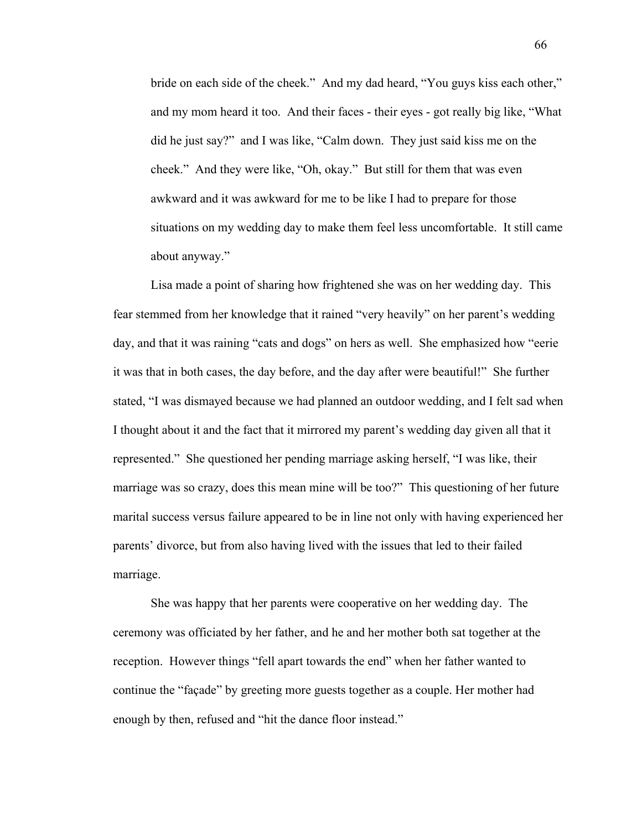bride on each side of the cheek." And my dad heard, "You guys kiss each other," and my mom heard it too. And their faces - their eyes - got really big like, "What did he just say?" and I was like, "Calm down. They just said kiss me on the cheek." And they were like, "Oh, okay." But still for them that was even awkward and it was awkward for me to be like I had to prepare for those situations on my wedding day to make them feel less uncomfortable. It still came about anyway."

Lisa made a point of sharing how frightened she was on her wedding day. This fear stemmed from her knowledge that it rained "very heavily" on her parent's wedding day, and that it was raining "cats and dogs" on hers as well. She emphasized how "eerie it was that in both cases, the day before, and the day after were beautiful!" She further stated, "I was dismayed because we had planned an outdoor wedding, and I felt sad when I thought about it and the fact that it mirrored my parent's wedding day given all that it represented." She questioned her pending marriage asking herself, "I was like, their marriage was so crazy, does this mean mine will be too?" This questioning of her future marital success versus failure appeared to be in line not only with having experienced her parents' divorce, but from also having lived with the issues that led to their failed marriage.

She was happy that her parents were cooperative on her wedding day. The ceremony was officiated by her father, and he and her mother both sat together at the reception. However things "fell apart towards the end" when her father wanted to continue the "façade" by greeting more guests together as a couple. Her mother had enough by then, refused and "hit the dance floor instead."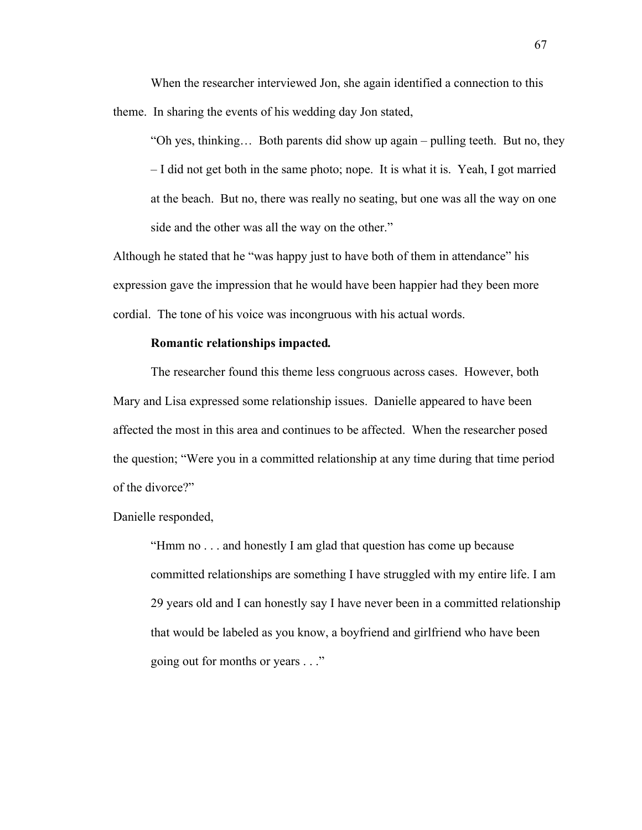When the researcher interviewed Jon, she again identified a connection to this theme. In sharing the events of his wedding day Jon stated,

"Oh yes, thinking… Both parents did show up again – pulling teeth. But no, they – I did not get both in the same photo; nope. It is what it is. Yeah, I got married at the beach. But no, there was really no seating, but one was all the way on one side and the other was all the way on the other."

Although he stated that he "was happy just to have both of them in attendance" his expression gave the impression that he would have been happier had they been more cordial. The tone of his voice was incongruous with his actual words.

## **Romantic relationships impacted***.*

The researcher found this theme less congruous across cases. However, both Mary and Lisa expressed some relationship issues. Danielle appeared to have been affected the most in this area and continues to be affected. When the researcher posed the question; "Were you in a committed relationship at any time during that time period of the divorce?"

Danielle responded,

"Hmm no . . . and honestly I am glad that question has come up because committed relationships are something I have struggled with my entire life. I am 29 years old and I can honestly say I have never been in a committed relationship that would be labeled as you know, a boyfriend and girlfriend who have been going out for months or years . . ."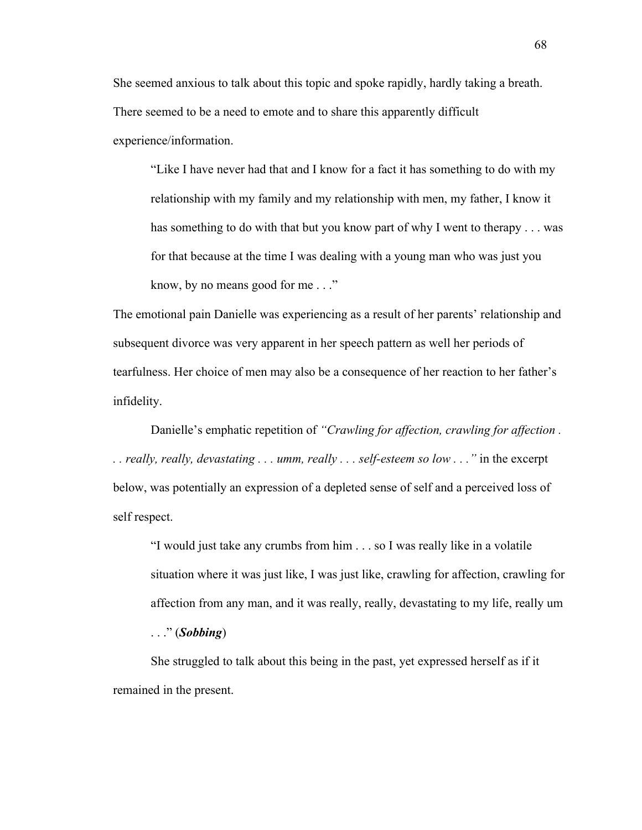She seemed anxious to talk about this topic and spoke rapidly, hardly taking a breath. There seemed to be a need to emote and to share this apparently difficult experience/information.

"Like I have never had that and I know for a fact it has something to do with my relationship with my family and my relationship with men, my father, I know it has something to do with that but you know part of why I went to therapy . . . was for that because at the time I was dealing with a young man who was just you know, by no means good for me . . ."

The emotional pain Danielle was experiencing as a result of her parents' relationship and subsequent divorce was very apparent in her speech pattern as well her periods of tearfulness. Her choice of men may also be a consequence of her reaction to her father's infidelity.

Danielle's emphatic repetition of *"Crawling for affection, crawling for affection . . . really, really, devastating . . . umm, really . . . self-esteem so low . . ."* in the excerpt below, was potentially an expression of a depleted sense of self and a perceived loss of self respect.

"I would just take any crumbs from him . . . so I was really like in a volatile situation where it was just like, I was just like, crawling for affection, crawling for affection from any man, and it was really, really, devastating to my life, really um

. . ." (*Sobbing*)

She struggled to talk about this being in the past, yet expressed herself as if it remained in the present.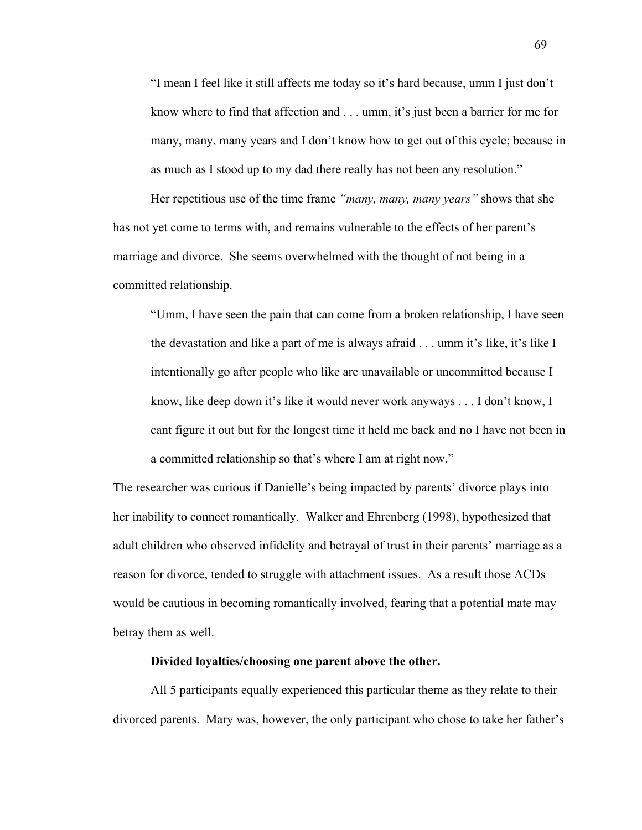"I mean I feel like it still affects me today so it's hard because, umm I just don't know where to find that affection and . . . umm, it's just been a barrier for me for many, many, many years and I don't know how to get out of this cycle; because in as much as I stood up to my dad there really has not been any resolution."

Her repetitious use of the time frame *"many, many, many years"* shows that she has not yet come to terms with, and remains vulnerable to the effects of her parent's marriage and divorce. She seems overwhelmed with the thought of not being in a committed relationship.

"Umm, I have seen the pain that can come from a broken relationship, I have seen the devastation and like a part of me is always afraid . . . umm it's like, it's like I intentionally go after people who like are unavailable or uncommitted because I know, like deep down it's like it would never work anyways . . . I don't know, I cant figure it out but for the longest time it held me back and no I have not been in a committed relationship so that's where I am at right now."

The researcher was curious if Danielle's being impacted by parents' divorce plays into her inability to connect romantically. Walker and Ehrenberg (1998), hypothesized that adult children who observed infidelity and betrayal of trust in their parents' marriage as a reason for divorce, tended to struggle with attachment issues. As a result those ACDs would be cautious in becoming romantically involved, fearing that a potential mate may betray them as well.

### **Divided loyalties/choosing one parent above the other.**

All 5 participants equally experienced this particular theme as they relate to their divorced parents. Mary was, however, the only participant who chose to take her father's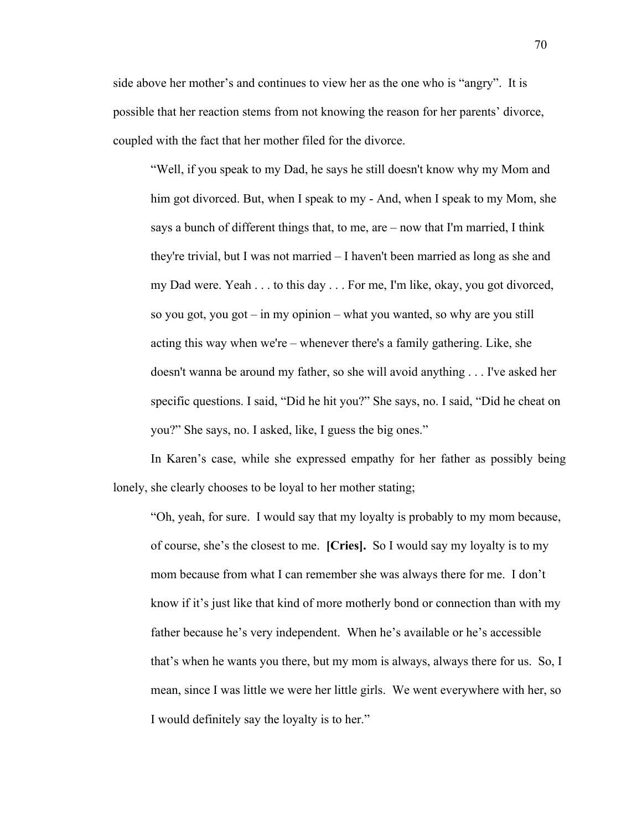side above her mother's and continues to view her as the one who is "angry". It is possible that her reaction stems from not knowing the reason for her parents' divorce, coupled with the fact that her mother filed for the divorce.

"Well, if you speak to my Dad, he says he still doesn't know why my Mom and him got divorced. But, when I speak to my - And, when I speak to my Mom, she says a bunch of different things that, to me, are – now that I'm married, I think they're trivial, but I was not married – I haven't been married as long as she and my Dad were. Yeah . . . to this day . . . For me, I'm like, okay, you got divorced, so you got, you got – in my opinion – what you wanted, so why are you still acting this way when we're – whenever there's a family gathering. Like, she doesn't wanna be around my father, so she will avoid anything . . . I've asked her specific questions. I said, "Did he hit you?" She says, no. I said, "Did he cheat on you?" She says, no. I asked, like, I guess the big ones."

In Karen's case, while she expressed empathy for her father as possibly being lonely, she clearly chooses to be loyal to her mother stating;

"Oh, yeah, for sure. I would say that my loyalty is probably to my mom because, of course, she's the closest to me. **[Cries].** So I would say my loyalty is to my mom because from what I can remember she was always there for me. I don't know if it's just like that kind of more motherly bond or connection than with my father because he's very independent. When he's available or he's accessible that's when he wants you there, but my mom is always, always there for us. So, I mean, since I was little we were her little girls. We went everywhere with her, so I would definitely say the loyalty is to her."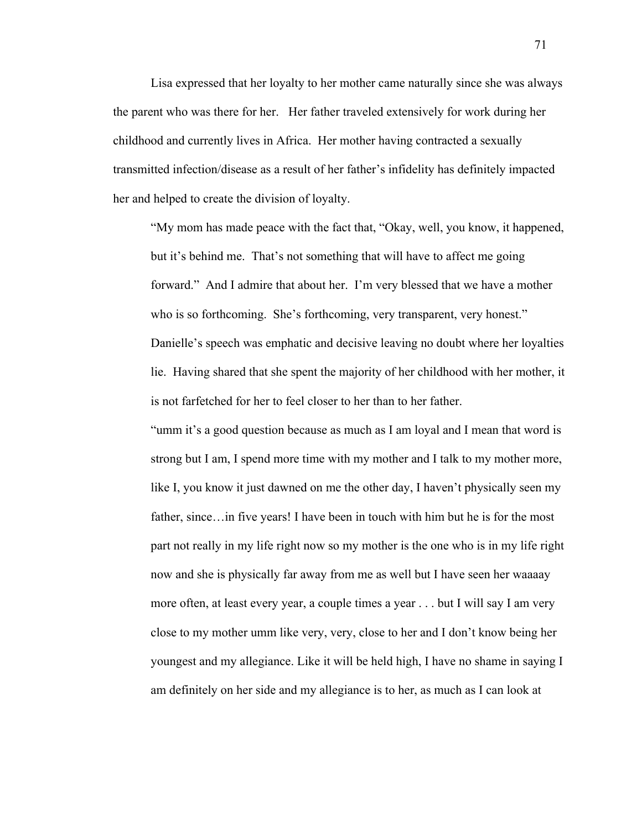Lisa expressed that her loyalty to her mother came naturally since she was always the parent who was there for her. Her father traveled extensively for work during her childhood and currently lives in Africa. Her mother having contracted a sexually transmitted infection/disease as a result of her father's infidelity has definitely impacted her and helped to create the division of loyalty.

"My mom has made peace with the fact that, "Okay, well, you know, it happened, but it's behind me. That's not something that will have to affect me going forward." And I admire that about her. I'm very blessed that we have a mother who is so forthcoming. She's forthcoming, very transparent, very honest." Danielle's speech was emphatic and decisive leaving no doubt where her loyalties lie. Having shared that she spent the majority of her childhood with her mother, it is not farfetched for her to feel closer to her than to her father.

"umm it's a good question because as much as I am loyal and I mean that word is strong but I am, I spend more time with my mother and I talk to my mother more, like I, you know it just dawned on me the other day, I haven't physically seen my father, since…in five years! I have been in touch with him but he is for the most part not really in my life right now so my mother is the one who is in my life right now and she is physically far away from me as well but I have seen her waaaay more often, at least every year, a couple times a year . . . but I will say I am very close to my mother umm like very, very, close to her and I don't know being her youngest and my allegiance. Like it will be held high, I have no shame in saying I am definitely on her side and my allegiance is to her, as much as I can look at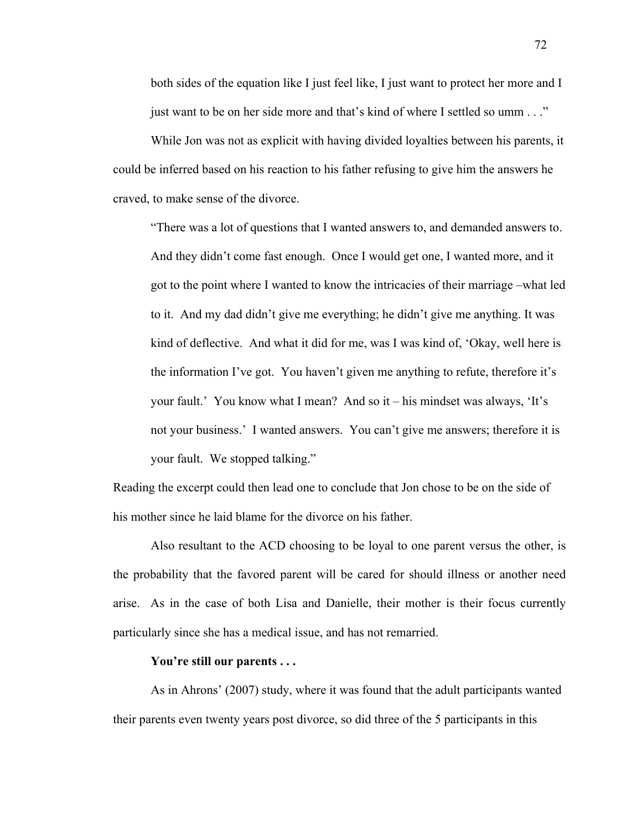both sides of the equation like I just feel like, I just want to protect her more and I just want to be on her side more and that's kind of where I settled so umm . . ."

While Jon was not as explicit with having divided loyalties between his parents, it could be inferred based on his reaction to his father refusing to give him the answers he craved, to make sense of the divorce.

"There was a lot of questions that I wanted answers to, and demanded answers to. And they didn't come fast enough. Once I would get one, I wanted more, and it got to the point where I wanted to know the intricacies of their marriage –what led to it. And my dad didn't give me everything; he didn't give me anything. It was kind of deflective. And what it did for me, was I was kind of, 'Okay, well here is the information I've got. You haven't given me anything to refute, therefore it's your fault.' You know what I mean? And so it – his mindset was always, 'It's not your business.' I wanted answers. You can't give me answers; therefore it is your fault. We stopped talking."

Reading the excerpt could then lead one to conclude that Jon chose to be on the side of his mother since he laid blame for the divorce on his father.

Also resultant to the ACD choosing to be loyal to one parent versus the other, is the probability that the favored parent will be cared for should illness or another need arise. As in the case of both Lisa and Danielle, their mother is their focus currently particularly since she has a medical issue, and has not remarried.

### **You're still our parents . . .**

As in Ahrons' (2007) study, where it was found that the adult participants wanted their parents even twenty years post divorce, so did three of the 5 participants in this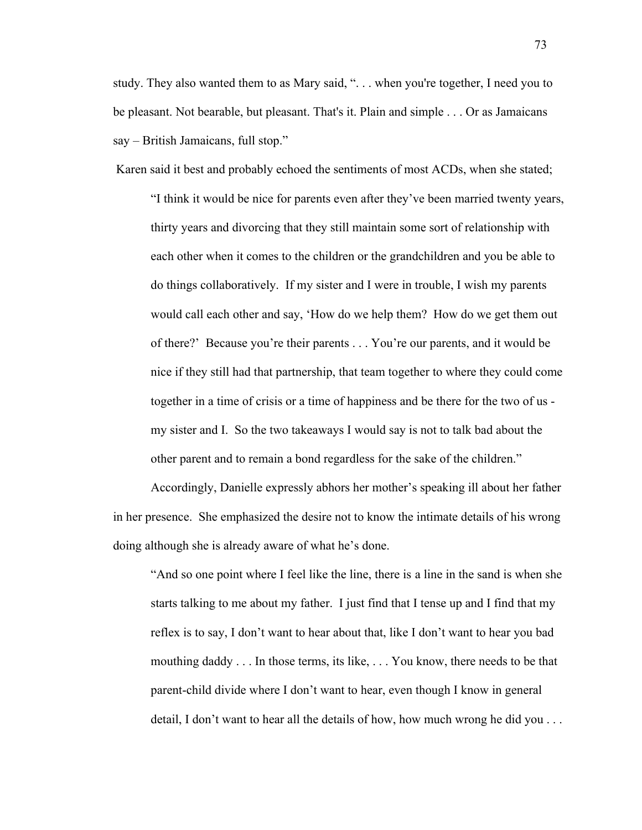study. They also wanted them to as Mary said, ". . . when you're together, I need you to be pleasant. Not bearable, but pleasant. That's it. Plain and simple . . . Or as Jamaicans say – British Jamaicans, full stop."

Karen said it best and probably echoed the sentiments of most ACDs, when she stated;

"I think it would be nice for parents even after they've been married twenty years, thirty years and divorcing that they still maintain some sort of relationship with each other when it comes to the children or the grandchildren and you be able to do things collaboratively. If my sister and I were in trouble, I wish my parents would call each other and say, 'How do we help them? How do we get them out of there?' Because you're their parents . . . You're our parents, and it would be nice if they still had that partnership, that team together to where they could come together in a time of crisis or a time of happiness and be there for the two of us my sister and I. So the two takeaways I would say is not to talk bad about the other parent and to remain a bond regardless for the sake of the children."

Accordingly, Danielle expressly abhors her mother's speaking ill about her father in her presence. She emphasized the desire not to know the intimate details of his wrong doing although she is already aware of what he's done.

"And so one point where I feel like the line, there is a line in the sand is when she starts talking to me about my father. I just find that I tense up and I find that my reflex is to say, I don't want to hear about that, like I don't want to hear you bad mouthing daddy . . . In those terms, its like, . . . You know, there needs to be that parent-child divide where I don't want to hear, even though I know in general detail, I don't want to hear all the details of how, how much wrong he did you . . .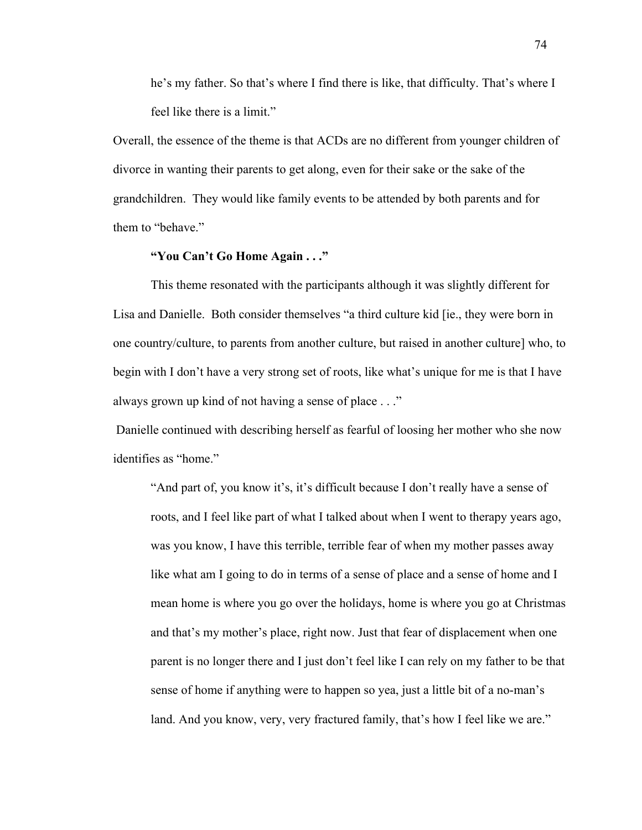he's my father. So that's where I find there is like, that difficulty. That's where I feel like there is a limit."

Overall, the essence of the theme is that ACDs are no different from younger children of divorce in wanting their parents to get along, even for their sake or the sake of the grandchildren. They would like family events to be attended by both parents and for them to "behave."

## **"You Can't Go Home Again . . ."**

This theme resonated with the participants although it was slightly different for Lisa and Danielle. Both consider themselves "a third culture kid [ie., they were born in one country/culture, to parents from another culture, but raised in another culture] who, to begin with I don't have a very strong set of roots, like what's unique for me is that I have always grown up kind of not having a sense of place . . ."

Danielle continued with describing herself as fearful of loosing her mother who she now identifies as "home."

"And part of, you know it's, it's difficult because I don't really have a sense of roots, and I feel like part of what I talked about when I went to therapy years ago, was you know, I have this terrible, terrible fear of when my mother passes away like what am I going to do in terms of a sense of place and a sense of home and I mean home is where you go over the holidays, home is where you go at Christmas and that's my mother's place, right now. Just that fear of displacement when one parent is no longer there and I just don't feel like I can rely on my father to be that sense of home if anything were to happen so yea, just a little bit of a no-man's land. And you know, very, very fractured family, that's how I feel like we are."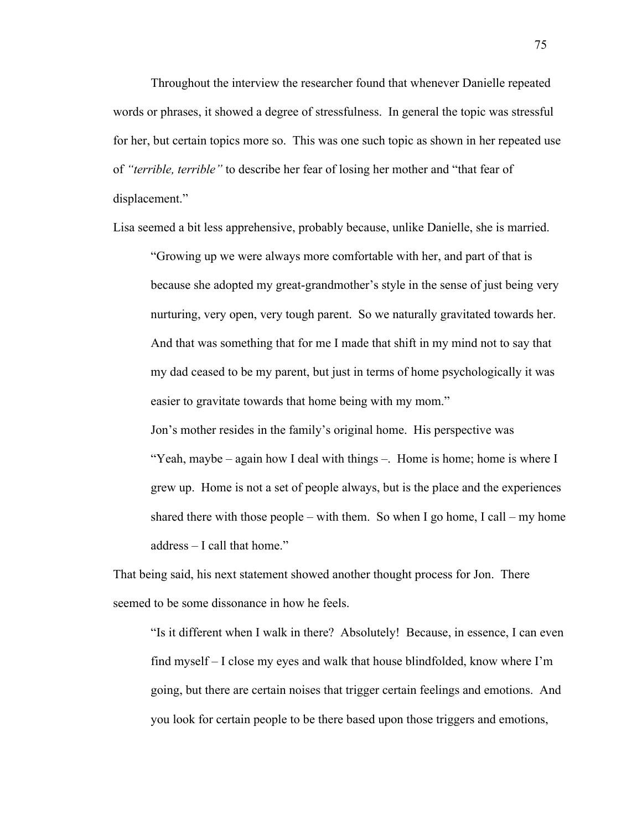Throughout the interview the researcher found that whenever Danielle repeated words or phrases, it showed a degree of stressfulness. In general the topic was stressful for her, but certain topics more so. This was one such topic as shown in her repeated use of *"terrible, terrible"* to describe her fear of losing her mother and "that fear of displacement."

Lisa seemed a bit less apprehensive, probably because, unlike Danielle, she is married.

"Growing up we were always more comfortable with her, and part of that is because she adopted my great-grandmother's style in the sense of just being very nurturing, very open, very tough parent. So we naturally gravitated towards her. And that was something that for me I made that shift in my mind not to say that my dad ceased to be my parent, but just in terms of home psychologically it was easier to gravitate towards that home being with my mom."

Jon's mother resides in the family's original home. His perspective was "Yeah, maybe – again how I deal with things –. Home is home; home is where I grew up. Home is not a set of people always, but is the place and the experiences shared there with those people – with them. So when I go home, I call – my home address – I call that home."

That being said, his next statement showed another thought process for Jon. There seemed to be some dissonance in how he feels.

"Is it different when I walk in there? Absolutely! Because, in essence, I can even find myself – I close my eyes and walk that house blindfolded, know where I'm going, but there are certain noises that trigger certain feelings and emotions. And you look for certain people to be there based upon those triggers and emotions,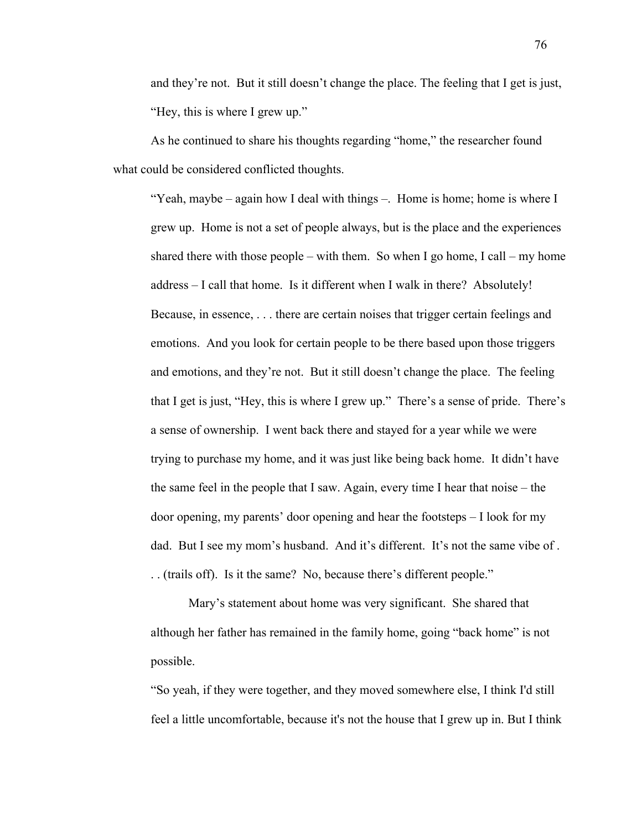and they're not. But it still doesn't change the place. The feeling that I get is just, "Hey, this is where I grew up."

As he continued to share his thoughts regarding "home," the researcher found what could be considered conflicted thoughts.

"Yeah, maybe – again how I deal with things –. Home is home; home is where I grew up. Home is not a set of people always, but is the place and the experiences shared there with those people – with them. So when I go home, I call – my home address – I call that home. Is it different when I walk in there? Absolutely! Because, in essence, . . . there are certain noises that trigger certain feelings and emotions. And you look for certain people to be there based upon those triggers and emotions, and they're not. But it still doesn't change the place. The feeling that I get is just, "Hey, this is where I grew up." There's a sense of pride. There's a sense of ownership. I went back there and stayed for a year while we were trying to purchase my home, and it was just like being back home. It didn't have the same feel in the people that I saw. Again, every time I hear that noise – the door opening, my parents' door opening and hear the footsteps – I look for my dad. But I see my mom's husband. And it's different. It's not the same vibe of . . . (trails off). Is it the same? No, because there's different people."

Mary's statement about home was very significant. She shared that although her father has remained in the family home, going "back home" is not possible.

"So yeah, if they were together, and they moved somewhere else, I think I'd still feel a little uncomfortable, because it's not the house that I grew up in. But I think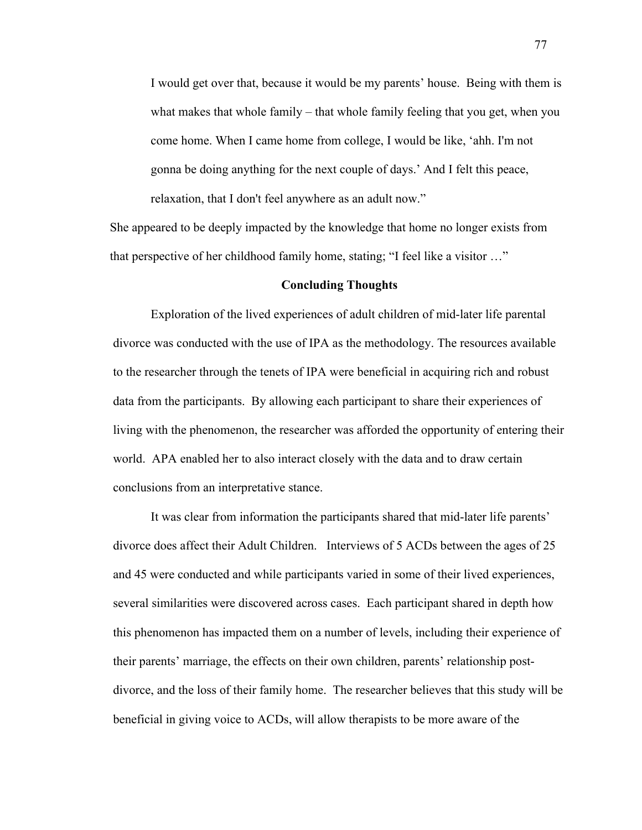I would get over that, because it would be my parents' house. Being with them is what makes that whole family – that whole family feeling that you get, when you come home. When I came home from college, I would be like, 'ahh. I'm not gonna be doing anything for the next couple of days.' And I felt this peace, relaxation, that I don't feel anywhere as an adult now."

 She appeared to be deeply impacted by the knowledge that home no longer exists from that perspective of her childhood family home, stating; "I feel like a visitor …"

#### **Concluding Thoughts**

Exploration of the lived experiences of adult children of mid-later life parental divorce was conducted with the use of IPA as the methodology. The resources available to the researcher through the tenets of IPA were beneficial in acquiring rich and robust data from the participants. By allowing each participant to share their experiences of living with the phenomenon, the researcher was afforded the opportunity of entering their world. APA enabled her to also interact closely with the data and to draw certain conclusions from an interpretative stance.

It was clear from information the participants shared that mid-later life parents' divorce does affect their Adult Children. Interviews of 5 ACDs between the ages of 25 and 45 were conducted and while participants varied in some of their lived experiences, several similarities were discovered across cases. Each participant shared in depth how this phenomenon has impacted them on a number of levels, including their experience of their parents' marriage, the effects on their own children, parents' relationship postdivorce, and the loss of their family home. The researcher believes that this study will be beneficial in giving voice to ACDs, will allow therapists to be more aware of the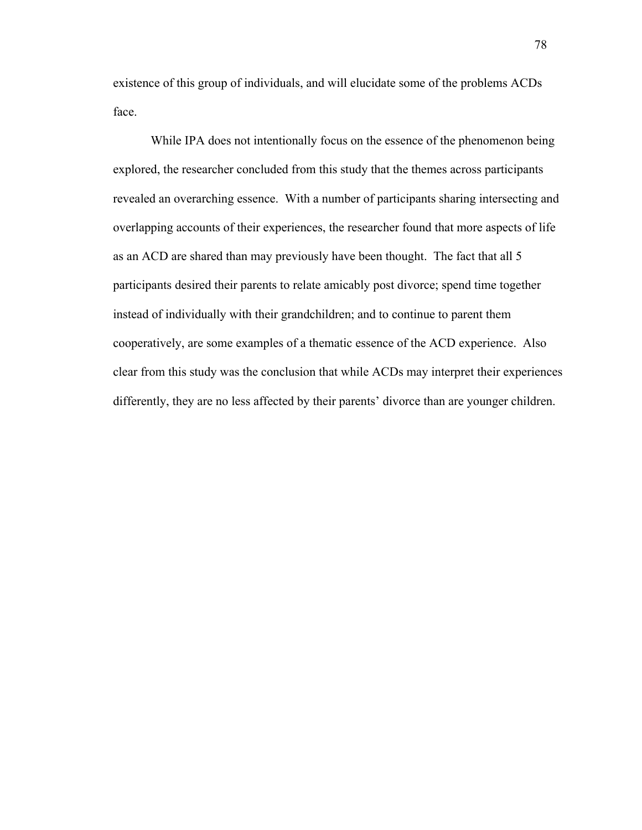existence of this group of individuals, and will elucidate some of the problems ACDs face.

While IPA does not intentionally focus on the essence of the phenomenon being explored, the researcher concluded from this study that the themes across participants revealed an overarching essence. With a number of participants sharing intersecting and overlapping accounts of their experiences, the researcher found that more aspects of life as an ACD are shared than may previously have been thought. The fact that all 5 participants desired their parents to relate amicably post divorce; spend time together instead of individually with their grandchildren; and to continue to parent them cooperatively, are some examples of a thematic essence of the ACD experience. Also clear from this study was the conclusion that while ACDs may interpret their experiences differently, they are no less affected by their parents' divorce than are younger children.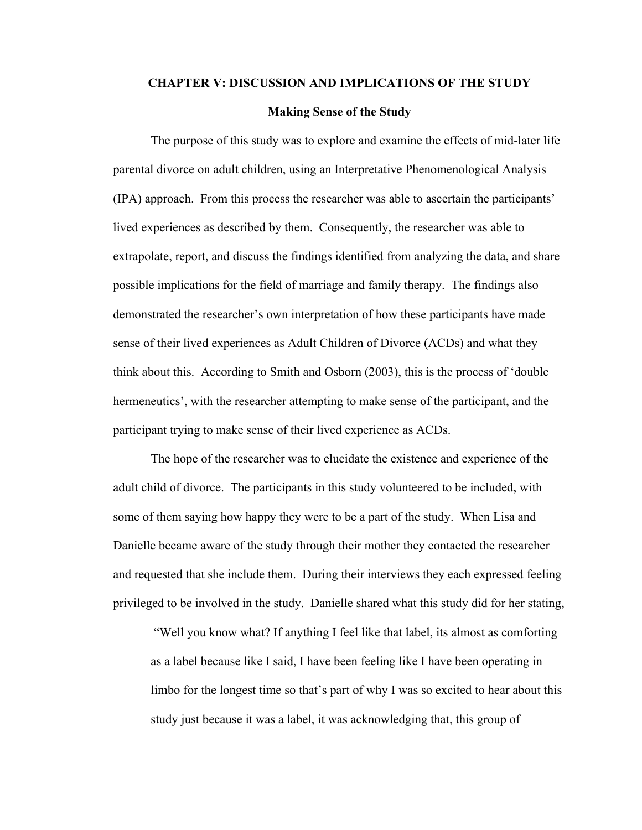# **CHAPTER V: DISCUSSION AND IMPLICATIONS OF THE STUDY Making Sense of the Study**

The purpose of this study was to explore and examine the effects of mid-later life parental divorce on adult children, using an Interpretative Phenomenological Analysis (IPA) approach. From this process the researcher was able to ascertain the participants' lived experiences as described by them. Consequently, the researcher was able to extrapolate, report, and discuss the findings identified from analyzing the data, and share possible implications for the field of marriage and family therapy. The findings also demonstrated the researcher's own interpretation of how these participants have made sense of their lived experiences as Adult Children of Divorce (ACDs) and what they think about this. According to Smith and Osborn (2003), this is the process of 'double hermeneutics', with the researcher attempting to make sense of the participant, and the participant trying to make sense of their lived experience as ACDs.

The hope of the researcher was to elucidate the existence and experience of the adult child of divorce. The participants in this study volunteered to be included, with some of them saying how happy they were to be a part of the study. When Lisa and Danielle became aware of the study through their mother they contacted the researcher and requested that she include them. During their interviews they each expressed feeling privileged to be involved in the study. Danielle shared what this study did for her stating,

"Well you know what? If anything I feel like that label, its almost as comforting as a label because like I said, I have been feeling like I have been operating in limbo for the longest time so that's part of why I was so excited to hear about this study just because it was a label, it was acknowledging that, this group of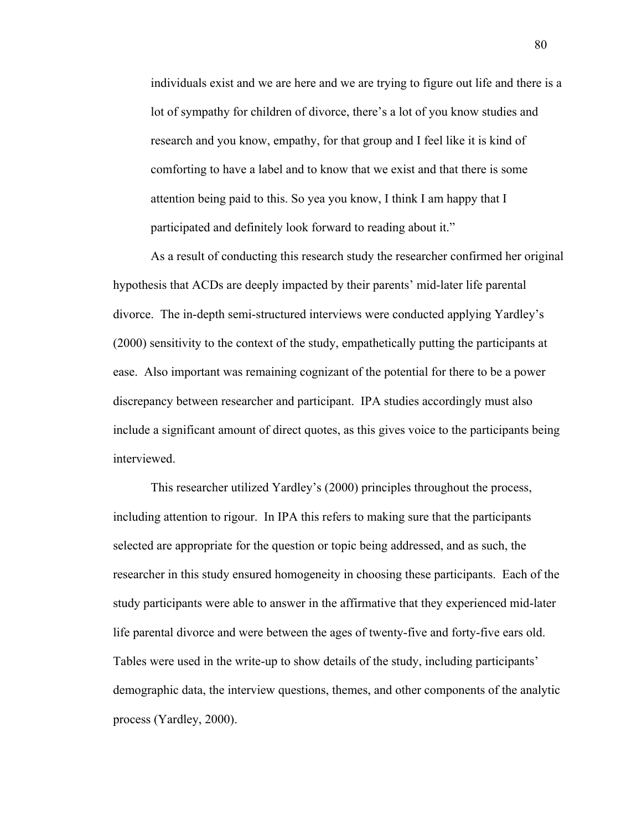individuals exist and we are here and we are trying to figure out life and there is a lot of sympathy for children of divorce, there's a lot of you know studies and research and you know, empathy, for that group and I feel like it is kind of comforting to have a label and to know that we exist and that there is some attention being paid to this. So yea you know, I think I am happy that I participated and definitely look forward to reading about it."

As a result of conducting this research study the researcher confirmed her original hypothesis that ACDs are deeply impacted by their parents' mid-later life parental divorce. The in-depth semi-structured interviews were conducted applying Yardley's (2000) sensitivity to the context of the study, empathetically putting the participants at ease. Also important was remaining cognizant of the potential for there to be a power discrepancy between researcher and participant. IPA studies accordingly must also include a significant amount of direct quotes, as this gives voice to the participants being interviewed.

This researcher utilized Yardley's (2000) principles throughout the process, including attention to rigour. In IPA this refers to making sure that the participants selected are appropriate for the question or topic being addressed, and as such, the researcher in this study ensured homogeneity in choosing these participants. Each of the study participants were able to answer in the affirmative that they experienced mid-later life parental divorce and were between the ages of twenty-five and forty-five ears old. Tables were used in the write-up to show details of the study, including participants' demographic data, the interview questions, themes, and other components of the analytic process (Yardley, 2000).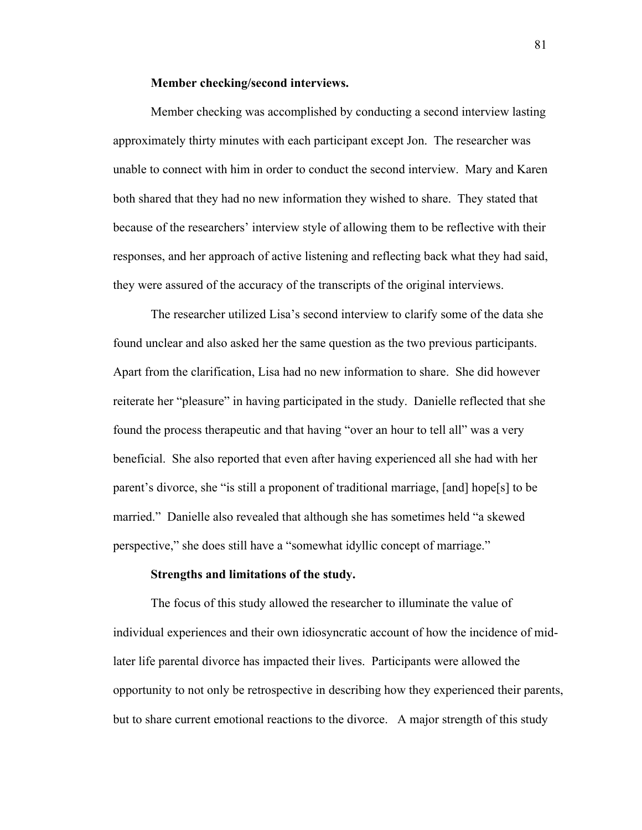## **Member checking/second interviews.**

Member checking was accomplished by conducting a second interview lasting approximately thirty minutes with each participant except Jon. The researcher was unable to connect with him in order to conduct the second interview. Mary and Karen both shared that they had no new information they wished to share. They stated that because of the researchers' interview style of allowing them to be reflective with their responses, and her approach of active listening and reflecting back what they had said, they were assured of the accuracy of the transcripts of the original interviews.

The researcher utilized Lisa's second interview to clarify some of the data she found unclear and also asked her the same question as the two previous participants. Apart from the clarification, Lisa had no new information to share. She did however reiterate her "pleasure" in having participated in the study. Danielle reflected that she found the process therapeutic and that having "over an hour to tell all" was a very beneficial. She also reported that even after having experienced all she had with her parent's divorce, she "is still a proponent of traditional marriage, [and] hope[s] to be married." Danielle also revealed that although she has sometimes held "a skewed perspective," she does still have a "somewhat idyllic concept of marriage."

#### **Strengths and limitations of the study.**

The focus of this study allowed the researcher to illuminate the value of individual experiences and their own idiosyncratic account of how the incidence of midlater life parental divorce has impacted their lives. Participants were allowed the opportunity to not only be retrospective in describing how they experienced their parents, but to share current emotional reactions to the divorce. A major strength of this study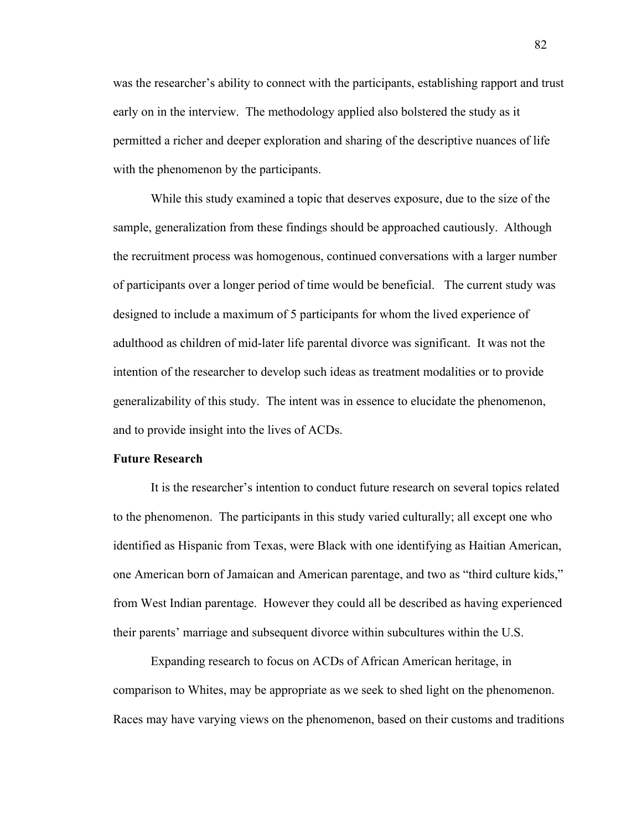was the researcher's ability to connect with the participants, establishing rapport and trust early on in the interview. The methodology applied also bolstered the study as it permitted a richer and deeper exploration and sharing of the descriptive nuances of life with the phenomenon by the participants.

While this study examined a topic that deserves exposure, due to the size of the sample, generalization from these findings should be approached cautiously. Although the recruitment process was homogenous, continued conversations with a larger number of participants over a longer period of time would be beneficial. The current study was designed to include a maximum of 5 participants for whom the lived experience of adulthood as children of mid-later life parental divorce was significant. It was not the intention of the researcher to develop such ideas as treatment modalities or to provide generalizability of this study. The intent was in essence to elucidate the phenomenon, and to provide insight into the lives of ACDs.

## **Future Research**

It is the researcher's intention to conduct future research on several topics related to the phenomenon. The participants in this study varied culturally; all except one who identified as Hispanic from Texas, were Black with one identifying as Haitian American, one American born of Jamaican and American parentage, and two as "third culture kids," from West Indian parentage. However they could all be described as having experienced their parents' marriage and subsequent divorce within subcultures within the U.S.

Expanding research to focus on ACDs of African American heritage, in comparison to Whites, may be appropriate as we seek to shed light on the phenomenon. Races may have varying views on the phenomenon, based on their customs and traditions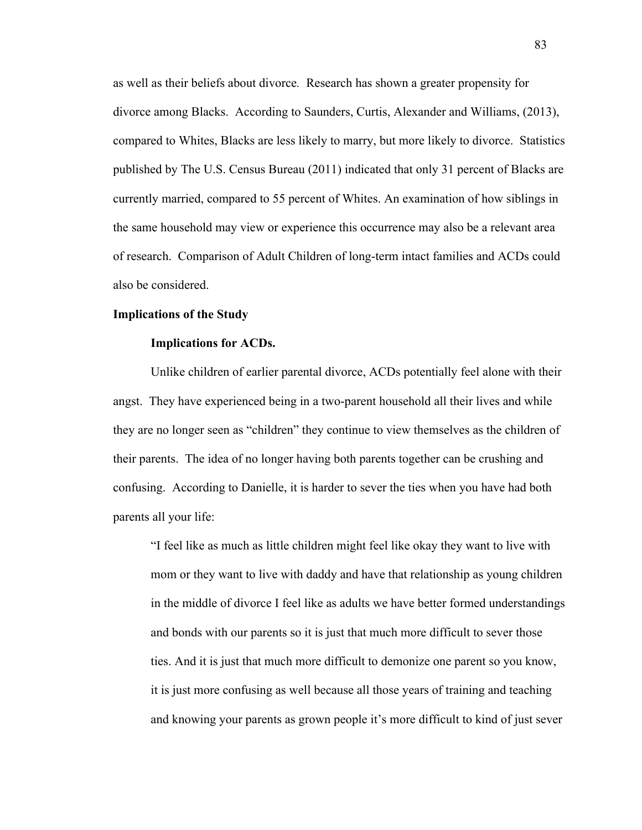as well as their beliefs about divorce*.* Research has shown a greater propensity for divorce among Blacks. According to Saunders, Curtis, Alexander and Williams, (2013), compared to Whites, Blacks are less likely to marry, but more likely to divorce. Statistics published by The U.S. Census Bureau (2011) indicated that only 31 percent of Blacks are currently married, compared to 55 percent of Whites. An examination of how siblings in the same household may view or experience this occurrence may also be a relevant area of research. Comparison of Adult Children of long-term intact families and ACDs could also be considered.

## **Implications of the Study**

#### **Implications for ACDs.**

Unlike children of earlier parental divorce, ACDs potentially feel alone with their angst. They have experienced being in a two-parent household all their lives and while they are no longer seen as "children" they continue to view themselves as the children of their parents. The idea of no longer having both parents together can be crushing and confusing. According to Danielle, it is harder to sever the ties when you have had both parents all your life:

"I feel like as much as little children might feel like okay they want to live with mom or they want to live with daddy and have that relationship as young children in the middle of divorce I feel like as adults we have better formed understandings and bonds with our parents so it is just that much more difficult to sever those ties. And it is just that much more difficult to demonize one parent so you know, it is just more confusing as well because all those years of training and teaching and knowing your parents as grown people it's more difficult to kind of just sever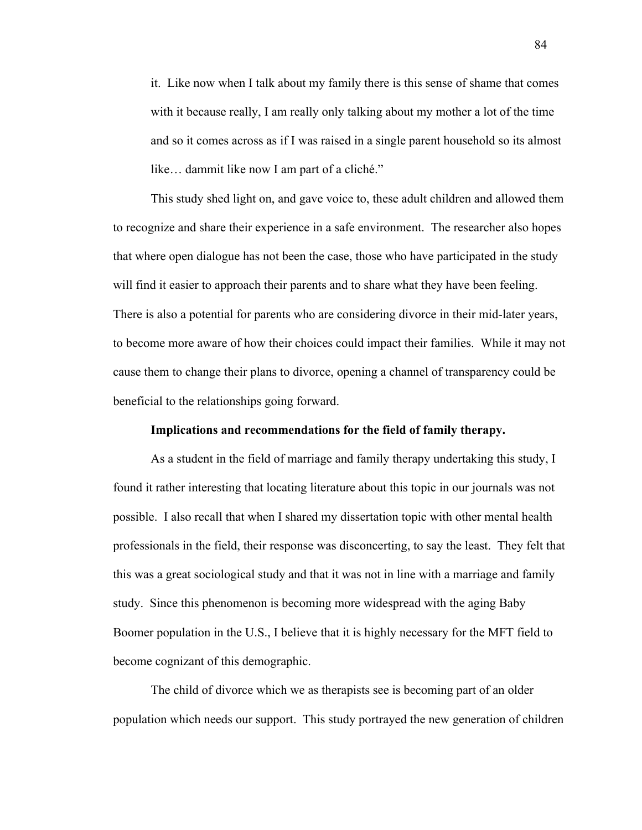it. Like now when I talk about my family there is this sense of shame that comes with it because really, I am really only talking about my mother a lot of the time and so it comes across as if I was raised in a single parent household so its almost like… dammit like now I am part of a cliché."

This study shed light on, and gave voice to, these adult children and allowed them to recognize and share their experience in a safe environment. The researcher also hopes that where open dialogue has not been the case, those who have participated in the study will find it easier to approach their parents and to share what they have been feeling. There is also a potential for parents who are considering divorce in their mid-later years, to become more aware of how their choices could impact their families. While it may not cause them to change their plans to divorce, opening a channel of transparency could be beneficial to the relationships going forward.

#### **Implications and recommendations for the field of family therapy.**

As a student in the field of marriage and family therapy undertaking this study, I found it rather interesting that locating literature about this topic in our journals was not possible. I also recall that when I shared my dissertation topic with other mental health professionals in the field, their response was disconcerting, to say the least. They felt that this was a great sociological study and that it was not in line with a marriage and family study. Since this phenomenon is becoming more widespread with the aging Baby Boomer population in the U.S., I believe that it is highly necessary for the MFT field to become cognizant of this demographic.

The child of divorce which we as therapists see is becoming part of an older population which needs our support. This study portrayed the new generation of children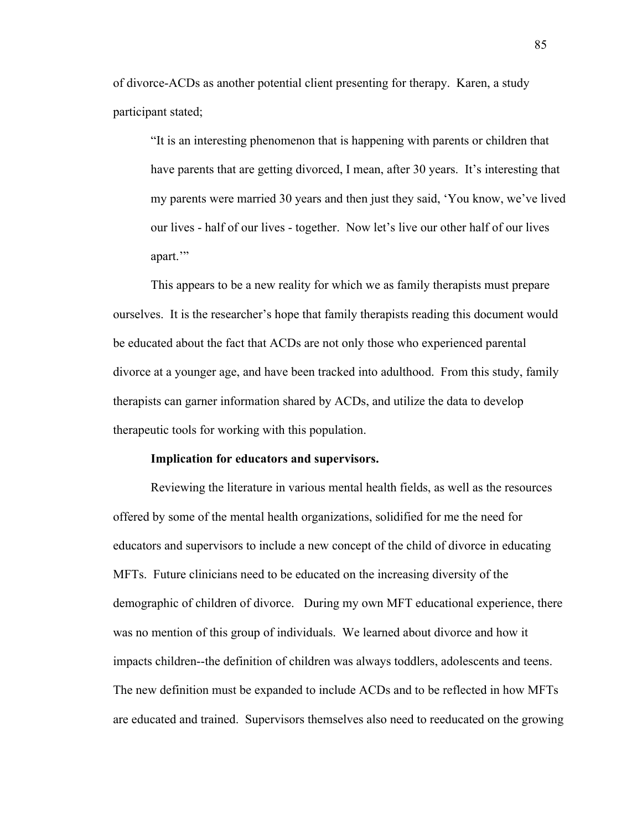of divorce-ACDs as another potential client presenting for therapy. Karen, a study participant stated;

"It is an interesting phenomenon that is happening with parents or children that have parents that are getting divorced, I mean, after 30 years. It's interesting that my parents were married 30 years and then just they said, 'You know, we've lived our lives - half of our lives - together. Now let's live our other half of our lives apart.'"

This appears to be a new reality for which we as family therapists must prepare ourselves. It is the researcher's hope that family therapists reading this document would be educated about the fact that ACDs are not only those who experienced parental divorce at a younger age, and have been tracked into adulthood. From this study, family therapists can garner information shared by ACDs, and utilize the data to develop therapeutic tools for working with this population.

#### **Implication for educators and supervisors.**

Reviewing the literature in various mental health fields, as well as the resources offered by some of the mental health organizations, solidified for me the need for educators and supervisors to include a new concept of the child of divorce in educating MFTs. Future clinicians need to be educated on the increasing diversity of the demographic of children of divorce. During my own MFT educational experience, there was no mention of this group of individuals. We learned about divorce and how it impacts children--the definition of children was always toddlers, adolescents and teens. The new definition must be expanded to include ACDs and to be reflected in how MFTs are educated and trained. Supervisors themselves also need to reeducated on the growing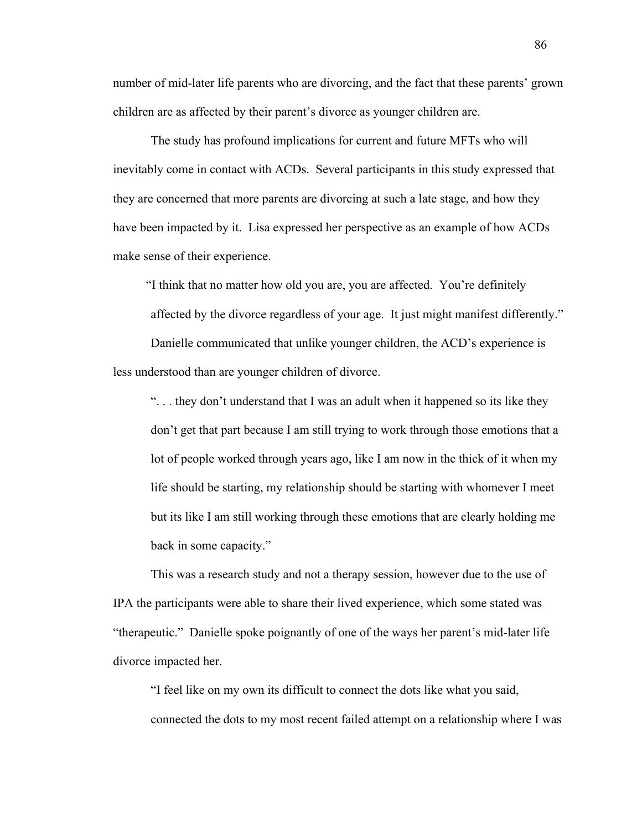number of mid-later life parents who are divorcing, and the fact that these parents' grown children are as affected by their parent's divorce as younger children are.

The study has profound implications for current and future MFTs who will inevitably come in contact with ACDs. Several participants in this study expressed that they are concerned that more parents are divorcing at such a late stage, and how they have been impacted by it. Lisa expressed her perspective as an example of how ACDs make sense of their experience.

"I think that no matter how old you are, you are affected. You're definitely affected by the divorce regardless of your age. It just might manifest differently." Danielle communicated that unlike younger children, the ACD's experience is less understood than are younger children of divorce.

". . . they don't understand that I was an adult when it happened so its like they don't get that part because I am still trying to work through those emotions that a lot of people worked through years ago, like I am now in the thick of it when my life should be starting, my relationship should be starting with whomever I meet but its like I am still working through these emotions that are clearly holding me back in some capacity."

This was a research study and not a therapy session, however due to the use of IPA the participants were able to share their lived experience, which some stated was "therapeutic." Danielle spoke poignantly of one of the ways her parent's mid-later life divorce impacted her.

"I feel like on my own its difficult to connect the dots like what you said, connected the dots to my most recent failed attempt on a relationship where I was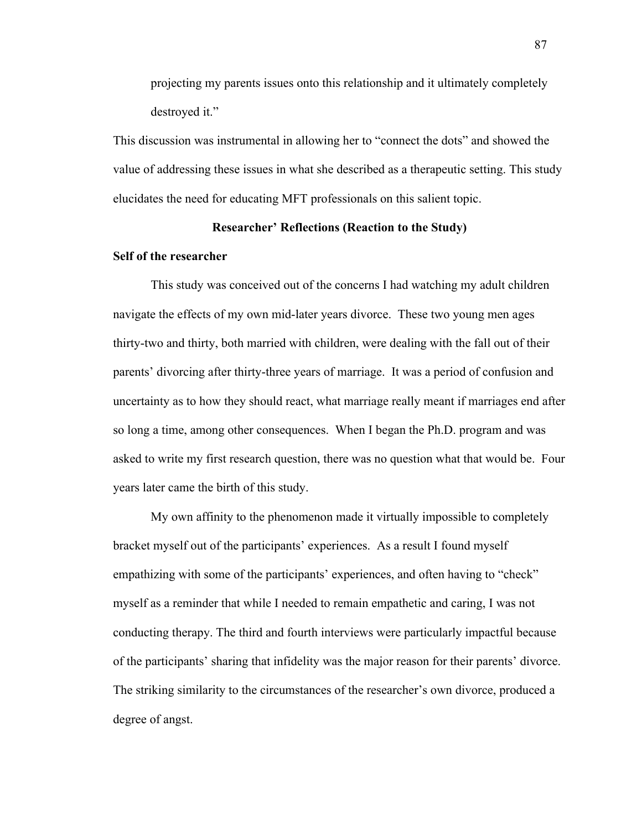projecting my parents issues onto this relationship and it ultimately completely destroyed it."

This discussion was instrumental in allowing her to "connect the dots" and showed the value of addressing these issues in what she described as a therapeutic setting. This study elucidates the need for educating MFT professionals on this salient topic.

## **Researcher' Reflections (Reaction to the Study)**

## **Self of the researcher**

This study was conceived out of the concerns I had watching my adult children navigate the effects of my own mid-later years divorce. These two young men ages thirty-two and thirty, both married with children, were dealing with the fall out of their parents' divorcing after thirty-three years of marriage. It was a period of confusion and uncertainty as to how they should react, what marriage really meant if marriages end after so long a time, among other consequences. When I began the Ph.D. program and was asked to write my first research question, there was no question what that would be. Four years later came the birth of this study.

My own affinity to the phenomenon made it virtually impossible to completely bracket myself out of the participants' experiences. As a result I found myself empathizing with some of the participants' experiences, and often having to "check" myself as a reminder that while I needed to remain empathetic and caring, I was not conducting therapy. The third and fourth interviews were particularly impactful because of the participants' sharing that infidelity was the major reason for their parents' divorce. The striking similarity to the circumstances of the researcher's own divorce, produced a degree of angst.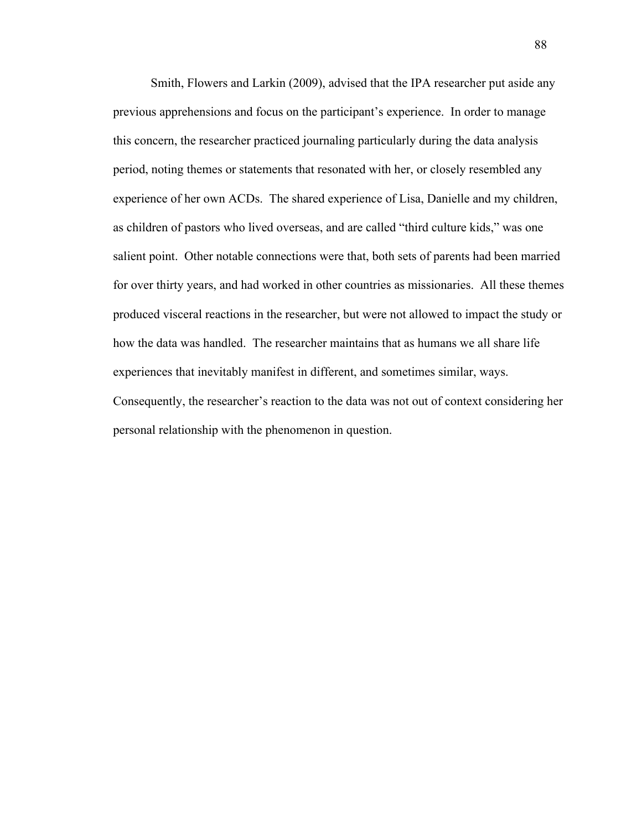Smith, Flowers and Larkin (2009), advised that the IPA researcher put aside any previous apprehensions and focus on the participant's experience. In order to manage this concern, the researcher practiced journaling particularly during the data analysis period, noting themes or statements that resonated with her, or closely resembled any experience of her own ACDs. The shared experience of Lisa, Danielle and my children, as children of pastors who lived overseas, and are called "third culture kids," was one salient point. Other notable connections were that, both sets of parents had been married for over thirty years, and had worked in other countries as missionaries. All these themes produced visceral reactions in the researcher, but were not allowed to impact the study or how the data was handled. The researcher maintains that as humans we all share life experiences that inevitably manifest in different, and sometimes similar, ways. Consequently, the researcher's reaction to the data was not out of context considering her personal relationship with the phenomenon in question.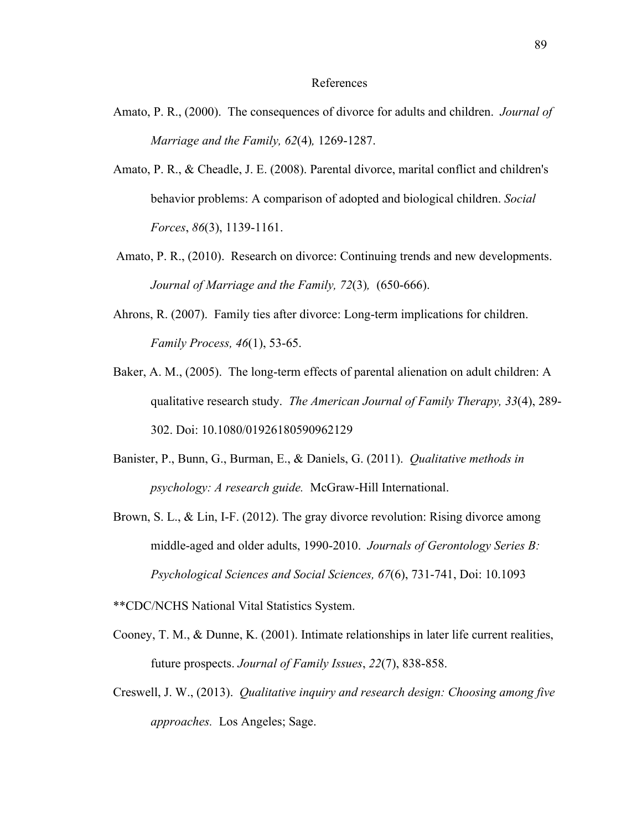#### References

- Amato, P. R., (2000). The consequences of divorce for adults and children. *Journal of Marriage and the Family, 62*(4)*,* 1269-1287.
- Amato, P. R., & Cheadle, J. E. (2008). Parental divorce, marital conflict and children's behavior problems: A comparison of adopted and biological children. *Social Forces*, *86*(3), 1139-1161.
- Amato, P. R., (2010). Research on divorce: Continuing trends and new developments. *Journal of Marriage and the Family, 72*(3)*,* (650-666).
- Ahrons, R. (2007). Family ties after divorce: Long-term implications for children. *Family Process, 46*(1), 53-65.
- Baker, A. M., (2005). The long-term effects of parental alienation on adult children: A qualitative research study. *The American Journal of Family Therapy, 33*(4), 289- 302. Doi: 10.1080/01926180590962129
- Banister, P., Bunn, G., Burman, E., & Daniels, G. (2011). *Qualitative methods in psychology: A research guide.* McGraw-Hill International.
- Brown, S. L., & Lin, I-F. (2012). The gray divorce revolution: Rising divorce among middle-aged and older adults, 1990-2010. *Journals of Gerontology Series B: Psychological Sciences and Social Sciences, 67*(6), 731-741, Doi: 10.1093

\*\*CDC/NCHS National Vital Statistics System.

- Cooney, T. M., & Dunne, K. (2001). Intimate relationships in later life current realities, future prospects. *Journal of Family Issues*, *22*(7), 838-858.
- Creswell, J. W., (2013). *Qualitative inquiry and research design: Choosing among five approaches.* Los Angeles; Sage.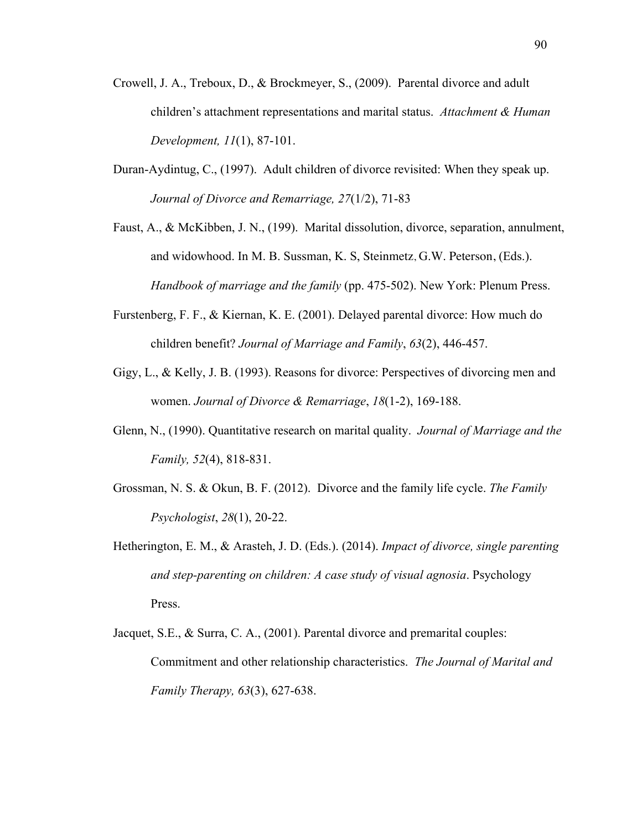- Crowell, J. A., Treboux, D., & Brockmeyer, S., (2009). Parental divorce and adult children's attachment representations and marital status. *Attachment & Human Development, 11*(1), 87-101.
- Duran-Aydintug, C., (1997). Adult children of divorce revisited: When they speak up. *Journal of Divorce and Remarriage, 27*(1/2), 71-83
- Faust, A., & McKibben, J. N., (199). Marital dissolution, divorce, separation, annulment, and widowhood. In M. B. Sussman, K. S, Steinmetz, G.W. Peterson, (Eds.). *Handbook of marriage and the family* (pp. 475-502). New York: Plenum Press.
- Furstenberg, F. F., & Kiernan, K. E. (2001). Delayed parental divorce: How much do children benefit? *Journal of Marriage and Family*, *63*(2), 446-457.
- Gigy, L., & Kelly, J. B. (1993). Reasons for divorce: Perspectives of divorcing men and women. *Journal of Divorce & Remarriage*, *18*(1-2), 169-188.
- Glenn, N., (1990). Quantitative research on marital quality. *Journal of Marriage and the Family, 52*(4), 818-831.
- Grossman, N. S. & Okun, B. F. (2012). Divorce and the family life cycle. *The Family Psychologist*, *28*(1), 20-22.
- Hetherington, E. M., & Arasteh, J. D. (Eds.). (2014). *Impact of divorce, single parenting and step-parenting on children: A case study of visual agnosia*. Psychology Press.
- Jacquet, S.E., & Surra, C. A., (2001). Parental divorce and premarital couples: Commitment and other relationship characteristics. *The Journal of Marital and Family Therapy, 63*(3), 627-638.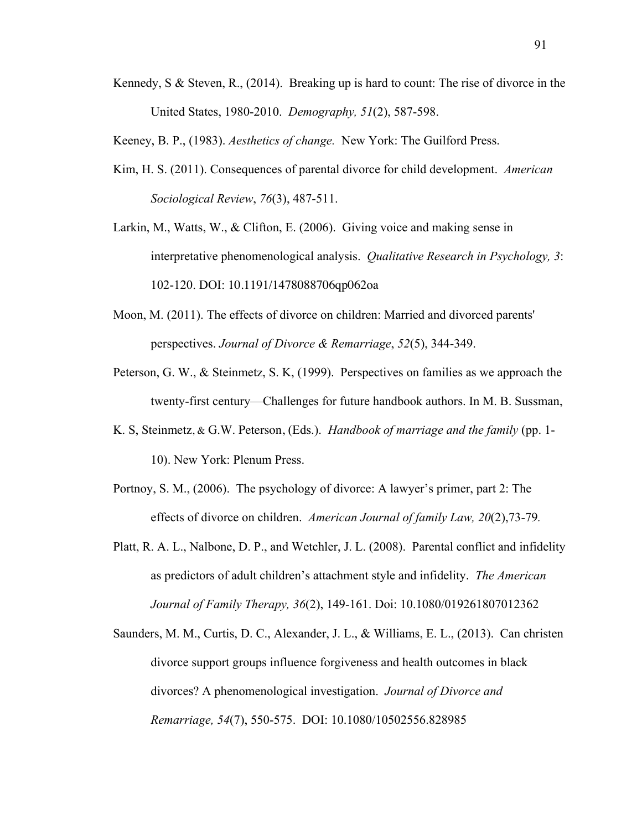Kennedy, S & Steven, R., (2014). Breaking up is hard to count: The rise of divorce in the United States, 1980-2010. *Demography, 51*(2), 587-598.

Keeney, B. P., (1983). *Aesthetics of change.* New York: The Guilford Press.

- Kim, H. S. (2011). Consequences of parental divorce for child development. *American Sociological Review*, *76*(3), 487-511.
- Larkin, M., Watts, W., & Clifton, E. (2006). Giving voice and making sense in interpretative phenomenological analysis. *Qualitative Research in Psychology, 3*: 102-120. DOI: 10.1191/1478088706qp062oa
- Moon, M. (2011). The effects of divorce on children: Married and divorced parents' perspectives. *Journal of Divorce & Remarriage*, *52*(5), 344-349.
- Peterson, G. W., & Steinmetz, S. K, (1999). Perspectives on families as we approach the twenty-first century—Challenges for future handbook authors. In M. B. Sussman,
- K. S, Steinmetz, & G.W. Peterson, (Eds.). *Handbook of marriage and the family* (pp. 1- 10). New York: Plenum Press.
- Portnoy, S. M., (2006). The psychology of divorce: A lawyer's primer, part 2: The effects of divorce on children. *American Journal of family Law, 20*(2),73-79*.*
- Platt, R. A. L., Nalbone, D. P., and Wetchler, J. L. (2008). Parental conflict and infidelity as predictors of adult children's attachment style and infidelity. *The American Journal of Family Therapy, 36*(2), 149-161. Doi: 10.1080/019261807012362
- Saunders, M. M., Curtis, D. C., Alexander, J. L., & Williams, E. L., (2013). Can christen divorce support groups influence forgiveness and health outcomes in black divorces? A phenomenological investigation. *Journal of Divorce and Remarriage, 54*(7), 550-575. DOI: 10.1080/10502556.828985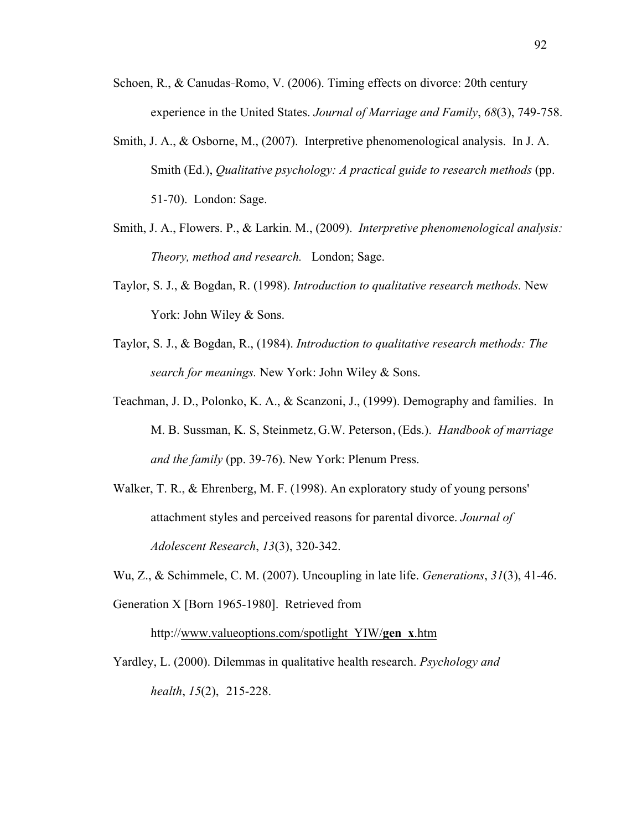- Schoen, R., & Canudas‐Romo, V. (2006). Timing effects on divorce: 20th century experience in the United States. *Journal of Marriage and Family*, *68*(3), 749-758.
- Smith, J. A., & Osborne, M., (2007). Interpretive phenomenological analysis. In J. A. Smith (Ed.), *Qualitative psychology: A practical guide to research methods* (pp. 51-70). London: Sage.
- Smith, J. A., Flowers. P., & Larkin. M., (2009). *Interpretive phenomenological analysis: Theory, method and research.* London; Sage.
- Taylor, S. J., & Bogdan, R. (1998). *Introduction to qualitative research methods.* New York: John Wiley & Sons.
- Taylor, S. J., & Bogdan, R., (1984). *Introduction to qualitative research methods: The search for meanings.* New York: John Wiley & Sons.
- Teachman, J. D., Polonko, K. A., & Scanzoni, J., (1999). Demography and families. In M. B. Sussman, K. S, Steinmetz, G.W. Peterson, (Eds.). *Handbook of marriage and the family* (pp. 39-76). New York: Plenum Press.
- Walker, T. R., & Ehrenberg, M. F. (1998). An exploratory study of young persons' attachment styles and perceived reasons for parental divorce. *Journal of Adolescent Research*, *13*(3), 320-342.
- Wu, Z., & Schimmele, C. M. (2007). Uncoupling in late life. *Generations*, *31*(3), 41-46. Generation X [Born 1965-1980]. Retrieved from

http://www.valueoptions.com/spotlight\_YIW/**gen**\_**x**.htm

Yardley, L. (2000). Dilemmas in qualitative health research. *Psychology and health*, *15*(2), 215-228.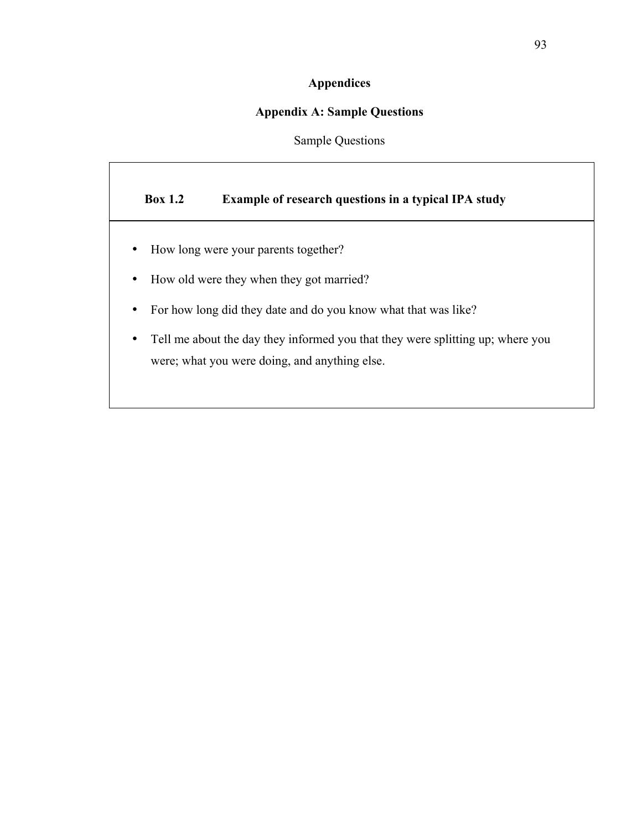## **Appendices**

## **Appendix A: Sample Questions**

Sample Questions

## **Box 1.2 Example of research questions in a typical IPA study**

- How long were your parents together?
- How old were they when they got married?
- For how long did they date and do you know what that was like?
- Tell me about the day they informed you that they were splitting up; where you were; what you were doing, and anything else.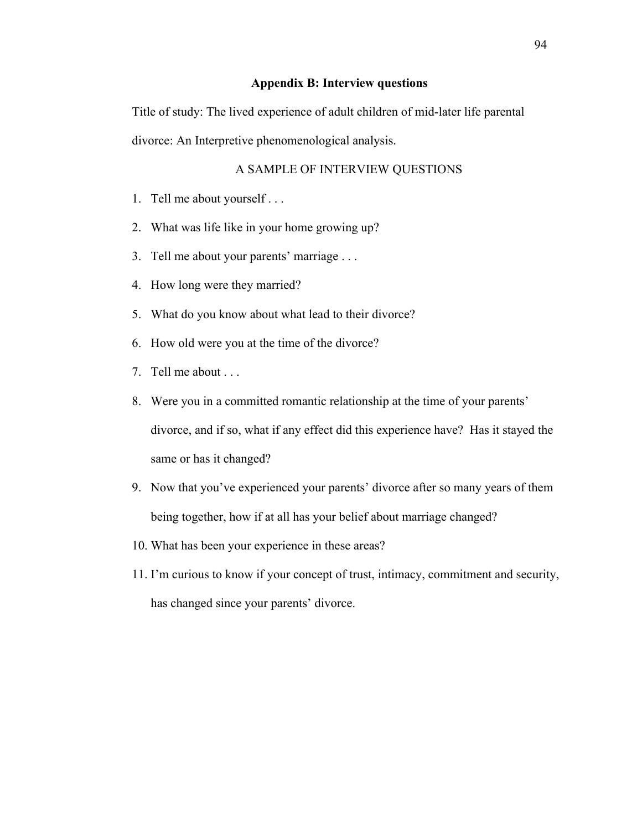## **Appendix B: Interview questions**

Title of study: The lived experience of adult children of mid-later life parental divorce: An Interpretive phenomenological analysis.

## A SAMPLE OF INTERVIEW QUESTIONS

- 1. Tell me about yourself . . .
- 2. What was life like in your home growing up?
- 3. Tell me about your parents' marriage . . .
- 4. How long were they married?
- 5. What do you know about what lead to their divorce?
- 6. How old were you at the time of the divorce?
- 7. Tell me about . . .
- 8. Were you in a committed romantic relationship at the time of your parents' divorce, and if so, what if any effect did this experience have? Has it stayed the same or has it changed?
- 9. Now that you've experienced your parents' divorce after so many years of them being together, how if at all has your belief about marriage changed?
- 10. What has been your experience in these areas?
- 11. I'm curious to know if your concept of trust, intimacy, commitment and security, has changed since your parents' divorce.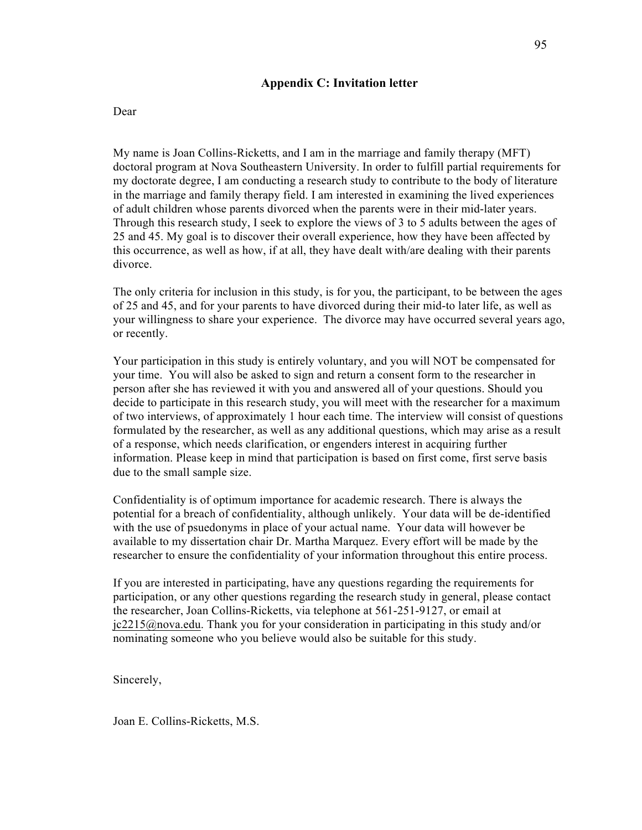## **Appendix C: Invitation letter**

#### Dear

My name is Joan Collins-Ricketts, and I am in the marriage and family therapy (MFT) doctoral program at Nova Southeastern University. In order to fulfill partial requirements for my doctorate degree, I am conducting a research study to contribute to the body of literature in the marriage and family therapy field. I am interested in examining the lived experiences of adult children whose parents divorced when the parents were in their mid-later years. Through this research study, I seek to explore the views of 3 to 5 adults between the ages of 25 and 45. My goal is to discover their overall experience, how they have been affected by this occurrence, as well as how, if at all, they have dealt with/are dealing with their parents divorce.

The only criteria for inclusion in this study, is for you, the participant, to be between the ages of 25 and 45, and for your parents to have divorced during their mid-to later life, as well as your willingness to share your experience. The divorce may have occurred several years ago, or recently.

Your participation in this study is entirely voluntary, and you will NOT be compensated for your time. You will also be asked to sign and return a consent form to the researcher in person after she has reviewed it with you and answered all of your questions. Should you decide to participate in this research study, you will meet with the researcher for a maximum of two interviews, of approximately 1 hour each time. The interview will consist of questions formulated by the researcher, as well as any additional questions, which may arise as a result of a response, which needs clarification, or engenders interest in acquiring further information. Please keep in mind that participation is based on first come, first serve basis due to the small sample size.

Confidentiality is of optimum importance for academic research. There is always the potential for a breach of confidentiality, although unlikely. Your data will be de-identified with the use of psuedonyms in place of your actual name. Your data will however be available to my dissertation chair Dr. Martha Marquez. Every effort will be made by the researcher to ensure the confidentiality of your information throughout this entire process.

If you are interested in participating, have any questions regarding the requirements for participation, or any other questions regarding the research study in general, please contact the researcher, Joan Collins-Ricketts, via telephone at 561-251-9127, or email at jc2215@nova.edu. Thank you for your consideration in participating in this study and/or nominating someone who you believe would also be suitable for this study.

Sincerely,

Joan E. Collins-Ricketts, M.S.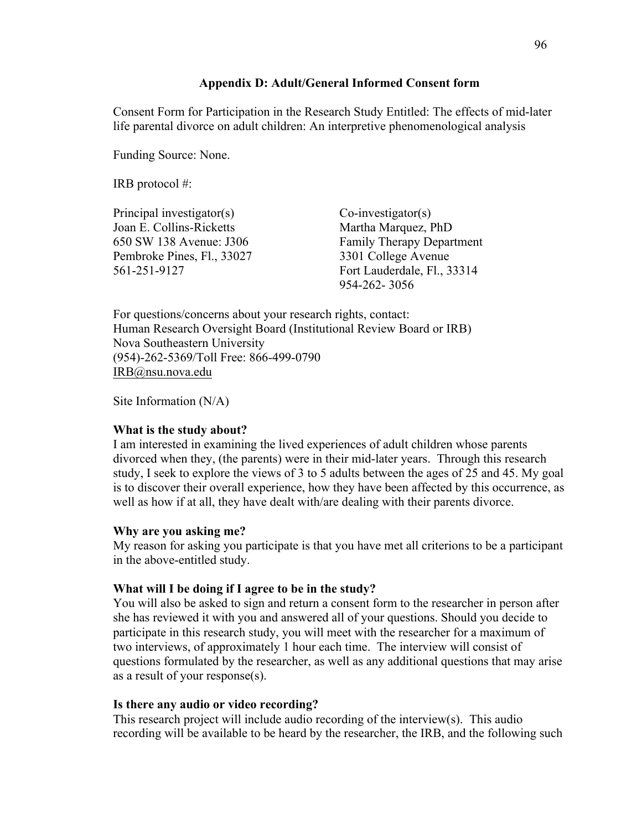### **Appendix D: Adult/General Informed Consent form**

Consent Form for Participation in the Research Study Entitled: The effects of mid-later life parental divorce on adult children: An interpretive phenomenological analysis

Funding Source: None.

IRB protocol #:

Principal investigator(s) Co-investigator(s) Joan E. Collins-Ricketts Martha Marquez, PhD Pembroke Pines, Fl., 33027 3301 College Avenue

650 SW 138 Avenue: J306 Family Therapy Department 561-251-9127 Fort Lauderdale, Fl., 33314 954-262- 3056

For questions/concerns about your research rights, contact: Human Research Oversight Board (Institutional Review Board or IRB) Nova Southeastern University (954)-262-5369/Toll Free: 866-499-0790 IRB@nsu.nova.edu

Site Information (N/A)

## **What is the study about?**

I am interested in examining the lived experiences of adult children whose parents divorced when they, (the parents) were in their mid-later years. Through this research study, I seek to explore the views of 3 to 5 adults between the ages of 25 and 45. My goal is to discover their overall experience, how they have been affected by this occurrence, as well as how if at all, they have dealt with/are dealing with their parents divorce.

## **Why are you asking me?**

My reason for asking you participate is that you have met all criterions to be a participant in the above-entitled study.

## **What will I be doing if I agree to be in the study?**

You will also be asked to sign and return a consent form to the researcher in person after she has reviewed it with you and answered all of your questions. Should you decide to participate in this research study, you will meet with the researcher for a maximum of two interviews, of approximately 1 hour each time. The interview will consist of questions formulated by the researcher, as well as any additional questions that may arise as a result of your response(s).

### **Is there any audio or video recording?**

This research project will include audio recording of the interview(s). This audio recording will be available to be heard by the researcher, the IRB, and the following such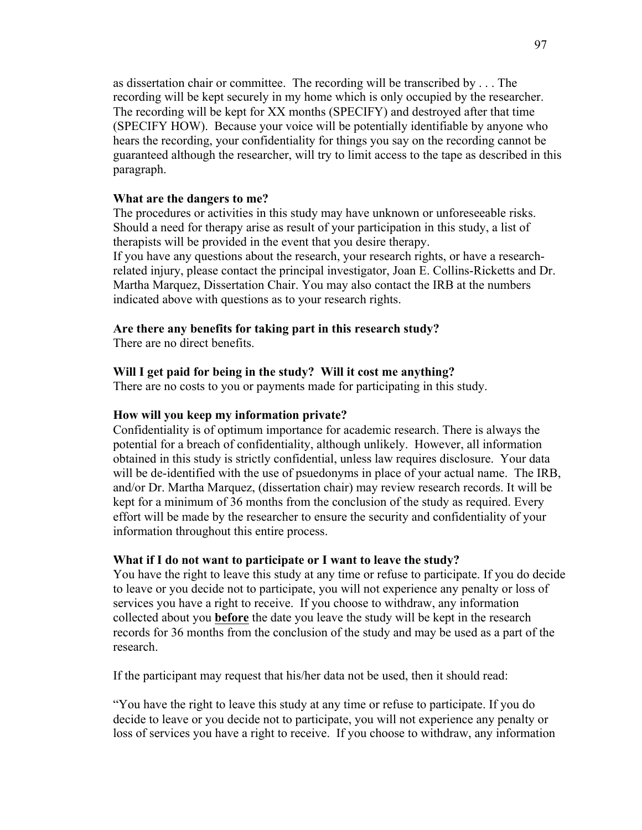as dissertation chair or committee. The recording will be transcribed by . . . The recording will be kept securely in my home which is only occupied by the researcher. The recording will be kept for XX months (SPECIFY) and destroyed after that time (SPECIFY HOW). Because your voice will be potentially identifiable by anyone who hears the recording, your confidentiality for things you say on the recording cannot be guaranteed although the researcher, will try to limit access to the tape as described in this paragraph.

#### **What are the dangers to me?**

The procedures or activities in this study may have unknown or unforeseeable risks. Should a need for therapy arise as result of your participation in this study, a list of therapists will be provided in the event that you desire therapy. If you have any questions about the research, your research rights, or have a researchrelated injury, please contact the principal investigator, Joan E. Collins-Ricketts and Dr. Martha Marquez, Dissertation Chair. You may also contact the IRB at the numbers indicated above with questions as to your research rights.

### **Are there any benefits for taking part in this research study?**

There are no direct benefits.

#### **Will I get paid for being in the study? Will it cost me anything?**

There are no costs to you or payments made for participating in this study.

#### **How will you keep my information private?**

Confidentiality is of optimum importance for academic research. There is always the potential for a breach of confidentiality, although unlikely. However, all information obtained in this study is strictly confidential, unless law requires disclosure. Your data will be de-identified with the use of psuedonyms in place of your actual name. The IRB, and/or Dr. Martha Marquez, (dissertation chair) may review research records. It will be kept for a minimum of 36 months from the conclusion of the study as required. Every effort will be made by the researcher to ensure the security and confidentiality of your information throughout this entire process.

#### **What if I do not want to participate or I want to leave the study?**

You have the right to leave this study at any time or refuse to participate. If you do decide to leave or you decide not to participate, you will not experience any penalty or loss of services you have a right to receive. If you choose to withdraw, any information collected about you **before** the date you leave the study will be kept in the research records for 36 months from the conclusion of the study and may be used as a part of the research.

If the participant may request that his/her data not be used, then it should read:

"You have the right to leave this study at any time or refuse to participate. If you do decide to leave or you decide not to participate, you will not experience any penalty or loss of services you have a right to receive. If you choose to withdraw, any information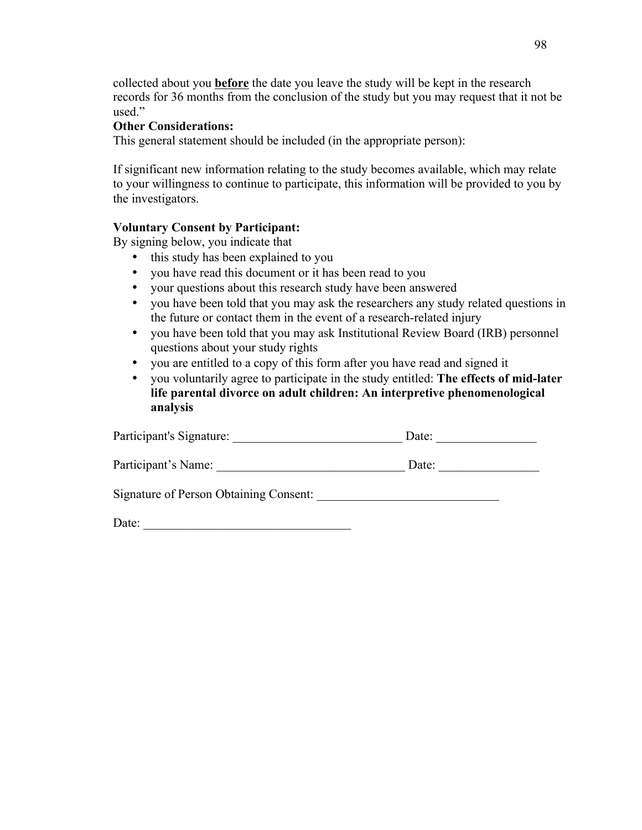collected about you **before** the date you leave the study will be kept in the research records for 36 months from the conclusion of the study but you may request that it not be used."

## **Other Considerations:**

This general statement should be included (in the appropriate person):

If significant new information relating to the study becomes available, which may relate to your willingness to continue to participate, this information will be provided to you by the investigators.

# **Voluntary Consent by Participant:**

By signing below, you indicate that

- this study has been explained to you
- you have read this document or it has been read to you
- your questions about this research study have been answered
- you have been told that you may ask the researchers any study related questions in the future or contact them in the event of a research-related injury
- you have been told that you may ask Institutional Review Board (IRB) personnel questions about your study rights
- you are entitled to a copy of this form after you have read and signed it
- you voluntarily agree to participate in the study entitled: **The effects of mid-later life parental divorce on adult children: An interpretive phenomenological analysis**

| Participant's Signature:               | Date: |  |
|----------------------------------------|-------|--|
| Participant's Name:                    | Date: |  |
| Signature of Person Obtaining Consent: |       |  |
| Date:                                  |       |  |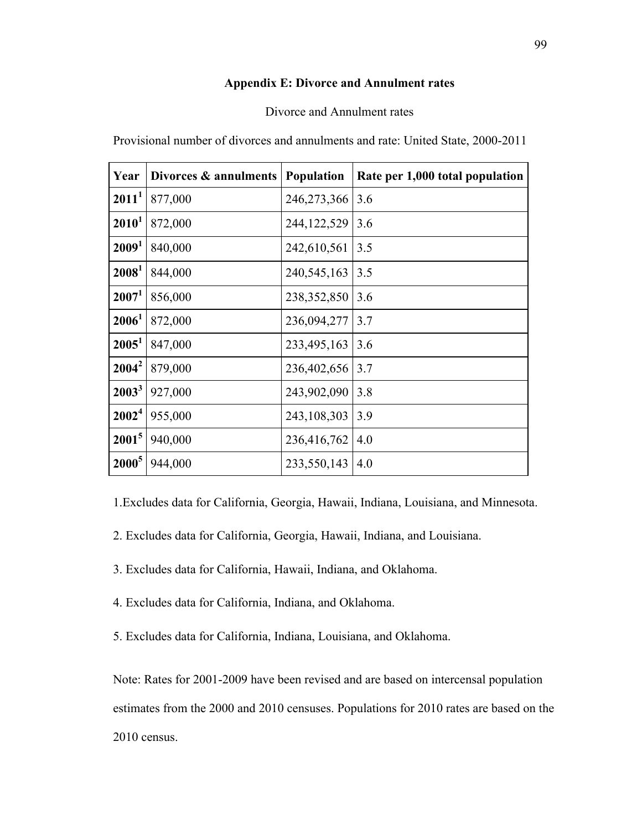### **Appendix E: Divorce and Annulment rates**

### Divorce and Annulment rates

Provisional number of divorces and annulments and rate: United State, 2000-2011

| Year              | Divorces & annulments | Population    | Rate per 1,000 total population |
|-------------------|-----------------------|---------------|---------------------------------|
| $2011^1$          | 877,000               | 246, 273, 366 | 3.6                             |
| $2010^1$          | 872,000               | 244, 122, 529 | 3.6                             |
| 2009 <sup>1</sup> | 840,000               | 242,610,561   | 3.5                             |
| 2008 <sup>1</sup> | 844,000               | 240,545,163   | 3.5                             |
| 2007 <sup>1</sup> | 856,000               | 238, 352, 850 | 3.6                             |
| $2006^1$          | 872,000               | 236,094,277   | 3.7                             |
| $2005^1$          | 847,000               | 233,495,163   | 3.6                             |
| $2004^2$          | 879,000               | 236,402,656   | 3.7                             |
| $2003^3$          | 927,000               | 243,902,090   | 3.8                             |
| $2002^4$          | 955,000               | 243,108,303   | 3.9                             |
| $2001^5$          | 940,000               | 236,416,762   | 4.0                             |
| $2000^5$          | 944,000               | 233,550,143   | 4.0                             |

1.Excludes data for California, Georgia, Hawaii, Indiana, Louisiana, and Minnesota.

- 2. Excludes data for California, Georgia, Hawaii, Indiana, and Louisiana.
- 3. Excludes data for California, Hawaii, Indiana, and Oklahoma.
- 4. Excludes data for California, Indiana, and Oklahoma.
- 5. Excludes data for California, Indiana, Louisiana, and Oklahoma.

Note: Rates for 2001-2009 have been revised and are based on intercensal population estimates from the 2000 and 2010 censuses. Populations for 2010 rates are based on the 2010 census.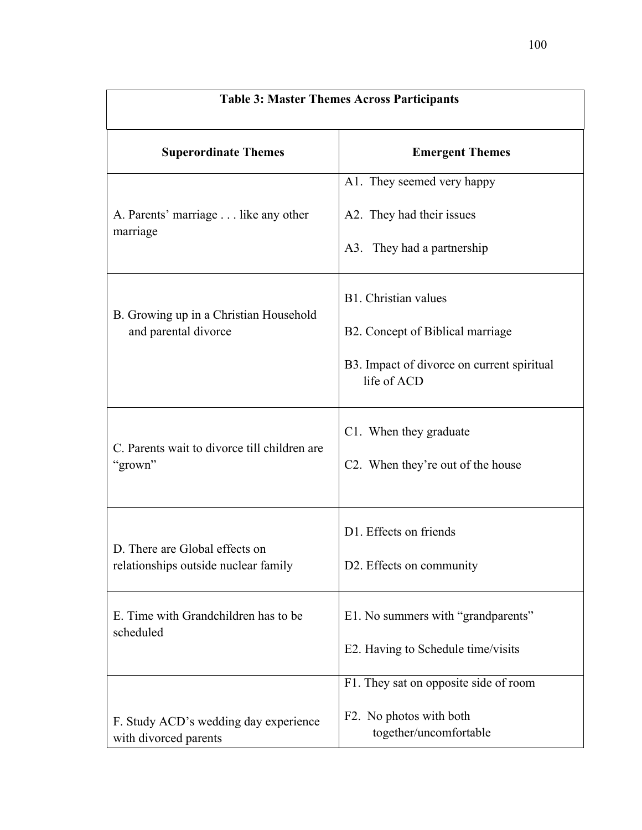| <b>Table 3: Master Themes Across Participants</b>                      |                                                           |  |
|------------------------------------------------------------------------|-----------------------------------------------------------|--|
| <b>Superordinate Themes</b>                                            | <b>Emergent Themes</b>                                    |  |
|                                                                        | A1. They seemed very happy                                |  |
| A. Parents' marriage like any other<br>marriage                        | A2. They had their issues                                 |  |
|                                                                        | A3. They had a partnership                                |  |
|                                                                        | B1. Christian values                                      |  |
| B. Growing up in a Christian Household<br>and parental divorce         | B2. Concept of Biblical marriage                          |  |
|                                                                        | B3. Impact of divorce on current spiritual<br>life of ACD |  |
|                                                                        | C1. When they graduate                                    |  |
| C. Parents wait to divorce till children are<br>"grown"                | C <sub>2</sub> . When they're out of the house            |  |
|                                                                        | D1. Effects on friends                                    |  |
| D. There are Global effects on<br>relationships outside nuclear family | D2. Effects on community                                  |  |
| E. Time with Grandchildren has to be<br>scheduled                      | E1. No summers with "grandparents"                        |  |
|                                                                        | E2. Having to Schedule time/visits                        |  |
|                                                                        | F1. They sat on opposite side of room                     |  |
| F. Study ACD's wedding day experience<br>with divorced parents         | F2. No photos with both<br>together/uncomfortable         |  |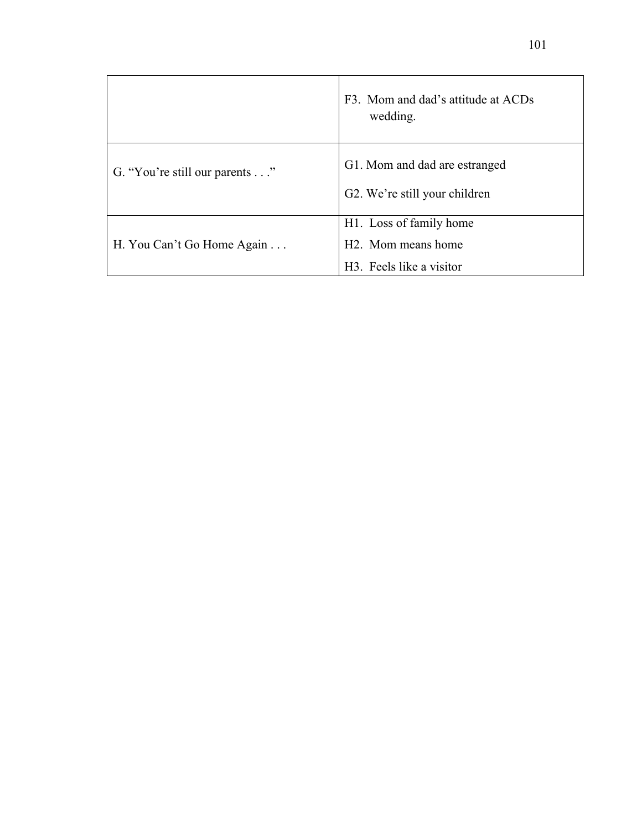|                               | F3. Mom and dad's attitude at ACDs<br>wedding.                              |
|-------------------------------|-----------------------------------------------------------------------------|
| G. "You're still our parents" | G1. Mom and dad are estranged<br>G <sub>2</sub> . We're still your children |
| H. You Can't Go Home Again    | H <sub>1</sub> . Loss of family home<br>H <sub>2</sub> . Mom means home     |
|                               | H <sub>3</sub> . Feels like a visitor                                       |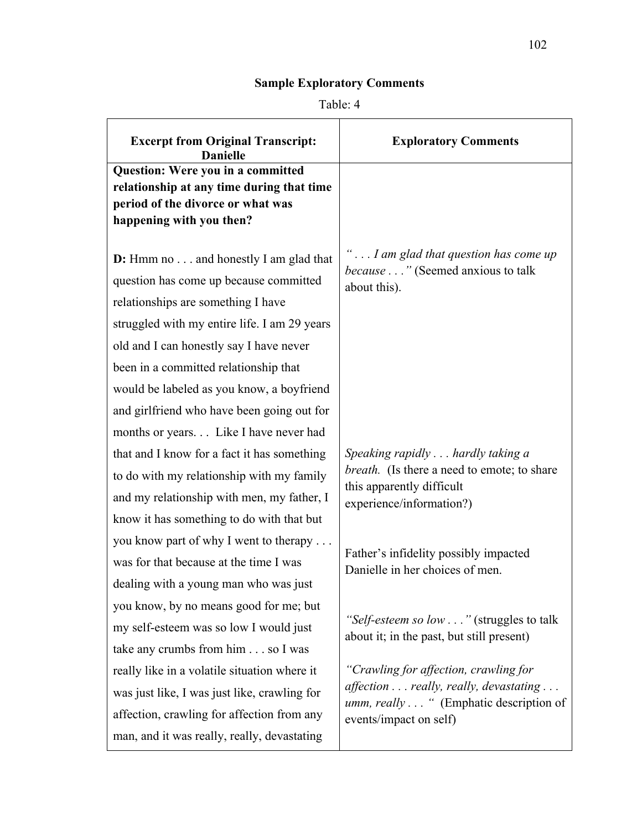# **Sample Exploratory Comments**

# Table: 4

| <b>Excerpt from Original Transcript:</b><br><b>Danielle</b>                                                                                                                                                          | <b>Exploratory Comments</b>                                                                                                                        |
|----------------------------------------------------------------------------------------------------------------------------------------------------------------------------------------------------------------------|----------------------------------------------------------------------------------------------------------------------------------------------------|
| <b>Question: Were you in a committed</b><br>relationship at any time during that time<br>period of the divorce or what was<br>happening with you then?                                                               |                                                                                                                                                    |
| <b>D:</b> Hmm no and honestly I am glad that<br>question has come up because committed<br>relationships are something I have<br>struggled with my entire life. I am 29 years                                         | " I am glad that question has come up<br><i>because</i> " (Seemed anxious to talk<br>about this).                                                  |
| old and I can honestly say I have never<br>been in a committed relationship that<br>would be labeled as you know, a boyfriend<br>and girlfriend who have been going out for<br>months or years Like I have never had |                                                                                                                                                    |
| that and I know for a fact it has something<br>to do with my relationship with my family<br>and my relationship with men, my father, I<br>know it has something to do with that but                                  | Speaking rapidly hardly taking a<br><i>breath.</i> (Is there a need to emote; to share<br>this apparently difficult<br>experience/information?)    |
| you know part of why I went to therapy<br>was for that because at the time I was<br>dealing with a young man who was just                                                                                            | Father's infidelity possibly impacted<br>Danielle in her choices of men.                                                                           |
| you know, by no means good for me; but<br>my self-esteem was so low I would just<br>take any crumbs from him so I was                                                                                                | "Self-esteem so low " (struggles to talk<br>about it; in the past, but still present)                                                              |
| really like in a volatile situation where it<br>was just like, I was just like, crawling for<br>affection, crawling for affection from any<br>man, and it was really, really, devastating                            | "Crawling for affection, crawling for<br>affection really, really, devastating<br>umm, really " (Emphatic description of<br>events/impact on self) |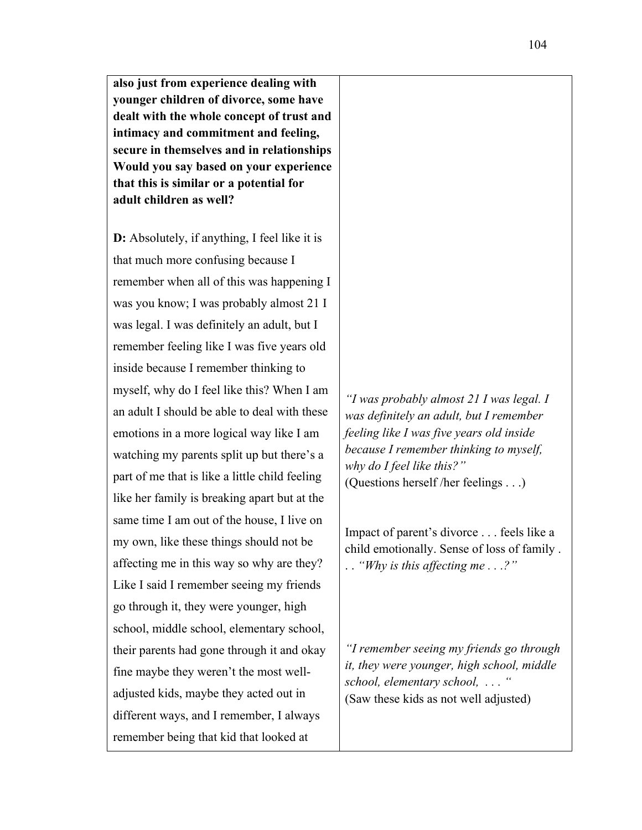**also just from experience dealing with younger children of divorce, some have dealt with the whole concept of trust and intimacy and commitment and feeling, secure in themselves and in relationships Would you say based on your experience that this is similar or a potential for adult children as well?**

**D:** Absolutely, if anything, I feel like it is that much more confusing because I remember when all of this was happening I was you know; I was probably almost 21 I was legal. I was definitely an adult, but I remember feeling like I was five years old inside because I remember thinking to myself, why do I feel like this? When I am an adult I should be able to deal with these emotions in a more logical way like I am watching my parents split up but there's a part of me that is like a little child feeling like her family is breaking apart but at the same time I am out of the house, I live on my own, like these things should not be affecting me in this way so why are they? Like I said I remember seeing my friends go through it, they were younger, high school, middle school, elementary school, their parents had gone through it and okay fine maybe they weren't the most welladjusted kids, maybe they acted out in different ways, and I remember, I always remember being that kid that looked at

*"I was probably almost 21 I was legal. I was definitely an adult, but I remember feeling like I was five years old inside because I remember thinking to myself, why do I feel like this?"* (Questions herself /her feelings . . .)

Impact of parent's divorce . . . feels like a child emotionally. Sense of loss of family . . . *"Why is this affecting me . . .?"*

*"I remember seeing my friends go through it, they were younger, high school, middle school, elementary school, . . . "* (Saw these kids as not well adjusted)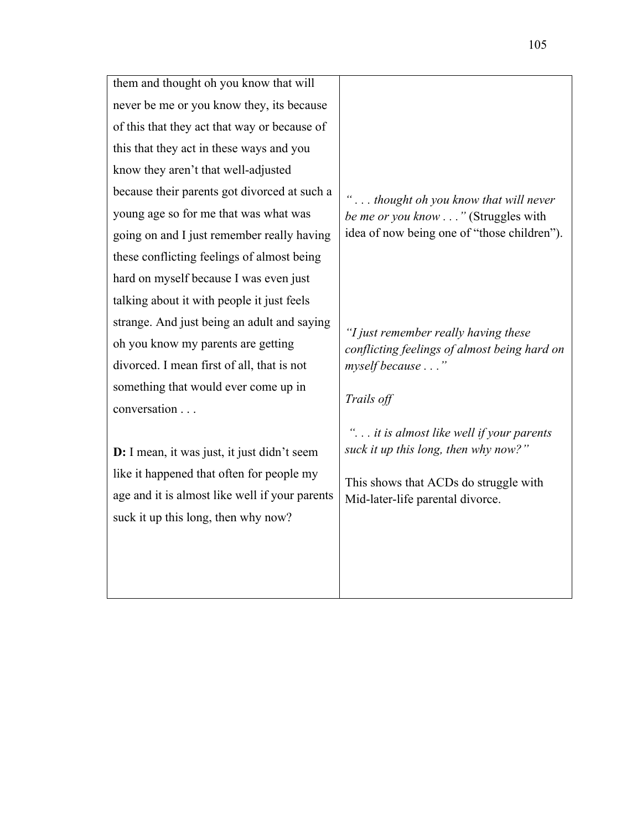| them and thought oh you know that will         |                                              |
|------------------------------------------------|----------------------------------------------|
| never be me or you know they, its because      |                                              |
| of this that they act that way or because of   |                                              |
| this that they act in these ways and you       |                                              |
| know they aren't that well-adjusted            |                                              |
| because their parents got divorced at such a   | thought oh you know that will never          |
| young age so for me that was what was          | be me or you know " (Struggles with          |
| going on and I just remember really having     | idea of now being one of "those children").  |
| these conflicting feelings of almost being     |                                              |
| hard on myself because I was even just         |                                              |
| talking about it with people it just feels     |                                              |
| strange. And just being an adult and saying    | "I just remember really having these         |
| oh you know my parents are getting             | conflicting feelings of almost being hard on |
| divorced. I mean first of all, that is not     | myself because"                              |
| something that would ever come up in           |                                              |
| conversation                                   | Trails off                                   |
|                                                | " it is almost like well if your parents     |
| D: I mean, it was just, it just didn't seem    | suck it up this long, then why now?"         |
| like it happened that often for people my      | This shows that ACDs do struggle with        |
| age and it is almost like well if your parents | Mid-later-life parental divorce.             |
| suck it up this long, then why now?            |                                              |
|                                                |                                              |
|                                                |                                              |
|                                                |                                              |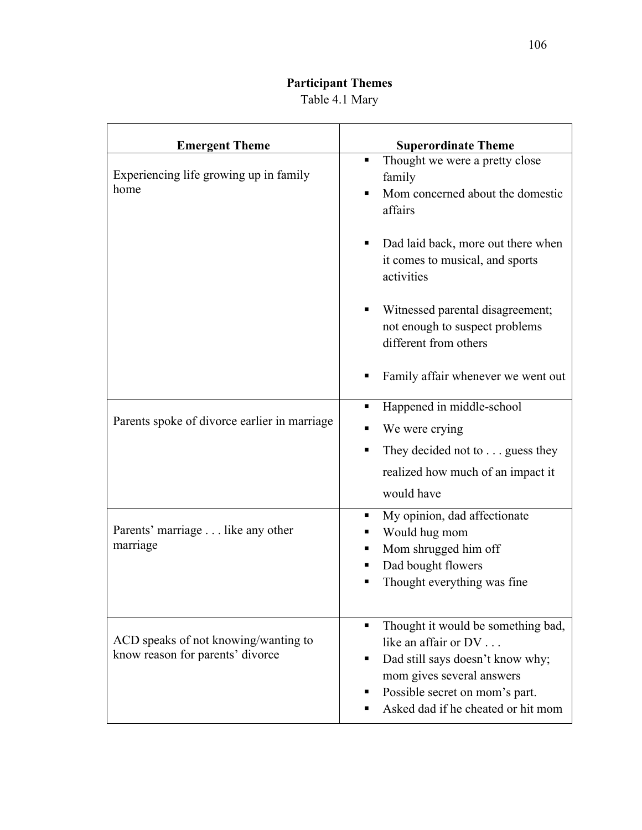# **Participant Themes** Table 4.1 Mary

| <b>Emergent Theme</b>                                                    | <b>Superordinate Theme</b>                                                                                                                                                                                    |
|--------------------------------------------------------------------------|---------------------------------------------------------------------------------------------------------------------------------------------------------------------------------------------------------------|
| Experiencing life growing up in family<br>home                           | Thought we were a pretty close<br>٠<br>family<br>Mom concerned about the domestic<br>٠<br>affairs                                                                                                             |
|                                                                          | Dad laid back, more out there when<br>٠<br>it comes to musical, and sports<br>activities                                                                                                                      |
|                                                                          | Witnessed parental disagreement;<br>٠<br>not enough to suspect problems<br>different from others                                                                                                              |
|                                                                          | Family affair whenever we went out                                                                                                                                                                            |
| Parents spoke of divorce earlier in marriage                             | Happened in middle-school<br>٠<br>We were crying                                                                                                                                                              |
|                                                                          | They decided not to guess they<br>realized how much of an impact it<br>would have                                                                                                                             |
| Parents' marriage like any other<br>marriage                             | My opinion, dad affectionate<br>ш<br>Would hug mom<br>Mom shrugged him off<br>п<br>Dad bought flowers<br>Thought everything was fine                                                                          |
| ACD speaks of not knowing/wanting to<br>know reason for parents' divorce | Thought it would be something bad,<br>٠<br>like an affair or DV<br>Dad still says doesn't know why;<br>٠<br>mom gives several answers<br>Possible secret on mom's part.<br>Asked dad if he cheated or hit mom |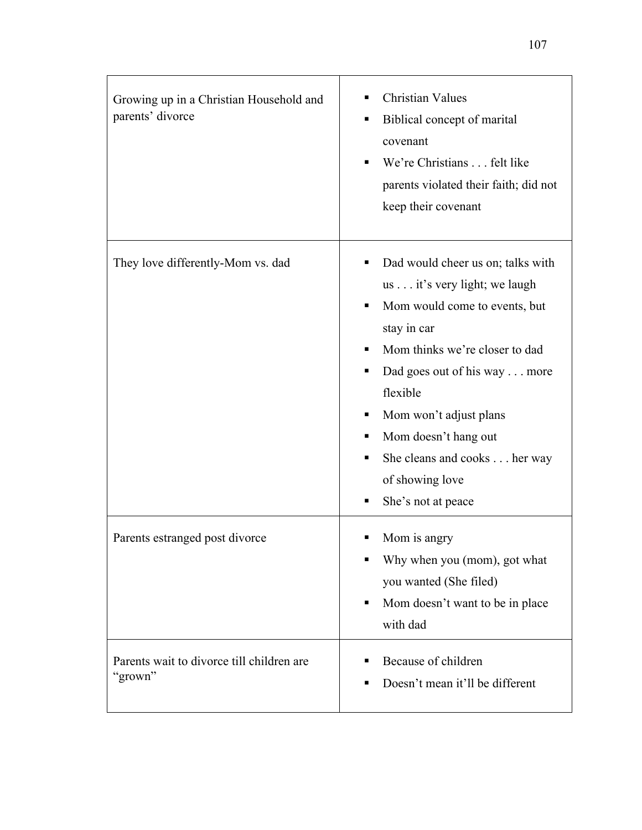| Growing up in a Christian Household and<br>parents' divorce | <b>Christian Values</b><br>Biblical concept of marital<br>٠<br>covenant<br>We're Christians felt like<br>parents violated their faith; did not<br>keep their covenant                                                                                                                                                                          |
|-------------------------------------------------------------|------------------------------------------------------------------------------------------------------------------------------------------------------------------------------------------------------------------------------------------------------------------------------------------------------------------------------------------------|
| They love differently-Mom vs. dad                           | Dad would cheer us on; talks with<br>us it's very light; we laugh<br>Mom would come to events, but<br>٠<br>stay in car<br>Mom thinks we're closer to dad<br>Dad goes out of his way more<br>٠<br>flexible<br>Mom won't adjust plans<br>ш<br>Mom doesn't hang out<br>She cleans and cooks her way<br>٠<br>of showing love<br>She's not at peace |
| Parents estranged post divorce                              | Mom is angry<br>Why when you (mom), got what<br>you wanted (She filed)<br>Mom doesn't want to be in place<br>п<br>with dad                                                                                                                                                                                                                     |
| Parents wait to divorce till children are<br>"grown"        | Because of children<br>Doesn't mean it'll be different                                                                                                                                                                                                                                                                                         |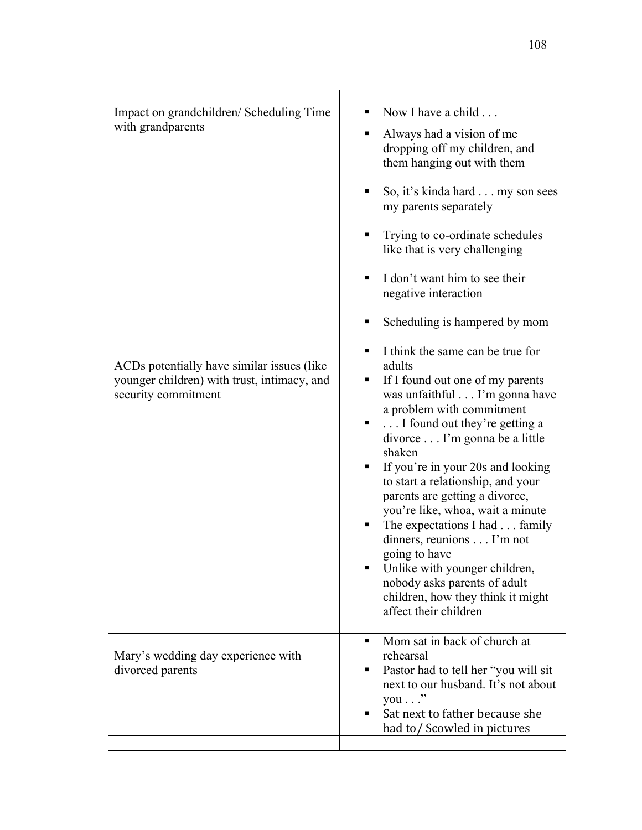| Impact on grandchildren/ Scheduling Time<br>with grandparents                                                     | Now I have a child<br>Always had a vision of me<br>٠<br>dropping off my children, and<br>them hanging out with them<br>So, it's kinda hard my son sees<br>٠<br>my parents separately<br>Trying to co-ordinate schedules<br>٠<br>like that is very challenging<br>I don't want him to see their<br>п<br>negative interaction<br>Scheduling is hampered by mom<br>п                                                                                                                                                                                                                                                    |
|-------------------------------------------------------------------------------------------------------------------|----------------------------------------------------------------------------------------------------------------------------------------------------------------------------------------------------------------------------------------------------------------------------------------------------------------------------------------------------------------------------------------------------------------------------------------------------------------------------------------------------------------------------------------------------------------------------------------------------------------------|
| ACDs potentially have similar issues (like)<br>younger children) with trust, intimacy, and<br>security commitment | I think the same can be true for<br>٠<br>adults<br>If I found out one of my parents<br>٠<br>was unfaithful I'm gonna have<br>a problem with commitment<br>I found out they're getting a<br>п<br>divorce I'm gonna be a little<br>shaken<br>If you're in your 20s and looking<br>ш<br>to start a relationship, and your<br>parents are getting a divorce,<br>you're like, whoa, wait a minute<br>The expectations I had family<br>п<br>dinners, reunions I'm not<br>going to have<br>Unlike with younger children,<br>п<br>nobody asks parents of adult<br>children, how they think it might<br>affect their children |
| Mary's wedding day experience with<br>divorced parents                                                            | Mom sat in back of church at<br>٠<br>rehearsal<br>Pastor had to tell her "you will sit<br>п<br>next to our husband. It's not about<br>$you \dots$ "<br>Sat next to father because she<br>٠<br>had to/Scowled in pictures                                                                                                                                                                                                                                                                                                                                                                                             |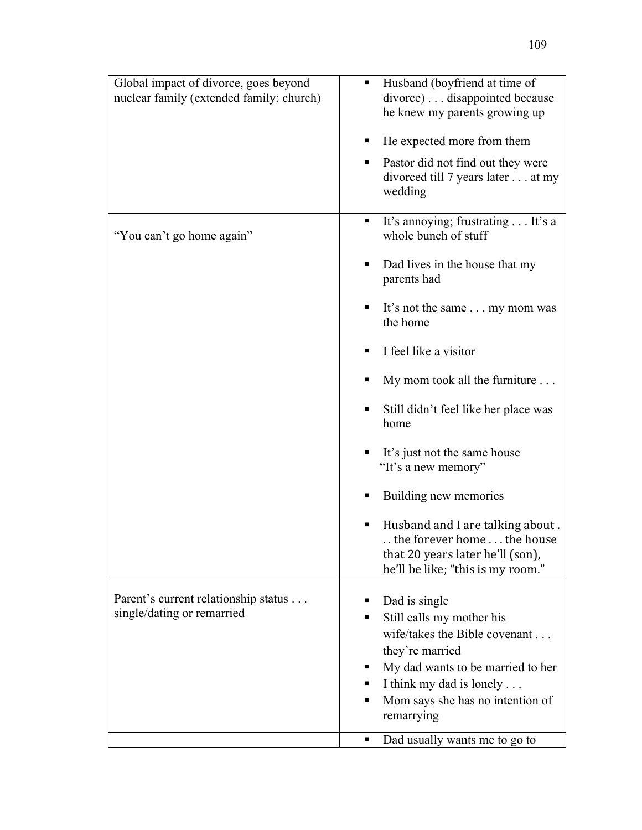| Global impact of divorce, goes beyond<br>nuclear family (extended family; church) | Husband (boyfriend at time of<br>ш<br>divorce) disappointed because<br>he knew my parents growing up<br>He expected more from them<br>Pastor did not find out they were<br>п<br>divorced till 7 years later at my<br>wedding |
|-----------------------------------------------------------------------------------|------------------------------------------------------------------------------------------------------------------------------------------------------------------------------------------------------------------------------|
| "You can't go home again"                                                         | It's annoying; frustrating It's a<br>٠<br>whole bunch of stuff<br>Dad lives in the house that my<br>п<br>parents had                                                                                                         |
|                                                                                   | It's not the same my mom was<br>the home<br>I feel like a visitor                                                                                                                                                            |
|                                                                                   | My mom took all the furniture                                                                                                                                                                                                |
|                                                                                   | Still didn't feel like her place was<br>home                                                                                                                                                                                 |
|                                                                                   | It's just not the same house<br>"It's a new memory"                                                                                                                                                                          |
|                                                                                   | Building new memories                                                                                                                                                                                                        |
|                                                                                   | Husband and I are talking about.<br>п<br>the forever home the house<br>that 20 years later he'll (son),<br>he'll be like; "this is my room."                                                                                 |
| Parent's current relationship status<br>single/dating or remarried                | Dad is single<br>Still calls my mother his<br>wife/takes the Bible covenant<br>they're married<br>My dad wants to be married to her<br>I think my dad is lonely<br>ш<br>Mom says she has no intention of<br>remarrying       |
|                                                                                   | Dad usually wants me to go to<br>٠                                                                                                                                                                                           |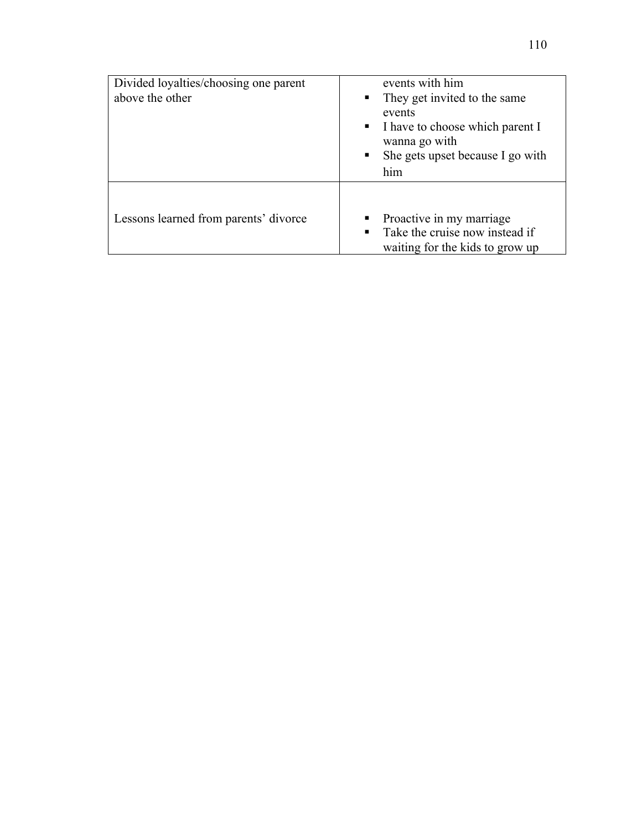| Divided loyalties/choosing one parent<br>above the other | events with him<br>They get invited to the same<br>$\blacksquare$<br>events<br>I have to choose which parent I<br>$\mathbf{r}$<br>wanna go with<br>She gets upset because I go with<br>him |
|----------------------------------------------------------|--------------------------------------------------------------------------------------------------------------------------------------------------------------------------------------------|
| Lessons learned from parents' divorce                    | Proactive in my marriage<br>Take the cruise now instead if<br>waiting for the kids to grow up                                                                                              |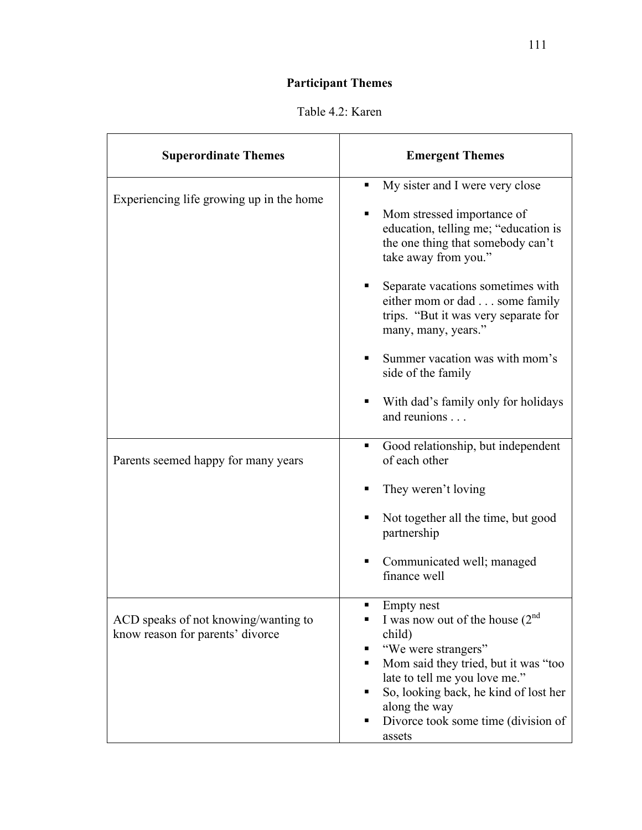# **Participant Themes**

| <b>Superordinate Themes</b>                                              | <b>Emergent Themes</b>                                                                                                                                                                                                                                                                                                                                                                                                           |
|--------------------------------------------------------------------------|----------------------------------------------------------------------------------------------------------------------------------------------------------------------------------------------------------------------------------------------------------------------------------------------------------------------------------------------------------------------------------------------------------------------------------|
| Experiencing life growing up in the home                                 | My sister and I were very close<br>Mom stressed importance of<br>٠<br>education, telling me; "education is<br>the one thing that somebody can't<br>take away from you."<br>Separate vacations sometimes with<br>either mom or dad some family<br>trips. "But it was very separate for<br>many, many, years."<br>Summer vacation was with mom's<br>side of the family<br>With dad's family only for holidays<br>٠<br>and reunions |
| Parents seemed happy for many years                                      | Good relationship, but independent<br>٠<br>of each other<br>They weren't loving<br>Not together all the time, but good<br>partnership<br>Communicated well; managed<br>finance well                                                                                                                                                                                                                                              |
| ACD speaks of not knowing/wanting to<br>know reason for parents' divorce | <b>Empty</b> nest<br>I was now out of the house $(2nd$<br>child)<br>"We were strangers"<br>Mom said they tried, but it was "too<br>late to tell me you love me."<br>So, looking back, he kind of lost her<br>along the way<br>Divorce took some time (division of<br>٠<br>assets                                                                                                                                                 |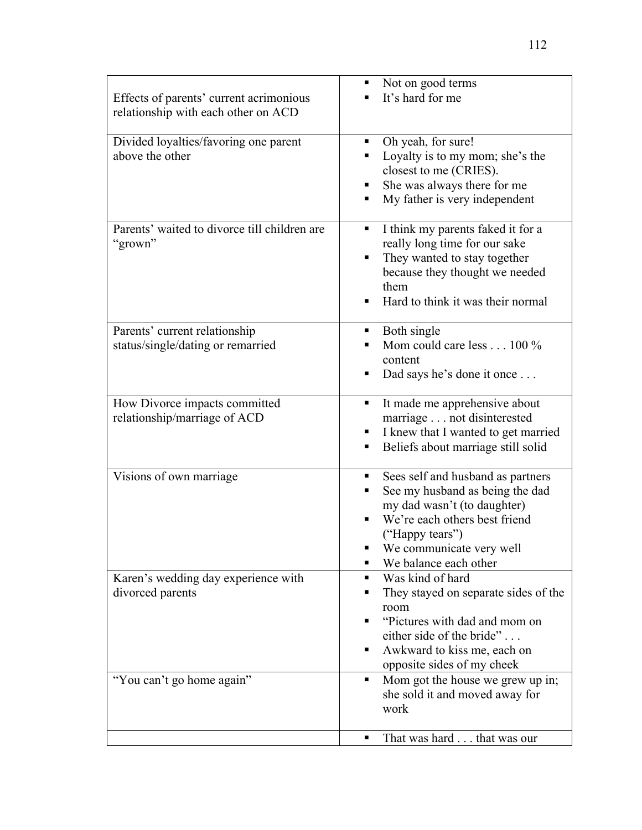| Effects of parents' current acrimonious<br>relationship with each other on ACD | Not on good terms<br>It's hard for me                                                                                                                                                                                  |
|--------------------------------------------------------------------------------|------------------------------------------------------------------------------------------------------------------------------------------------------------------------------------------------------------------------|
| Divided loyalties/favoring one parent<br>above the other                       | Oh yeah, for sure!<br>п<br>Loyalty is to my mom; she's the<br>٠<br>closest to me (CRIES).<br>She was always there for me<br>٠<br>My father is very independent<br>٠                                                    |
| Parents' waited to divorce till children are<br>"grown"                        | I think my parents faked it for a<br>п<br>really long time for our sake<br>They wanted to stay together<br>п<br>because they thought we needed<br>them<br>Hard to think it was their normal<br>٠                       |
| Parents' current relationship<br>status/single/dating or remarried             | Both single<br>٠<br>Mom could care less 100 %<br>content<br>Dad says he's done it once<br>٠                                                                                                                            |
| How Divorce impacts committed<br>relationship/marriage of ACD                  | It made me apprehensive about<br>٠<br>marriage not disinterested<br>I knew that I wanted to get married<br>ш<br>Beliefs about marriage still solid<br>п                                                                |
| Visions of own marriage                                                        | Sees self and husband as partners<br>٠<br>See my husband as being the dad<br>٠<br>my dad wasn't (to daughter)<br>We're each others best friend<br>("Happy tears")<br>We communicate very well<br>We balance each other |
| Karen's wedding day experience with<br>divorced parents                        | Was kind of hard<br>They stayed on separate sides of the<br>٠<br>room<br>"Pictures with dad and mom on<br>٠<br>either side of the bride"<br>Awkward to kiss me, each on<br>٠<br>opposite sides of my cheek             |
| "You can't go home again"                                                      | Mom got the house we grew up in;<br>٠<br>she sold it and moved away for<br>work                                                                                                                                        |
|                                                                                | That was hard that was our<br>п                                                                                                                                                                                        |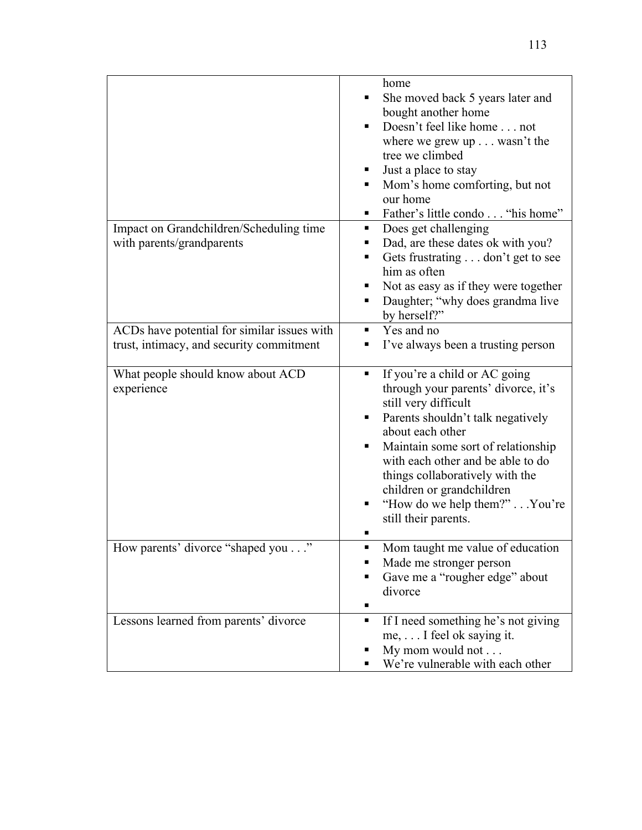|                                                                                         | home<br>She moved back 5 years later and<br>bought another home<br>Doesn't feel like home not<br>where we grew $up \dots$ wasn't the<br>tree we climbed<br>Just a place to stay<br>Mom's home comforting, but not<br>our home<br>Father's little condo "his home"                                                                                              |
|-----------------------------------------------------------------------------------------|----------------------------------------------------------------------------------------------------------------------------------------------------------------------------------------------------------------------------------------------------------------------------------------------------------------------------------------------------------------|
| Impact on Grandchildren/Scheduling time<br>with parents/grandparents                    | Does get challenging<br>Dad, are these dates ok with you?<br>Gets frustrating don't get to see<br>him as often<br>Not as easy as if they were together<br>Daughter; "why does grandma live<br>ш<br>by herself?"                                                                                                                                                |
| ACDs have potential for similar issues with<br>trust, intimacy, and security commitment | Yes and no<br>٠<br>I've always been a trusting person                                                                                                                                                                                                                                                                                                          |
| What people should know about ACD<br>experience                                         | If you're a child or AC going<br>п<br>through your parents' divorce, it's<br>still very difficult<br>Parents shouldn't talk negatively<br>about each other<br>Maintain some sort of relationship<br>with each other and be able to do<br>things collaboratively with the<br>children or grandchildren<br>"How do we help them?" You're<br>still their parents. |
| How parents' divorce "shaped you'                                                       | Mom taught me value of education<br>Made me stronger person<br>Gave me a "rougher edge" about<br>divorce                                                                                                                                                                                                                                                       |
| Lessons learned from parents' divorce                                                   | If I need something he's not giving<br>٠<br>me, I feel ok saying it.<br>My mom would not<br>We're vulnerable with each other                                                                                                                                                                                                                                   |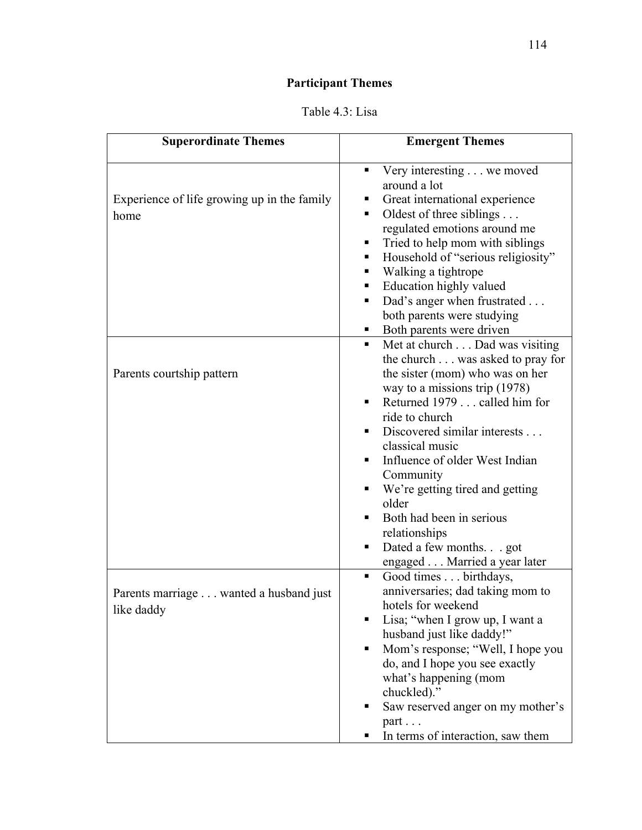# **Participant Themes**

| Table 4.3: Lisa |
|-----------------|
|-----------------|

| <b>Superordinate Themes</b>                          | <b>Emergent Themes</b>                                                                                                                                                                                                                                                                                                                                                                                                                                                     |
|------------------------------------------------------|----------------------------------------------------------------------------------------------------------------------------------------------------------------------------------------------------------------------------------------------------------------------------------------------------------------------------------------------------------------------------------------------------------------------------------------------------------------------------|
| Experience of life growing up in the family<br>home  | Very interesting we moved<br>٠<br>around a lot<br>Great international experience<br>Oldest of three siblings<br>٠<br>regulated emotions around me<br>Tried to help mom with siblings<br>٠<br>Household of "serious religiosity"<br>π.<br>Walking a tightrope<br>ш<br>Education highly valued<br>٠<br>Dad's anger when frustrated<br>٠<br>both parents were studying<br>Both parents were driven<br>٠                                                                       |
| Parents courtship pattern                            | Met at church Dad was visiting<br>π.<br>the church was asked to pray for<br>the sister (mom) who was on her<br>way to a missions trip $(1978)$<br>Returned 1979 called him for<br>٠<br>ride to church<br>Discovered similar interests<br>٠<br>classical music<br>Influence of older West Indian<br>Community<br>We're getting tired and getting<br>٠<br>older<br>Both had been in serious<br>relationships<br>Dated a few months. got<br>п<br>engaged Married a year later |
| Parents marriage wanted a husband just<br>like daddy | Good times birthdays,<br>٠<br>anniversaries; dad taking mom to<br>hotels for weekend<br>Lisa; "when I grow up, I want a<br>husband just like daddy!"<br>Mom's response; "Well, I hope you<br>٠<br>do, and I hope you see exactly<br>what's happening (mom<br>chuckled)."<br>Saw reserved anger on my mother's<br>part<br>In terms of interaction, saw them                                                                                                                 |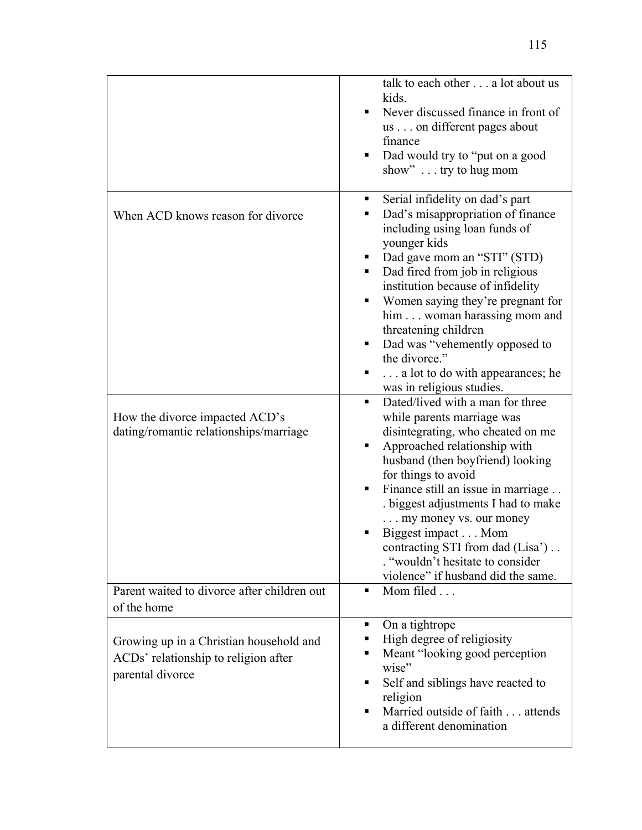|                                                                                                               | talk to each other a lot about us<br>kids.<br>Never discussed finance in front of<br>us on different pages about<br>finance<br>Dad would try to "put on a good<br>show" $\dots$ try to hug mom                                                                                                                                                                                                                                                                                                                                                                                                                                                                                                                                                                                                          |
|---------------------------------------------------------------------------------------------------------------|---------------------------------------------------------------------------------------------------------------------------------------------------------------------------------------------------------------------------------------------------------------------------------------------------------------------------------------------------------------------------------------------------------------------------------------------------------------------------------------------------------------------------------------------------------------------------------------------------------------------------------------------------------------------------------------------------------------------------------------------------------------------------------------------------------|
| When ACD knows reason for divorce<br>How the divorce impacted ACD's<br>dating/romantic relationships/marriage | Serial infidelity on dad's part<br>п<br>Dad's misappropriation of finance<br>including using loan funds of<br>younger kids<br>Dad gave mom an "STI" (STD)<br>Dad fired from job in religious<br>٠<br>institution because of infidelity<br>Women saying they're pregnant for<br>him woman harassing mom and<br>threatening children<br>Dad was "vehemently opposed to<br>٠<br>the divorce."<br>a lot to do with appearances; he<br>п<br>was in religious studies.<br>Dated/lived with a man for three<br>٠<br>while parents marriage was<br>disintegrating, who cheated on me<br>Approached relationship with<br>husband (then boyfriend) looking<br>for things to avoid<br>Finance still an issue in marriage<br>٠<br>biggest adjustments I had to make<br>my money vs. our money<br>Biggest impact Mom |
|                                                                                                               | contracting STI from dad (Lisa')<br>"wouldn't hesitate to consider<br>violence" if husband did the same.                                                                                                                                                                                                                                                                                                                                                                                                                                                                                                                                                                                                                                                                                                |
| Parent waited to divorce after children out<br>of the home                                                    | Mom filed<br>п                                                                                                                                                                                                                                                                                                                                                                                                                                                                                                                                                                                                                                                                                                                                                                                          |
| Growing up in a Christian household and<br>ACDs' relationship to religion after<br>parental divorce           | On a tightrope<br>٠<br>High degree of religiosity<br>Meant "looking good perception<br>Ξ<br>wise"<br>Self and siblings have reacted to<br>п<br>religion<br>Married outside of faith attends<br>п<br>a different denomination                                                                                                                                                                                                                                                                                                                                                                                                                                                                                                                                                                            |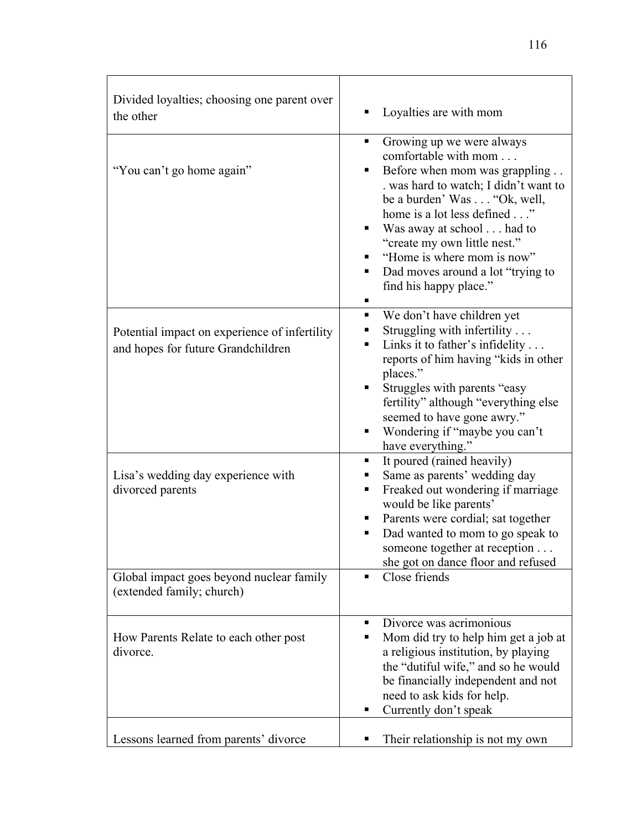| Divided loyalties; choosing one parent over<br>the other                            | Loyalties are with mom                                                                                                                                                                                                                                                                                                                                        |
|-------------------------------------------------------------------------------------|---------------------------------------------------------------------------------------------------------------------------------------------------------------------------------------------------------------------------------------------------------------------------------------------------------------------------------------------------------------|
| "You can't go home again"                                                           | Growing up we were always<br>٠<br>comfortable with mom<br>Before when mom was grappling<br>. was hard to watch; I didn't want to<br>be a burden' Was "Ok, well,<br>home is a lot less defined"<br>Was away at school had to<br>"create my own little nest."<br>"Home is where mom is now"<br>Dad moves around a lot "trying to<br>٠<br>find his happy place." |
| Potential impact on experience of infertility<br>and hopes for future Grandchildren | We don't have children yet<br>٠<br>Struggling with infertility<br>Links it to father's infidelity<br>٠<br>reports of him having "kids in other<br>places."<br>Struggles with parents "easy<br>٠<br>fertility" although "everything else<br>seemed to have gone awry."<br>Wondering if "maybe you can't<br>have everything."                                   |
| Lisa's wedding day experience with<br>divorced parents                              | It poured (rained heavily)<br>٠<br>Same as parents' wedding day<br>Freaked out wondering if marriage<br>٠<br>would be like parents'<br>Parents were cordial; sat together<br>п<br>Dad wanted to mom to go speak to<br>someone together at reception<br>she got on dance floor and refused                                                                     |
| Global impact goes beyond nuclear family<br>(extended family; church)               | Close friends                                                                                                                                                                                                                                                                                                                                                 |
| How Parents Relate to each other post<br>divorce.                                   | Divorce was acrimonious<br>٠<br>Mom did try to help him get a job at<br>٠<br>a religious institution, by playing<br>the "dutiful wife," and so he would<br>be financially independent and not<br>need to ask kids for help.<br>Currently don't speak<br>ш                                                                                                     |
| Lessons learned from parents' divorce                                               | Their relationship is not my own                                                                                                                                                                                                                                                                                                                              |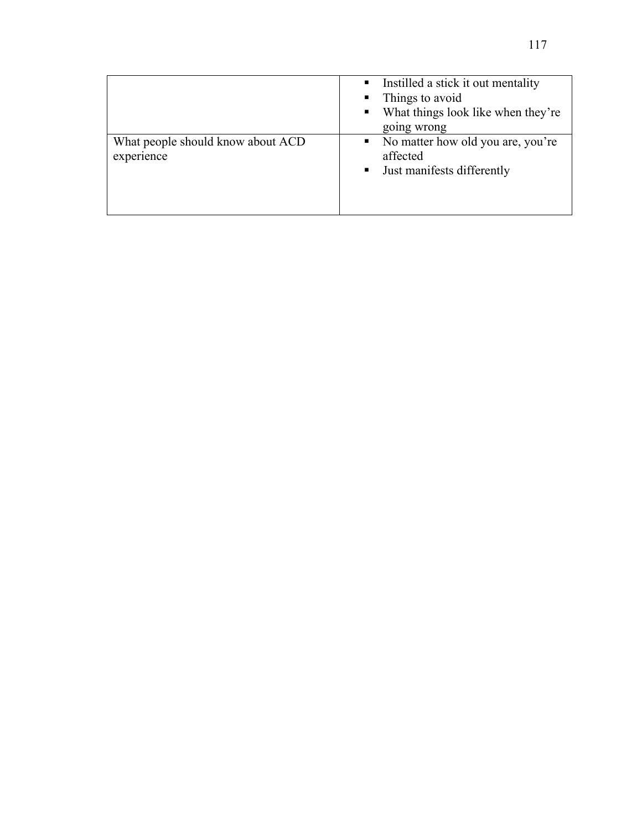|                                                 | Instilled a stick it out mentality<br>$\blacksquare$<br>Things to avoid<br>$\blacksquare$<br>What things look like when they're<br>$\blacksquare$ .<br>going wrong |
|-------------------------------------------------|--------------------------------------------------------------------------------------------------------------------------------------------------------------------|
| What people should know about ACD<br>experience | • No matter how old you are, you're<br>affected<br>Just manifests differently<br>$\blacksquare$ .                                                                  |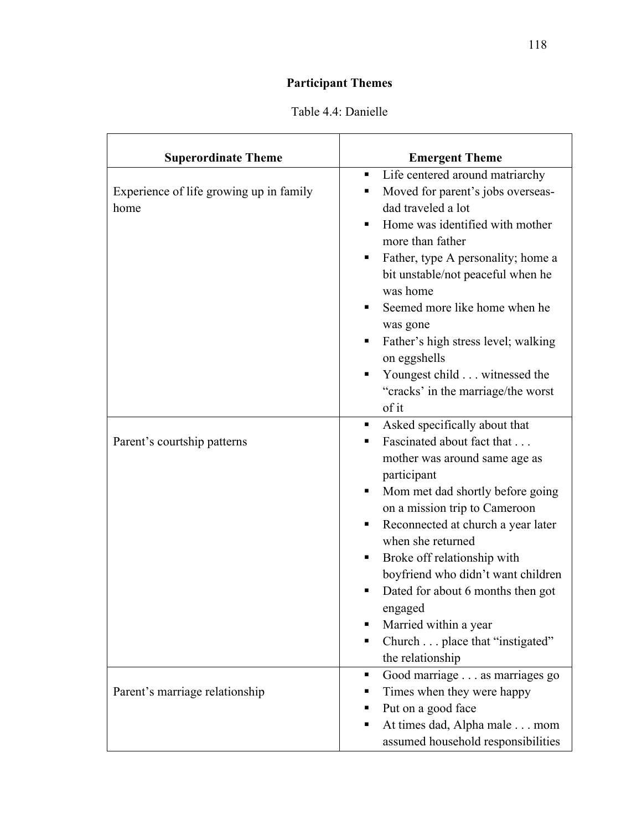# **Participant Themes**

| <b>Superordinate Theme</b>                      | <b>Emergent Theme</b>                                                                                                                                                                                                                                                                                                                                                                                                                                                               |
|-------------------------------------------------|-------------------------------------------------------------------------------------------------------------------------------------------------------------------------------------------------------------------------------------------------------------------------------------------------------------------------------------------------------------------------------------------------------------------------------------------------------------------------------------|
| Experience of life growing up in family<br>home | Life centered around matriarchy<br>٠<br>Moved for parent's jobs overseas-<br>п<br>dad traveled a lot<br>Home was identified with mother<br>$\blacksquare$<br>more than father<br>Father, type A personality; home a<br>٠<br>bit unstable/not peaceful when he<br>was home<br>Seemed more like home when he<br>٠<br>was gone<br>Father's high stress level; walking<br>٠<br>on eggshells<br>Youngest child witnessed the<br>٠<br>"cracks' in the marriage/the worst<br>of it         |
| Parent's courtship patterns                     | Asked specifically about that<br>п.<br>Fascinated about fact that<br>٠<br>mother was around same age as<br>participant<br>Mom met dad shortly before going<br>٠<br>on a mission trip to Cameroon<br>Reconnected at church a year later<br>٠<br>when she returned<br>Broke off relationship with<br>٠<br>boyfriend who didn't want children<br>Dated for about 6 months then got<br>п<br>engaged<br>Married within a year<br>Church place that "instigated"<br>п<br>the relationship |
| Parent's marriage relationship                  | Good marriage as marriages go<br>п<br>Times when they were happy<br>п<br>Put on a good face<br>٠<br>At times dad, Alpha male mom<br>п<br>assumed household responsibilities                                                                                                                                                                                                                                                                                                         |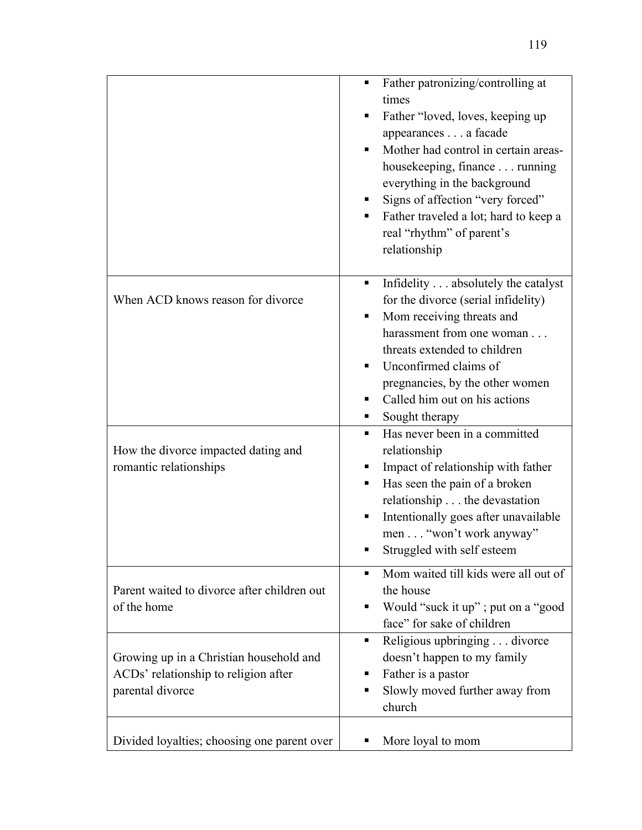|                                                                                                     | Father patronizing/controlling at<br>times<br>Father "loved, loves, keeping up<br>appearances a facade<br>Mother had control in certain areas-<br>housekeeping, finance running<br>everything in the background<br>Signs of affection "very forced"<br>Father traveled a lot; hard to keep a<br>real "rhythm" of parent's<br>relationship |
|-----------------------------------------------------------------------------------------------------|-------------------------------------------------------------------------------------------------------------------------------------------------------------------------------------------------------------------------------------------------------------------------------------------------------------------------------------------|
| When ACD knows reason for divorce                                                                   | Infidelity absolutely the catalyst<br>for the divorce (serial infidelity)<br>Mom receiving threats and<br>harassment from one woman<br>threats extended to children<br>Unconfirmed claims of<br>pregnancies, by the other women<br>Called him out on his actions<br>Sought therapy                                                        |
| How the divorce impacted dating and<br>romantic relationships                                       | Has never been in a committed<br>٠<br>relationship<br>Impact of relationship with father<br>Has seen the pain of a broken<br>relationship the devastation<br>Intentionally goes after unavailable<br>men "won't work anyway"<br>Struggled with self esteem                                                                                |
| Parent waited to divorce after children out<br>of the home                                          | Mom waited till kids were all out of<br>٠<br>the house<br>Would "suck it up"; put on a "good"<br>п<br>face" for sake of children                                                                                                                                                                                                          |
| Growing up in a Christian household and<br>ACDs' relationship to religion after<br>parental divorce | Religious upbringing divorce<br>٠<br>doesn't happen to my family<br>Father is a pastor<br>п<br>Slowly moved further away from<br>church                                                                                                                                                                                                   |
| Divided loyalties; choosing one parent over                                                         | More loyal to mom                                                                                                                                                                                                                                                                                                                         |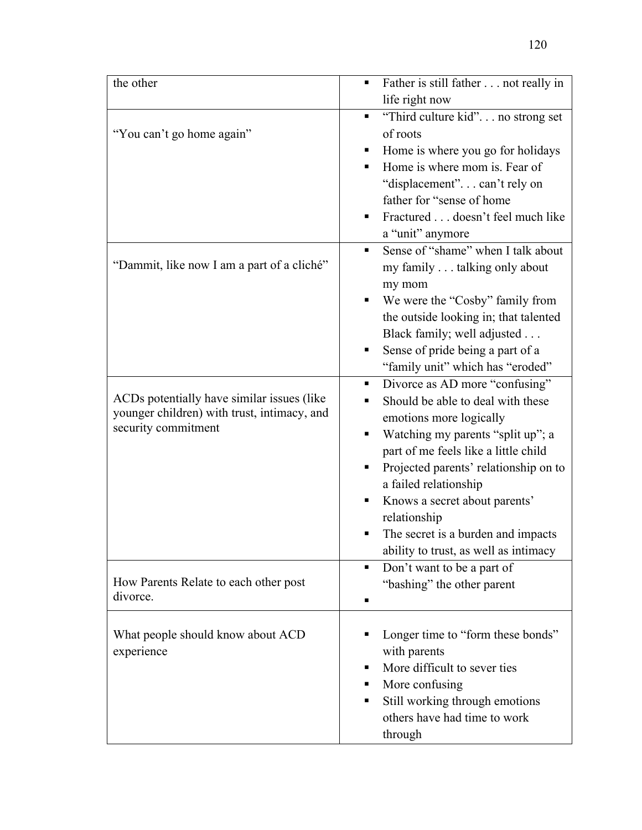| the other                                   | Father is still father not really in<br>٠           |
|---------------------------------------------|-----------------------------------------------------|
|                                             | life right now                                      |
|                                             | "Third culture kid" no strong set<br>$\blacksquare$ |
| "You can't go home again"                   | of roots                                            |
|                                             | Home is where you go for holidays                   |
|                                             | Home is where mom is. Fear of                       |
|                                             | "displacement"can't rely on                         |
|                                             | father for "sense of home                           |
|                                             | Fractured doesn't feel much like<br>٠               |
|                                             | a "unit" anymore                                    |
|                                             | Sense of "shame" when I talk about                  |
| "Dammit, like now I am a part of a cliché"  | my family talking only about                        |
|                                             | my mom                                              |
|                                             | We were the "Cosby" family from                     |
|                                             | the outside looking in; that talented               |
|                                             | Black family; well adjusted                         |
|                                             | Sense of pride being a part of a<br>٠               |
|                                             | "family unit" which has "eroded"                    |
|                                             | Divorce as AD more "confusing"<br>٠                 |
| ACDs potentially have similar issues (like) | Should be able to deal with these                   |
| younger children) with trust, intimacy, and | emotions more logically                             |
| security commitment                         | Watching my parents "split up"; a                   |
|                                             | part of me feels like a little child                |
|                                             | Projected parents' relationship on to               |
|                                             | a failed relationship                               |
|                                             | Knows a secret about parents'<br>٠                  |
|                                             | relationship                                        |
|                                             | The secret is a burden and impacts                  |
|                                             | ability to trust, as well as intimacy               |
|                                             | Don't want to be a part of<br>п                     |
| How Parents Relate to each other post       | "bashing" the other parent                          |
| divorce.                                    | п                                                   |
|                                             |                                                     |
| What people should know about ACD           | Longer time to "form these bonds"                   |
| experience                                  | with parents                                        |
|                                             | More difficult to sever ties<br>п                   |
|                                             | More confusing<br>п                                 |
|                                             | Still working through emotions<br>٠                 |
|                                             | others have had time to work                        |
|                                             | through                                             |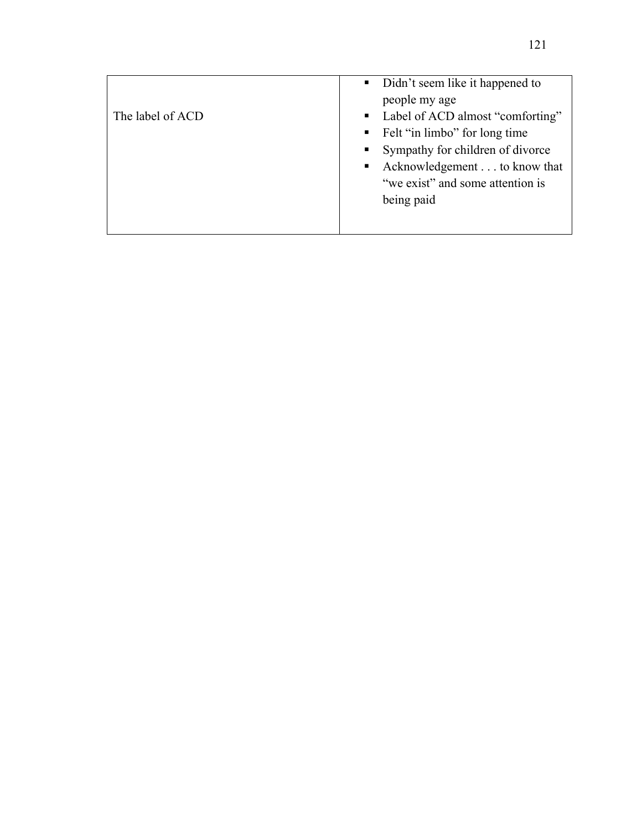|                  | • Didn't seem like it happened to                |
|------------------|--------------------------------------------------|
|                  | people my age                                    |
| The label of ACD | • Label of ACD almost "comforting"               |
|                  | Felt "in limbo" for long time                    |
|                  | • Sympathy for children of divorce               |
|                  | Acknowledgement to know that<br>$\blacksquare$ . |
|                  | "we exist" and some attention is                 |
|                  | being paid                                       |
|                  |                                                  |
|                  |                                                  |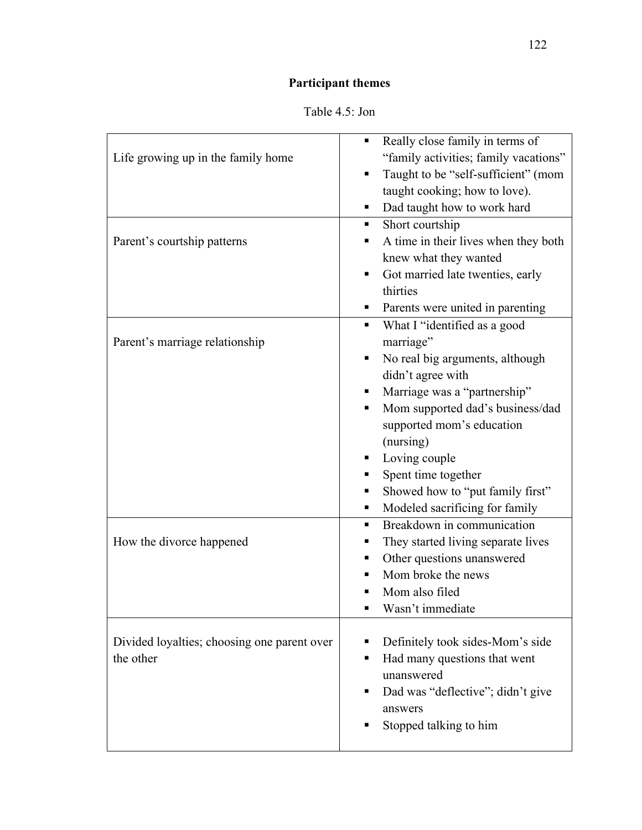# **Participant themes**

| Table 4.5: Jon |  |
|----------------|--|
|                |  |

|                                             | Really close family in terms of<br>٠      |
|---------------------------------------------|-------------------------------------------|
| Life growing up in the family home          | "family activities; family vacations"     |
|                                             | Taught to be "self-sufficient" (mom<br>٠  |
|                                             | taught cooking; how to love).             |
|                                             | Dad taught how to work hard               |
|                                             |                                           |
|                                             | Short courtship                           |
| Parent's courtship patterns                 | A time in their lives when they both<br>٠ |
|                                             | knew what they wanted<br>٠                |
|                                             | Got married late twenties, early          |
|                                             | thirties                                  |
|                                             | Parents were united in parenting          |
|                                             | What I "identified as a good<br>٠         |
| Parent's marriage relationship              | marriage"                                 |
|                                             | No real big arguments, although           |
|                                             | didn't agree with                         |
|                                             | Marriage was a "partnership"              |
|                                             | Mom supported dad's business/dad<br>٠     |
|                                             | supported mom's education                 |
|                                             | (nursing)                                 |
|                                             | Loving couple                             |
|                                             | Spent time together                       |
|                                             | Showed how to "put family first"          |
|                                             | Modeled sacrificing for family            |
|                                             | Breakdown in communication                |
| How the divorce happened                    | They started living separate lives<br>٠   |
|                                             | Other questions unanswered<br>٠           |
|                                             | Mom broke the news                        |
|                                             | Mom also filed                            |
|                                             | Wasn't immediate                          |
|                                             |                                           |
| Divided loyalties; choosing one parent over | Definitely took sides-Mom's side<br>п     |
| the other                                   | Had many questions that went<br>п         |
|                                             | unanswered                                |
|                                             | Dad was "deflective"; didn't give<br>п    |
|                                             | answers                                   |
|                                             | Stopped talking to him                    |
|                                             |                                           |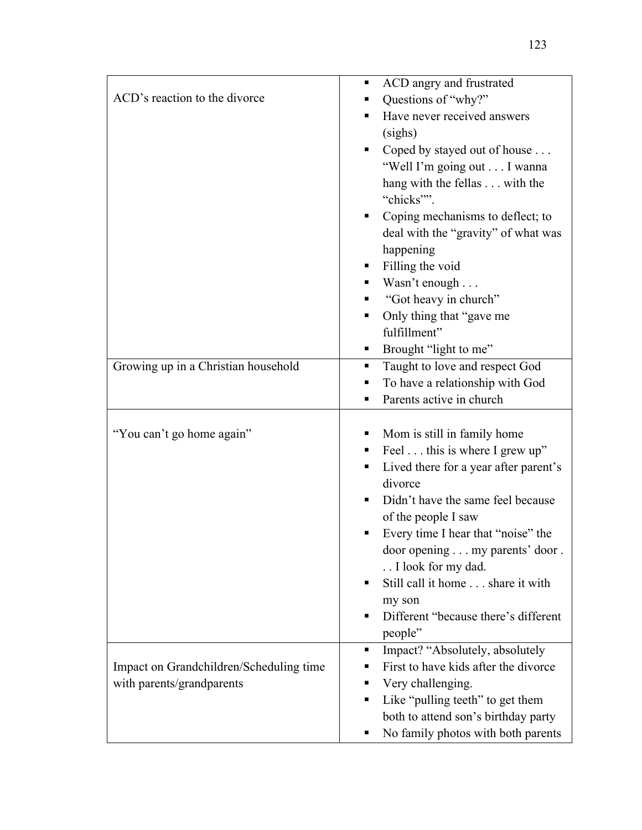|                                         | ACD angry and frustrated<br>ш                                             |
|-----------------------------------------|---------------------------------------------------------------------------|
| ACD's reaction to the divorce           | Questions of "why?"<br>٠                                                  |
|                                         | Have never received answers<br>٠                                          |
|                                         | (sighs)                                                                   |
|                                         | Coped by stayed out of house<br>٠                                         |
|                                         | "Well I'm going out I wanna                                               |
|                                         | hang with the fellas with the                                             |
|                                         | "chicks"".                                                                |
|                                         | Coping mechanisms to deflect; to                                          |
|                                         | deal with the "gravity" of what was                                       |
|                                         | happening                                                                 |
|                                         | Filling the void                                                          |
|                                         | Wasn't enough                                                             |
|                                         | "Got heavy in church"                                                     |
|                                         | Only thing that "gave me<br>٠                                             |
|                                         | fulfillment"                                                              |
|                                         | Brought "light to me"                                                     |
| Growing up in a Christian household     | Taught to love and respect God<br>٠                                       |
|                                         | To have a relationship with God                                           |
|                                         | Parents active in church<br>٠                                             |
|                                         |                                                                           |
|                                         |                                                                           |
| "You can't go home again"               | Mom is still in family home<br>ш                                          |
|                                         | Feel this is where I grew up"<br>٠                                        |
|                                         | Lived there for a year after parent's                                     |
|                                         | divorce<br>Didn't have the same feel because                              |
|                                         |                                                                           |
|                                         | of the people I saw<br>Every time I hear that "noise" the                 |
|                                         | door opening my parents' door .                                           |
|                                         | I look for my dad.                                                        |
|                                         | Still call it home share it with<br>٠                                     |
|                                         | my son                                                                    |
|                                         | Different "because there's different<br>٠                                 |
|                                         | people"                                                                   |
|                                         | Impact? "Absolutely, absolutely<br>٠                                      |
| Impact on Grandchildren/Scheduling time | First to have kids after the divorce                                      |
| with parents/grandparents               | Very challenging.<br>٠                                                    |
|                                         | Like "pulling teeth" to get them<br>٠                                     |
|                                         | both to attend son's birthday party<br>No family photos with both parents |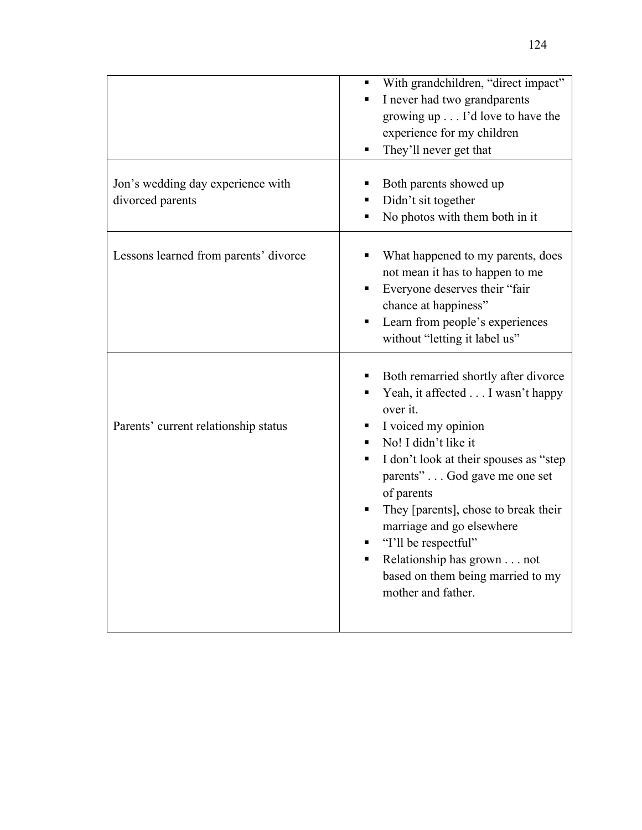|                                                       | With grandchildren, "direct impact"<br>I never had two grandparents<br>٠<br>growing up I'd love to have the<br>experience for my children<br>They'll never get that<br>٠                                                                                                                                                                                                                                                     |
|-------------------------------------------------------|------------------------------------------------------------------------------------------------------------------------------------------------------------------------------------------------------------------------------------------------------------------------------------------------------------------------------------------------------------------------------------------------------------------------------|
| Jon's wedding day experience with<br>divorced parents | Both parents showed up<br>Didn't sit together<br>No photos with them both in it                                                                                                                                                                                                                                                                                                                                              |
| Lessons learned from parents' divorce                 | What happened to my parents, does<br>not mean it has to happen to me<br>Everyone deserves their "fair<br>chance at happiness"<br>Learn from people's experiences<br>without "letting it label us"                                                                                                                                                                                                                            |
| Parents' current relationship status                  | Both remarried shortly after divorce<br>Yeah, it affected I wasn't happy<br>over it.<br>I voiced my opinion<br>п<br>No! I didn't like it<br>I don't look at their spouses as "step"<br>٠<br>parents" God gave me one set<br>of parents<br>They [parents], chose to break their<br>marriage and go elsewhere<br>"I'll be respectful"<br>Relationship has grown not<br>based on them being married to my<br>mother and father. |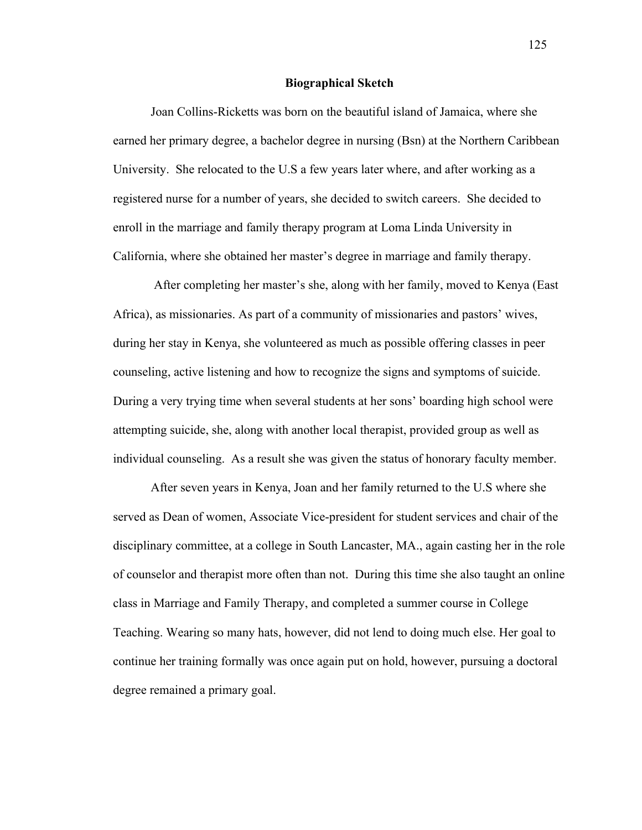#### **Biographical Sketch**

Joan Collins-Ricketts was born on the beautiful island of Jamaica, where she earned her primary degree, a bachelor degree in nursing (Bsn) at the Northern Caribbean University. She relocated to the U.S a few years later where, and after working as a registered nurse for a number of years, she decided to switch careers. She decided to enroll in the marriage and family therapy program at Loma Linda University in California, where she obtained her master's degree in marriage and family therapy.

After completing her master's she, along with her family, moved to Kenya (East Africa), as missionaries. As part of a community of missionaries and pastors' wives, during her stay in Kenya, she volunteered as much as possible offering classes in peer counseling, active listening and how to recognize the signs and symptoms of suicide. During a very trying time when several students at her sons' boarding high school were attempting suicide, she, along with another local therapist, provided group as well as individual counseling. As a result she was given the status of honorary faculty member.

After seven years in Kenya, Joan and her family returned to the U.S where she served as Dean of women, Associate Vice-president for student services and chair of the disciplinary committee, at a college in South Lancaster, MA., again casting her in the role of counselor and therapist more often than not. During this time she also taught an online class in Marriage and Family Therapy, and completed a summer course in College Teaching. Wearing so many hats, however, did not lend to doing much else. Her goal to continue her training formally was once again put on hold, however, pursuing a doctoral degree remained a primary goal.

125